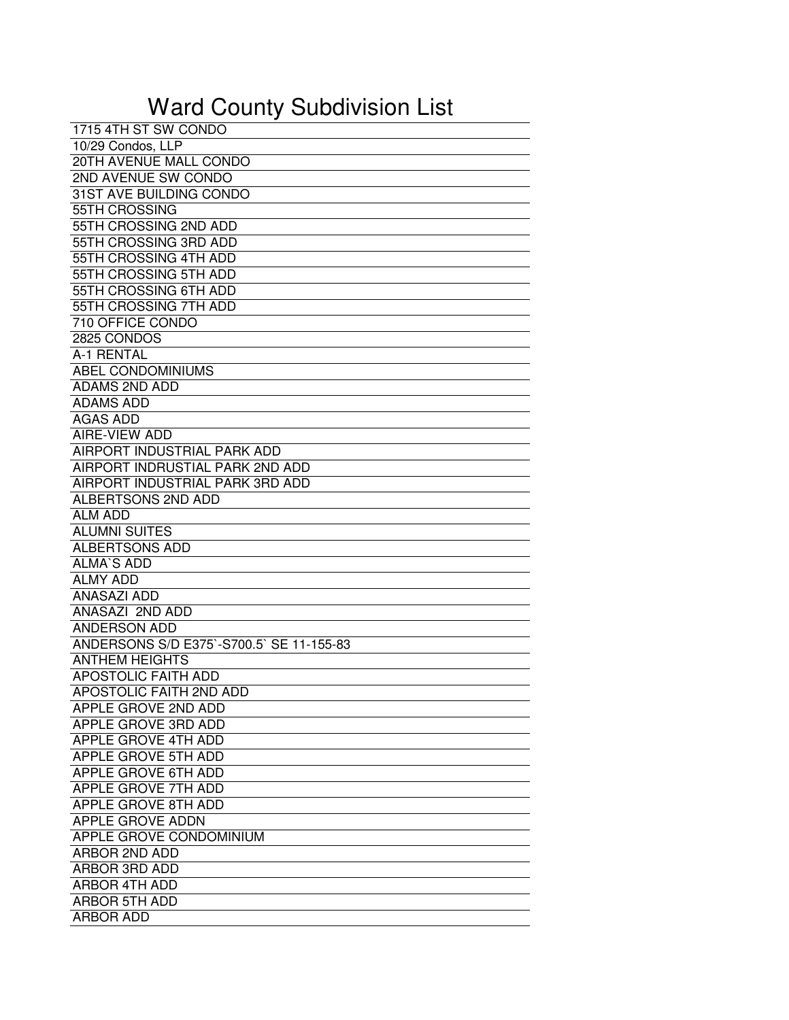## Ward County Subdivision List

| 1715 4TH ST SW CONDO                     |
|------------------------------------------|
| 10/29 Condos, LLP                        |
| 20TH AVENUE MALL CONDO                   |
| 2ND AVENUE SW CONDO                      |
| 31ST AVE BUILDING CONDO                  |
| 55TH CROSSING                            |
| 55TH CROSSING 2ND ADD                    |
| 55TH CROSSING 3RD ADD                    |
| 55TH CROSSING 4TH ADD                    |
| 55TH CROSSING 5TH ADD                    |
| 55TH CROSSING 6TH ADD                    |
| 55TH CROSSING 7TH ADD                    |
| 710 OFFICE CONDO                         |
| 2825 CONDOS                              |
| A-1 RENTAL                               |
| ABEL CONDOMINIUMS                        |
| <b>ADAMS 2ND ADD</b>                     |
| <b>ADAMS ADD</b>                         |
| <b>AGAS ADD</b>                          |
| AIRE-VIEW ADD                            |
| AIRPORT INDUSTRIAL PARK ADD              |
| AIRPORT INDRUSTIAL PARK 2ND ADD          |
| AIRPORT INDUSTRIAL PARK 3RD ADD          |
| ALBERTSONS 2ND ADD                       |
| <b>ALM ADD</b>                           |
| <b>ALUMNI SUITES</b>                     |
| <b>ALBERTSONS ADD</b>                    |
| <b>ALMA'S ADD</b>                        |
| <b>ALMY ADD</b>                          |
| <b>ANASAZI ADD</b>                       |
| ANASAZI 2ND ADD                          |
| <b>ANDERSON ADD</b>                      |
| ANDERSONS S/D E375`-S700.5` SE 11-155-83 |
| <b>ANTHEM HEIGHTS</b>                    |
| <b>APOSTOLIC FAITH ADD</b>               |
| APOSTOLIC FAITH 2ND ADD                  |
| APPLE GROVE 2ND ADD                      |
| APPLE GROVE 3RD ADD                      |
| APPLE GROVE 4TH ADD                      |
| APPLE GROVE 5TH ADD                      |
| APPLE GROVE 6TH ADD                      |
| APPLE GROVE 7TH ADD                      |
| APPLE GROVE 8TH ADD                      |
| APPLE GROVE ADDN                         |
| APPLE GROVE CONDOMINIUM                  |
| ARBOR 2ND ADD                            |
| ARBOR 3RD ADD                            |
| <b>ARBOR 4TH ADD</b>                     |
| ARBOR 5TH ADD                            |
| <b>ARBOR ADD</b>                         |
|                                          |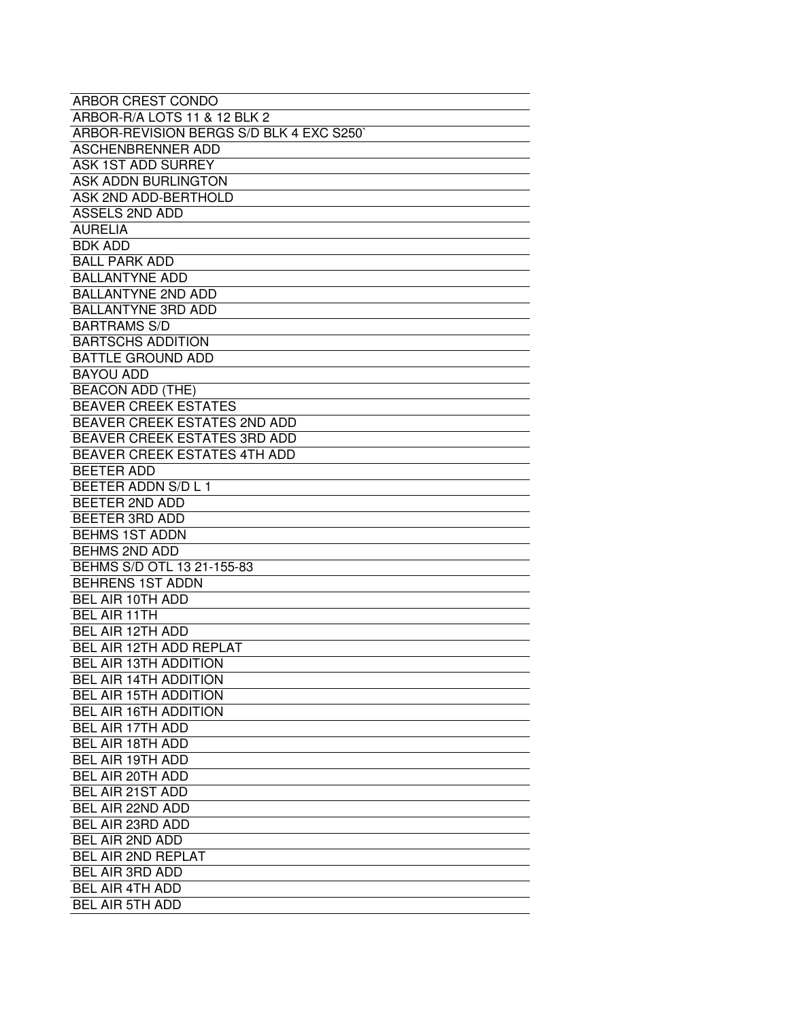| ARBOR CREST CONDO                       |
|-----------------------------------------|
| ARBOR-R/A LOTS 11 & 12 BLK 2            |
| ARBOR-REVISION BERGS S/D BLK 4 EXC S250 |
| <b>ASCHENBRENNER ADD</b>                |
| <b>ASK 1ST ADD SURREY</b>               |
| <b>ASK ADDN BURLINGTON</b>              |
| ASK 2ND ADD-BERTHOLD                    |
| <b>ASSELS 2ND ADD</b>                   |
| <b>AURELIA</b>                          |
| <b>BDK ADD</b>                          |
| <b>BALL PARK ADD</b>                    |
| <b>BALLANTYNE ADD</b>                   |
| <b>BALLANTYNE 2ND ADD</b>               |
| <b>BALLANTYNE 3RD ADD</b>               |
| <b>BARTRAMS S/D</b>                     |
| <b>BARTSCHS ADDITION</b>                |
| <b>BATTLE GROUND ADD</b>                |
| <b>BAYOU ADD</b>                        |
| <b>BEACON ADD (THE)</b>                 |
| <b>BEAVER CREEK ESTATES</b>             |
| BEAVER CREEK ESTATES 2ND ADD            |
| <b>BEAVER CREEK ESTATES 3RD ADD</b>     |
| <b>BEAVER CREEK ESTATES 4TH ADD</b>     |
| <b>BEETER ADD</b>                       |
| BEETER ADDN S/D L 1                     |
| BEETER 2ND ADD                          |
| BEETER 3RD ADD                          |
| <b>BEHMS 1ST ADDN</b>                   |
| <b>BEHMS 2ND ADD</b>                    |
| BEHMS S/D OTL 13 21-155-83              |
| <b>BEHRENS 1ST ADDN</b>                 |
| BEL AIR 10TH ADD                        |
| <b>BEL AIR 11TH</b>                     |
| <b>BEL AIR 12TH ADD</b>                 |
| BEL AIR 12TH ADD REPLAT                 |
| BEL AIR 13TH ADDITION                   |
| <b>BEL AIR 14TH ADDITION</b>            |
| <b>BEL AIR 15TH ADDITION</b>            |
| <b>BEL AIR 16TH ADDITION</b>            |
| BEL AIR 17TH ADD                        |
| <b>BEL AIR 18TH ADD</b>                 |
| <b>BEL AIR 19TH ADD</b>                 |
| BEL AIR 20TH ADD                        |
| BEL AIR 21ST ADD                        |
| BEL AIR 22ND ADD                        |
| BEL AIR 23RD ADD                        |
| <b>BEL AIR 2ND ADD</b>                  |
| <b>BEL AIR 2ND REPLAT</b>               |
| BEL AIR 3RD ADD                         |
| <b>BEL AIR 4TH ADD</b>                  |
| <b>BEL AIR 5TH ADD</b>                  |
|                                         |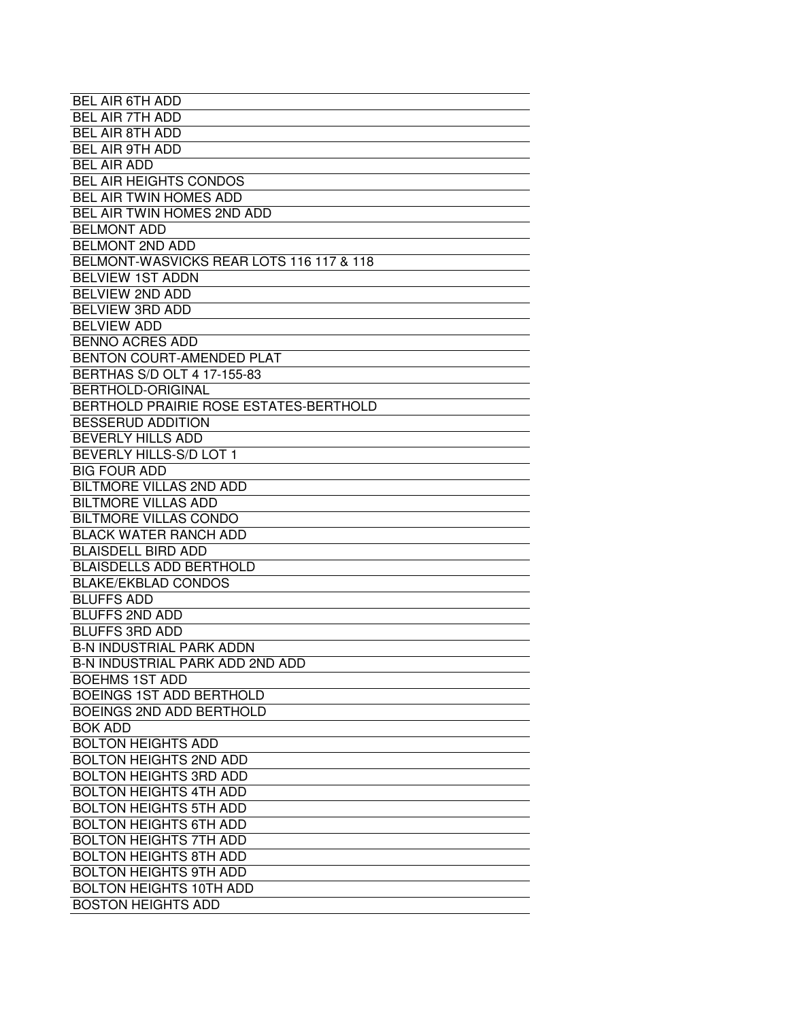| <b>BEL AIR 6TH ADD</b>                   |
|------------------------------------------|
| <b>BEL AIR 7TH ADD</b>                   |
| <b>BEL AIR 8TH ADD</b>                   |
| <b>BEL AIR 9TH ADD</b>                   |
| <b>BEL AIR ADD</b>                       |
| <b>BEL AIR HEIGHTS CONDOS</b>            |
| BEL AIR TWIN HOMES ADD                   |
| BEL AIR TWIN HOMES 2ND ADD               |
| <b>BELMONT ADD</b>                       |
| <b>BELMONT 2ND ADD</b>                   |
| BELMONT-WASVICKS REAR LOTS 116 117 & 118 |
| <b>BELVIEW 1ST ADDN</b>                  |
| <b>BELVIEW 2ND ADD</b>                   |
|                                          |
| <b>BELVIEW 3RD ADD</b>                   |
| <b>BELVIEW ADD</b>                       |
| <b>BENNO ACRES ADD</b>                   |
| BENTON COURT-AMENDED PLAT                |
| BERTHAS S/D OLT 4 17-155-83              |
| <b>BERTHOLD-ORIGINAL</b>                 |
| BERTHOLD PRAIRIE ROSE ESTATES-BERTHOLD   |
| <b>BESSERUD ADDITION</b>                 |
| <b>BEVERLY HILLS ADD</b>                 |
| BEVERLY HILLS-S/D LOT 1                  |
| <b>BIG FOUR ADD</b>                      |
| <b>BILTMORE VILLAS 2ND ADD</b>           |
| <b>BILTMORE VILLAS ADD</b>               |
| <b>BILTMORE VILLAS CONDO</b>             |
| <b>BLACK WATER RANCH ADD</b>             |
| <b>BLAISDELL BIRD ADD</b>                |
| <b>BLAISDELLS ADD BERTHOLD</b>           |
| <b>BLAKE/EKBLAD CONDOS</b>               |
| <b>BLUFFS ADD</b>                        |
| <b>BLUFFS 2ND ADD</b>                    |
| <b>BLUFFS 3RD ADD</b>                    |
| <b>B-N INDUSTRIAL PARK ADDN</b>          |
| <b>B-N INDUSTRIAL PARK ADD 2ND ADD</b>   |
| <b>BOEHMS 1ST ADD</b>                    |
| <b>BOEINGS 1ST ADD BERTHOLD</b>          |
| <b>BOEINGS 2ND ADD BERTHOLD</b>          |
| <b>BOK ADD</b>                           |
| <b>BOLTON HEIGHTS ADD</b>                |
| <b>BOLTON HEIGHTS 2ND ADD</b>            |
| <b>BOLTON HEIGHTS 3RD ADD</b>            |
| <b>BOLTON HEIGHTS 4TH ADD</b>            |
| <b>BOLTON HEIGHTS 5TH ADD</b>            |
| <b>BOLTON HEIGHTS 6TH ADD</b>            |
| <b>BOLTON HEIGHTS 7TH ADD</b>            |
| <b>BOLTON HEIGHTS 8TH ADD</b>            |
| <b>BOLTON HEIGHTS 9TH ADD</b>            |
| <b>BOLTON HEIGHTS 10TH ADD</b>           |
| <b>BOSTON HEIGHTS ADD</b>                |
|                                          |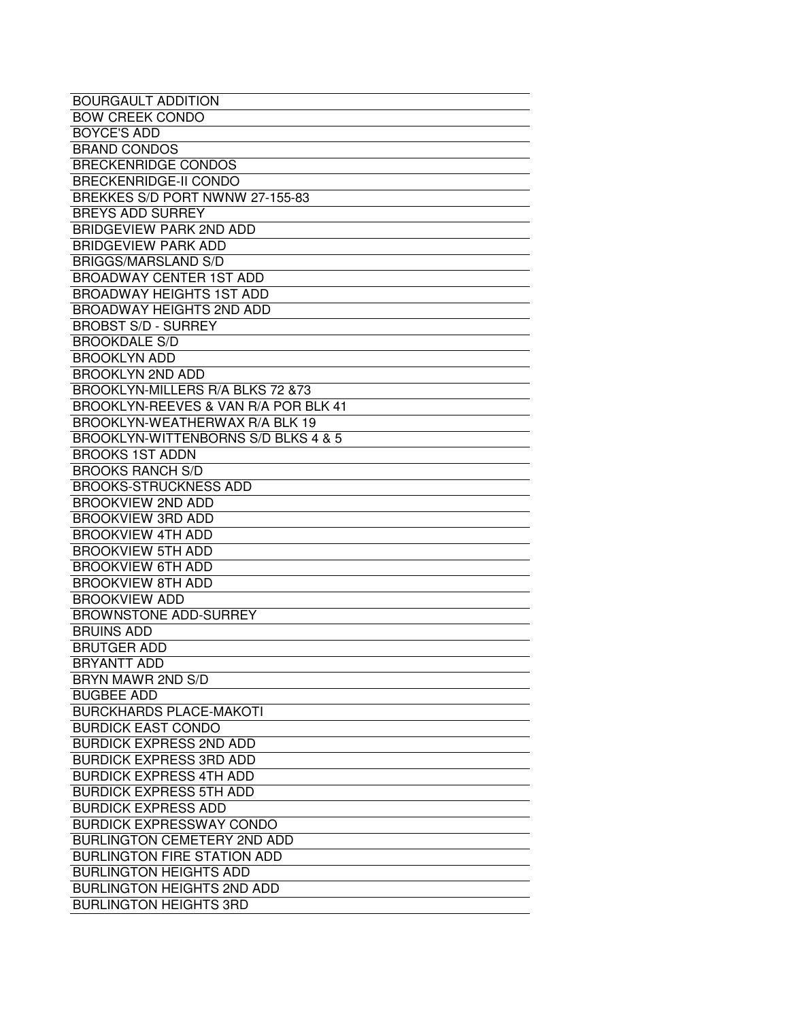| <b>BOURGAULT ADDITION</b>            |
|--------------------------------------|
| <b>BOW CREEK CONDO</b>               |
| <b>BOYCE'S ADD</b>                   |
| <b>BRAND CONDOS</b>                  |
| <b>BRECKENRIDGE CONDOS</b>           |
| <b>BRECKENRIDGE-II CONDO</b>         |
| BREKKES S/D PORT NWNW 27-155-83      |
| <b>BREYS ADD SURREY</b>              |
| <b>BRIDGEVIEW PARK 2ND ADD</b>       |
| <b>BRIDGEVIEW PARK ADD</b>           |
| <b>BRIGGS/MARSLAND S/D</b>           |
| <b>BROADWAY CENTER 1ST ADD</b>       |
| <b>BROADWAY HEIGHTS 1ST ADD</b>      |
|                                      |
| <b>BROADWAY HEIGHTS 2ND ADD</b>      |
| <b>BROBST S/D - SURREY</b>           |
| <b>BROOKDALE S/D</b>                 |
| <b>BROOKLYN ADD</b>                  |
| <b>BROOKLYN 2ND ADD</b>              |
| BROOKLYN-MILLERS R/A BLKS 72 & 73    |
| BROOKLYN-REEVES & VAN R/A POR BLK 41 |
| BROOKLYN-WEATHERWAX R/A BLK 19       |
| BROOKLYN-WITTENBORNS S/D BLKS 4 & 5  |
| <b>BROOKS 1ST ADDN</b>               |
| <b>BROOKS RANCH S/D</b>              |
| <b>BROOKS-STRUCKNESS ADD</b>         |
| <b>BROOKVIEW 2ND ADD</b>             |
| <b>BROOKVIEW 3RD ADD</b>             |
| <b>BROOKVIEW 4TH ADD</b>             |
| <b>BROOKVIEW 5TH ADD</b>             |
| <b>BROOKVIEW 6TH ADD</b>             |
| <b>BROOKVIEW 8TH ADD</b>             |
| <b>BROOKVIEW ADD</b>                 |
| <b>BROWNSTONE ADD-SURREY</b>         |
| <b>BRUINS ADD</b>                    |
| <b>BRUTGER ADD</b>                   |
| <b>BRYANTT ADD</b>                   |
| BRYN MAWR 2ND S/D                    |
| <b>BUGBEE ADD</b>                    |
| <b>BURCKHARDS PLACE-MAKOTI</b>       |
| <b>BURDICK EAST CONDO</b>            |
| <b>BURDICK EXPRESS 2ND ADD</b>       |
| <b>BURDICK EXPRESS 3RD ADD</b>       |
| <b>BURDICK EXPRESS 4TH ADD</b>       |
| <b>BURDICK EXPRESS 5TH ADD</b>       |
| <b>BURDICK EXPRESS ADD</b>           |
| <b>BURDICK EXPRESSWAY CONDO</b>      |
| <b>BURLINGTON CEMETERY 2ND ADD</b>   |
|                                      |
| <b>BURLINGTON FIRE STATION ADD</b>   |
| <b>BURLINGTON HEIGHTS ADD</b>        |
| <b>BURLINGTON HEIGHTS 2ND ADD</b>    |
| <b>BURLINGTON HEIGHTS 3RD</b>        |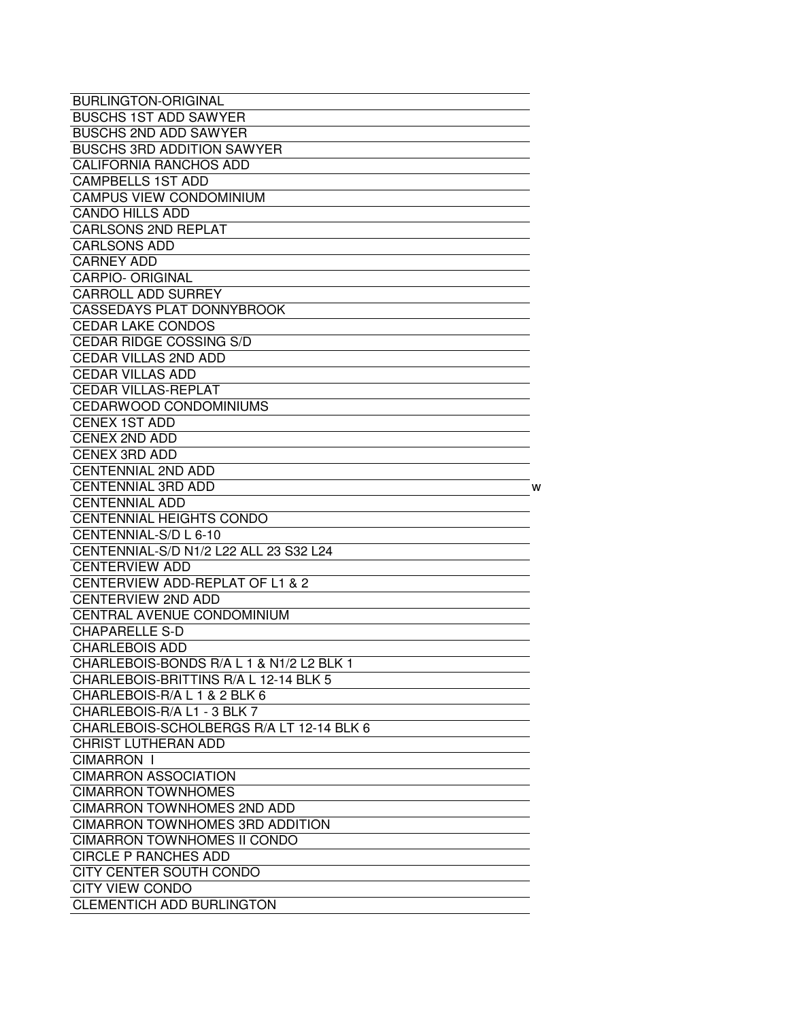| <b>BURLINGTON-ORIGINAL</b>               |
|------------------------------------------|
| <b>BUSCHS 1ST ADD SAWYER</b>             |
| <b>BUSCHS 2ND ADD SAWYER</b>             |
| <b>BUSCHS 3RD ADDITION SAWYER</b>        |
| <b>CALIFORNIA RANCHOS ADD</b>            |
| <b>CAMPBELLS 1ST ADD</b>                 |
| <b>CAMPUS VIEW CONDOMINIUM</b>           |
| <b>CANDO HILLS ADD</b>                   |
| <b>CARLSONS 2ND REPLAT</b>               |
| <b>CARLSONS ADD</b>                      |
| <b>CARNEY ADD</b>                        |
| <b>CARPIO- ORIGINAL</b>                  |
| <b>CARROLL ADD SURREY</b>                |
| <b>CASSEDAYS PLAT DONNYBROOK</b>         |
| <b>CEDAR LAKE CONDOS</b>                 |
| <b>CEDAR RIDGE COSSING S/D</b>           |
| <b>CEDAR VILLAS 2ND ADD</b>              |
| <b>CEDAR VILLAS ADD</b>                  |
| <b>CEDAR VILLAS-REPLAT</b>               |
| CEDARWOOD CONDOMINIUMS                   |
| <b>CENEX 1ST ADD</b>                     |
| <b>CENEX 2ND ADD</b>                     |
| <b>CENEX 3RD ADD</b>                     |
| <b>CENTENNIAL 2ND ADD</b>                |
| <b>CENTENNIAL 3RD ADD</b><br>W           |
| <b>CENTENNIAL ADD</b>                    |
| <b>CENTENNIAL HEIGHTS CONDO</b>          |
| CENTENNIAL-S/D L 6-10                    |
| CENTENNIAL-S/D N1/2 L22 ALL 23 S32 L24   |
| <b>CENTERVIEW ADD</b>                    |
| CENTERVIEW ADD-REPLAT OF L1 & 2          |
| <b>CENTERVIEW 2ND ADD</b>                |
| CENTRAL AVENUE CONDOMINIUM               |
| <b>CHAPARELLE S-D</b>                    |
| <b>CHARLEBOIS ADD</b>                    |
| CHARLEBOIS-BONDS R/A L 1 & N1/2 L2 BLK 1 |
| CHARLEBOIS-BRITTINS R/A L 12-14 BLK 5    |
| CHARLEBOIS-R/A L 1 & 2 BLK 6             |
| CHARLEBOIS-R/A L1 - 3 BLK 7              |
| CHARLEBOIS-SCHOLBERGS R/A LT 12-14 BLK 6 |
| <b>CHRIST LUTHERAN ADD</b>               |
| <b>CIMARRON I</b>                        |
| <b>CIMARRON ASSOCIATION</b>              |
| <b>CIMARRON TOWNHOMES</b>                |
| <b>CIMARRON TOWNHOMES 2ND ADD</b>        |
| <b>CIMARRON TOWNHOMES 3RD ADDITION</b>   |
| <b>CIMARRON TOWNHOMES II CONDO</b>       |
| <b>CIRCLE P RANCHES ADD</b>              |
| CITY CENTER SOUTH CONDO                  |
| <b>CITY VIEW CONDO</b>                   |
| <b>CLEMENTICH ADD BURLINGTON</b>         |
|                                          |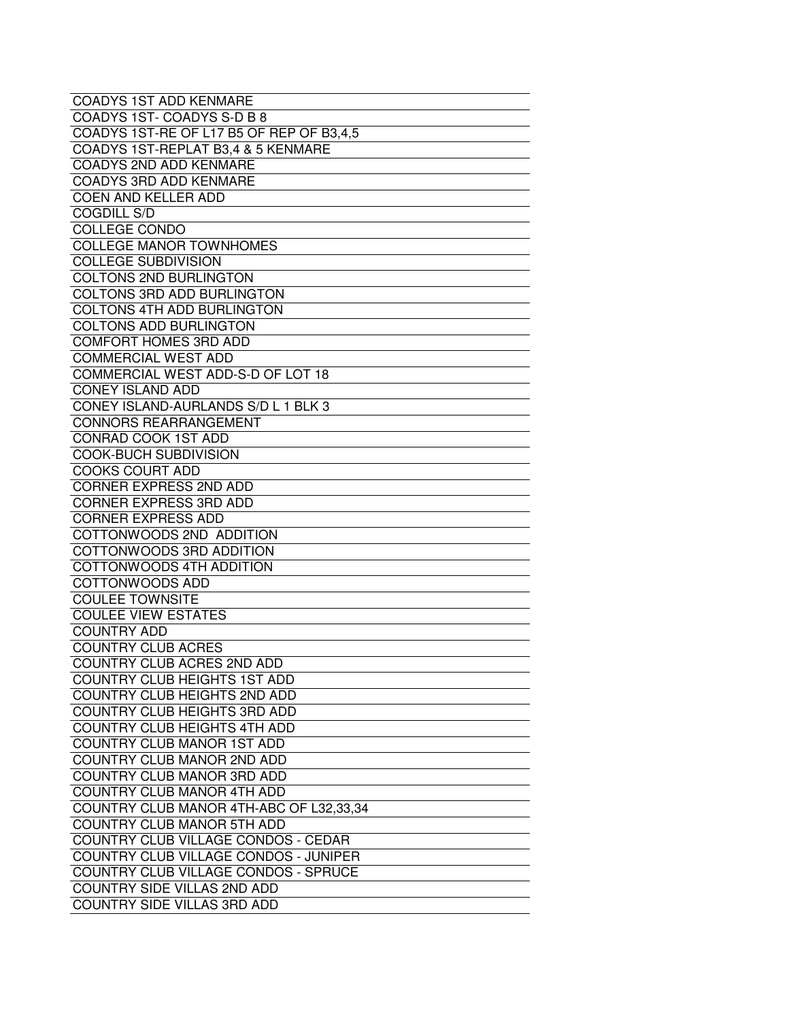| <b>COADYS 1ST ADD KENMARE</b>            |
|------------------------------------------|
| COADYS 1ST- COADYS S-D B 8               |
| COADYS 1ST-RE OF L17 B5 OF REP OF B3,4,5 |
| COADYS 1ST-REPLAT B3,4 & 5 KENMARE       |
| <b>COADYS 2ND ADD KENMARE</b>            |
| <b>COADYS 3RD ADD KENMARE</b>            |
| <b>COEN AND KELLER ADD</b>               |
| <b>COGDILL S/D</b>                       |
| <b>COLLEGE CONDO</b>                     |
| <b>COLLEGE MANOR TOWNHOMES</b>           |
| <b>COLLEGE SUBDIVISION</b>               |
| <b>COLTONS 2ND BURLINGTON</b>            |
| COLTONS 3RD ADD BURLINGTON               |
| COLTONS 4TH ADD BURLINGTON               |
| <b>COLTONS ADD BURLINGTON</b>            |
| <b>COMFORT HOMES 3RD ADD</b>             |
| <b>COMMERCIAL WEST ADD</b>               |
| COMMERCIAL WEST ADD-S-D OF LOT 18        |
| <b>CONEY ISLAND ADD</b>                  |
| CONEY ISLAND-AURLANDS S/D L 1 BLK 3      |
| <b>CONNORS REARRANGEMENT</b>             |
| <b>CONRAD COOK 1ST ADD</b>               |
| <b>COOK-BUCH SUBDIVISION</b>             |
| <b>COOKS COURT ADD</b>                   |
| CORNER EXPRESS 2ND ADD                   |
| <b>CORNER EXPRESS 3RD ADD</b>            |
| <b>CORNER EXPRESS ADD</b>                |
| COTTONWOODS 2ND ADDITION                 |
| COTTONWOODS 3RD ADDITION                 |
| COTTONWOODS 4TH ADDITION                 |
| COTTONWOODS ADD                          |
| <b>COULEE TOWNSITE</b>                   |
| <b>COULEE VIEW ESTATES</b>               |
| <b>COUNTRY ADD</b>                       |
|                                          |
| <b>COUNTRY CLUB ACRES</b>                |
| COUNTRY CLUB ACRES 2ND ADD               |
| <b>COUNTRY CLUB HEIGHTS 1ST ADD</b>      |
| <b>COUNTRY CLUB HEIGHTS 2ND ADD</b>      |
| <b>COUNTRY CLUB HEIGHTS 3RD ADD</b>      |
| <b>COUNTRY CLUB HEIGHTS 4TH ADD</b>      |
| COUNTRY CLUB MANOR 1ST ADD               |
| COUNTRY CLUB MANOR 2ND ADD               |
| <b>COUNTRY CLUB MANOR 3RD ADD</b>        |
| <b>COUNTRY CLUB MANOR 4TH ADD</b>        |
| COUNTRY CLUB MANOR 4TH-ABC OF L32,33,34  |
| <b>COUNTRY CLUB MANOR 5TH ADD</b>        |
| COUNTRY CLUB VILLAGE CONDOS - CEDAR      |
| COUNTRY CLUB VILLAGE CONDOS - JUNIPER    |
| COUNTRY CLUB VILLAGE CONDOS - SPRUCE     |
| COUNTRY SIDE VILLAS 2ND ADD              |
| COUNTRY SIDE VILLAS 3RD ADD              |
|                                          |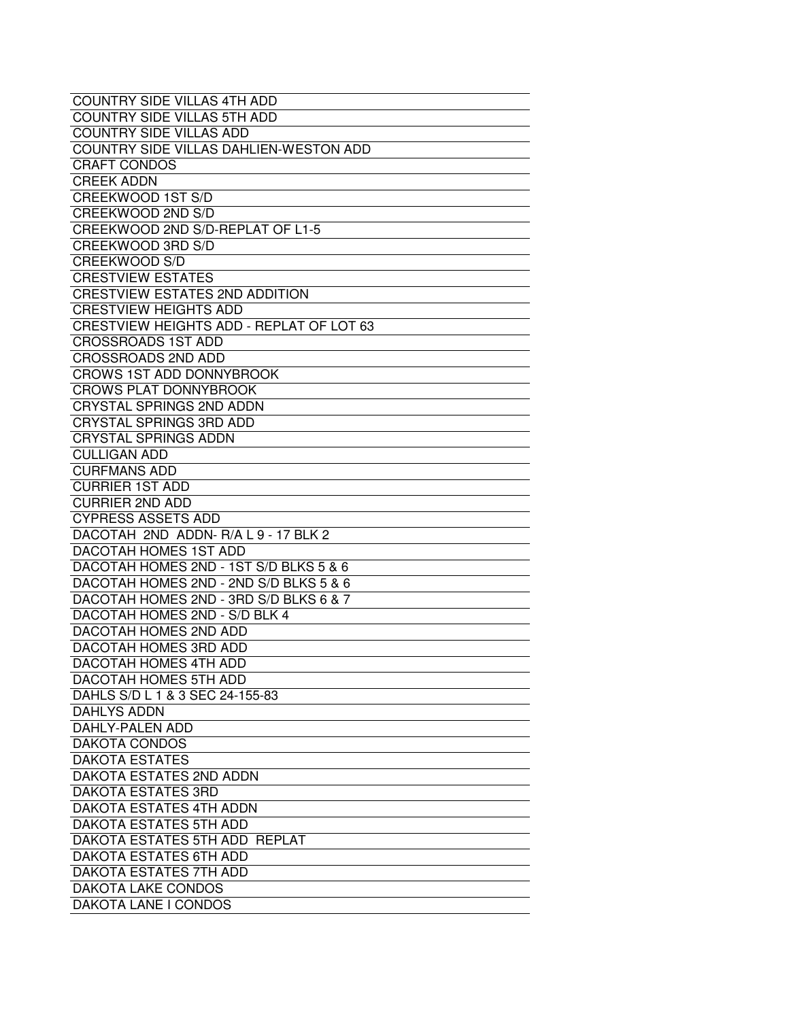| <b>COUNTRY SIDE VILLAS 4TH ADD</b>       |
|------------------------------------------|
| <b>COUNTRY SIDE VILLAS 5TH ADD</b>       |
| <b>COUNTRY SIDE VILLAS ADD</b>           |
| COUNTRY SIDE VILLAS DAHLIEN-WESTON ADD   |
| <b>CRAFT CONDOS</b>                      |
| <b>CREEK ADDN</b>                        |
| CREEKWOOD 1ST S/D                        |
| CREEKWOOD 2ND S/D                        |
| CREEKWOOD 2ND S/D-REPLAT OF L1-5         |
| CREEKWOOD 3RD S/D                        |
| <b>CREEKWOOD S/D</b>                     |
| <b>CRESTVIEW ESTATES</b>                 |
| <b>CRESTVIEW ESTATES 2ND ADDITION</b>    |
| <b>CRESTVIEW HEIGHTS ADD</b>             |
| CRESTVIEW HEIGHTS ADD - REPLAT OF LOT 63 |
| <b>CROSSROADS 1ST ADD</b>                |
| <b>CROSSROADS 2ND ADD</b>                |
| <b>CROWS 1ST ADD DONNYBROOK</b>          |
| <b>CROWS PLAT DONNYBROOK</b>             |
| <b>CRYSTAL SPRINGS 2ND ADDN</b>          |
| <b>CRYSTAL SPRINGS 3RD ADD</b>           |
| <b>CRYSTAL SPRINGS ADDN</b>              |
| <b>CULLIGAN ADD</b>                      |
| <b>CURFMANS ADD</b>                      |
| <b>CURRIER 1ST ADD</b>                   |
| <b>CURRIER 2ND ADD</b>                   |
| <b>CYPRESS ASSETS ADD</b>                |
| DACOTAH 2ND ADDN-R/A L 9 - 17 BLK 2      |
| DACOTAH HOMES 1ST ADD                    |
| DACOTAH HOMES 2ND - 1ST S/D BLKS 5 & 6   |
| DACOTAH HOMES 2ND - 2ND S/D BLKS 5 & 6   |
| DACOTAH HOMES 2ND - 3RD S/D BLKS 6 & 7   |
| DACOTAH HOMES 2ND - S/D BLK 4            |
| DACOTAH HOMES 2ND ADD                    |
| DACOTAH HOMES 3RD ADD                    |
| DACOTAH HOMES 4TH ADD                    |
| DACOTAH HOMES 5TH ADD                    |
| DAHLS S/D L 1 & 3 SEC 24-155-83          |
| <b>DAHLYS ADDN</b>                       |
| DAHLY-PALEN ADD                          |
| DAKOTA CONDOS                            |
| <b>DAKOTA ESTATES</b>                    |
| DAKOTA ESTATES 2ND ADDN                  |
| <b>DAKOTA ESTATES 3RD</b>                |
| DAKOTA ESTATES 4TH ADDN                  |
| DAKOTA ESTATES 5TH ADD                   |
| DAKOTA ESTATES 5TH ADD REPLAT            |
| DAKOTA ESTATES 6TH ADD                   |
| DAKOTA ESTATES 7TH ADD                   |
| DAKOTA LAKE CONDOS                       |
| <b>DAKOTA LANE I CONDOS</b>              |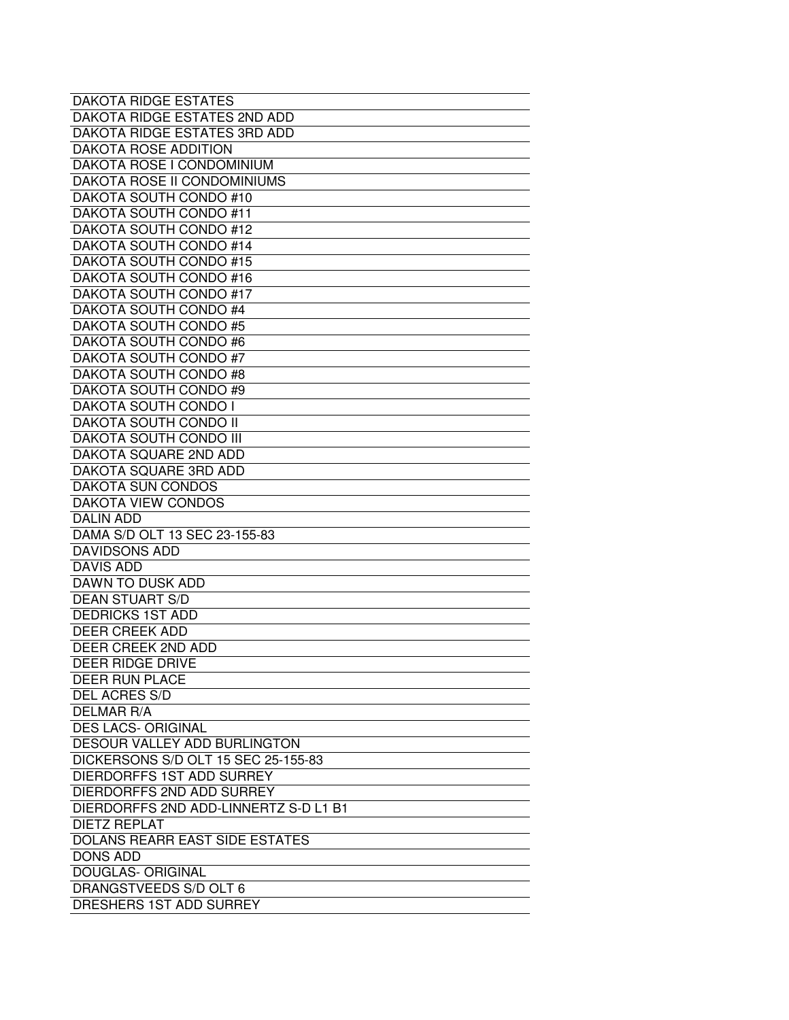| <b>DAKOTA RIDGE ESTATES</b>           |
|---------------------------------------|
| DAKOTA RIDGE ESTATES 2ND ADD          |
| <b>DAKOTA RIDGE ESTATES 3RD ADD</b>   |
| <b>DAKOTA ROSE ADDITION</b>           |
| DAKOTA ROSE I CONDOMINIUM             |
| DAKOTA ROSE II CONDOMINIUMS           |
| DAKOTA SOUTH CONDO #10                |
| DAKOTA SOUTH CONDO #11                |
| DAKOTA SOUTH CONDO #12                |
| DAKOTA SOUTH CONDO #14                |
| DAKOTA SOUTH CONDO #15                |
| DAKOTA SOUTH CONDO #16                |
| DAKOTA SOUTH CONDO #17                |
| DAKOTA SOUTH CONDO #4                 |
| DAKOTA SOUTH CONDO #5                 |
| DAKOTA SOUTH CONDO #6                 |
| DAKOTA SOUTH CONDO #7                 |
| DAKOTA SOUTH CONDO #8                 |
| DAKOTA SOUTH CONDO #9                 |
| DAKOTA SOUTH CONDO I                  |
| <b>DAKOTA SOUTH CONDO II</b>          |
| <b>DAKOTA SOUTH CONDO III</b>         |
| DAKOTA SQUARE 2ND ADD                 |
| DAKOTA SQUARE 3RD ADD                 |
| <b>DAKOTA SUN CONDOS</b>              |
| DAKOTA VIEW CONDOS                    |
| <b>DALIN ADD</b>                      |
| DAMA S/D OLT 13 SEC 23-155-83         |
| <b>DAVIDSONS ADD</b>                  |
| <b>DAVIS ADD</b>                      |
| <b>DAWN TO DUSK ADD</b>               |
| <b>DEAN STUART S/D</b>                |
| <b>DEDRICKS 1ST ADD</b>               |
| <b>DEER CREEK ADD</b>                 |
| DEER CREEK 2ND ADD                    |
| <b>DEER RIDGE DRIVE</b>               |
| <b>DEER RUN PLACE</b>                 |
| DEL ACRES S/D                         |
| <b>DELMAR R/A</b>                     |
| <b>DES LACS- ORIGINAL</b>             |
| DESOUR VALLEY ADD BURLINGTON          |
| DICKERSONS S/D OLT 15 SEC 25-155-83   |
| DIERDORFFS 1ST ADD SURREY             |
| DIERDORFFS 2ND ADD SURREY             |
| DIERDORFFS 2ND ADD-LINNERTZ S-D L1 B1 |
| <b>DIETZ REPLAT</b>                   |
| <b>DOLANS REARR EAST SIDE ESTATES</b> |
| DONS ADD                              |
| <b>DOUGLAS- ORIGINAL</b>              |
| DRANGSTVEEDS S/D OLT 6                |
| DRESHERS 1ST ADD SURREY               |
|                                       |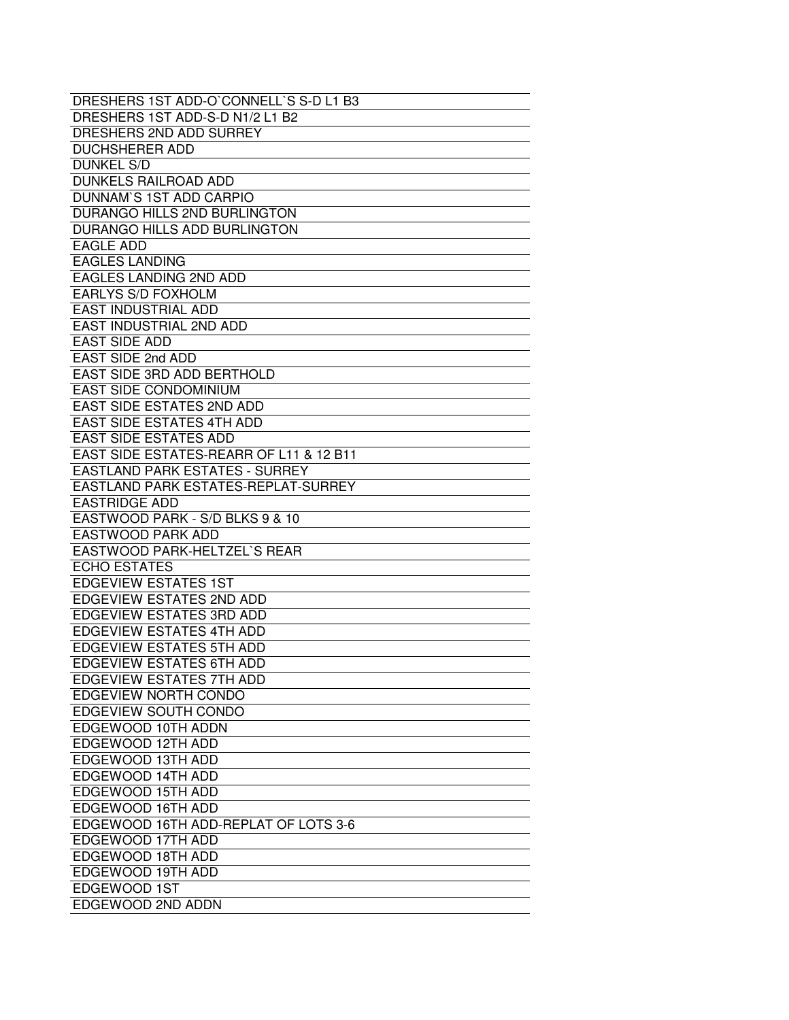| DRESHERS 1ST ADD-O`CONNELL`S S-D L1 B3  |
|-----------------------------------------|
| DRESHERS 1ST ADD-S-D N1/2 L1 B2         |
| DRESHERS 2ND ADD SURREY                 |
| <b>DUCHSHERER ADD</b>                   |
| <b>DUNKEL S/D</b>                       |
| <b>DUNKELS RAILROAD ADD</b>             |
| DUNNAM'S 1ST ADD CARPIO                 |
| DURANGO HILLS 2ND BURLINGTON            |
| DURANGO HILLS ADD BURLINGTON            |
| <b>EAGLE ADD</b>                        |
| <b>EAGLES LANDING</b>                   |
| EAGLES LANDING 2ND ADD                  |
| <b>EARLYS S/D FOXHOLM</b>               |
| <b>EAST INDUSTRIAL ADD</b>              |
| EAST INDUSTRIAL 2ND ADD                 |
| <b>EAST SIDE ADD</b>                    |
| EAST SIDE 2nd ADD                       |
|                                         |
| EAST SIDE 3RD ADD BERTHOLD              |
| <b>EAST SIDE CONDOMINIUM</b>            |
| <b>EAST SIDE ESTATES 2ND ADD</b>        |
| <b>EAST SIDE ESTATES 4TH ADD</b>        |
| <b>EAST SIDE ESTATES ADD</b>            |
| EAST SIDE ESTATES-REARR OF L11 & 12 B11 |
| <b>EASTLAND PARK ESTATES - SURREY</b>   |
| EASTLAND PARK ESTATES-REPLAT-SURREY     |
| <b>EASTRIDGE ADD</b>                    |
| EASTWOOD PARK - S/D BLKS 9 & 10         |
| <b>EASTWOOD PARK ADD</b>                |
| EASTWOOD PARK-HELTZEL'S REAR            |
| <b>ECHO ESTATES</b>                     |
| <b>EDGEVIEW ESTATES 1ST</b>             |
| <b>EDGEVIEW ESTATES 2ND ADD</b>         |
| <b>EDGEVIEW ESTATES 3RD ADD</b>         |
| <b>EDGEVIEW ESTATES 4TH ADD</b>         |
| <b>EDGEVIEW ESTATES 5TH ADD</b>         |
| <b>EDGEVIEW ESTATES 6TH ADD</b>         |
| <b>EDGEVIEW ESTATES 7TH ADD</b>         |
| EDGEVIEW NORTH CONDO                    |
| EDGEVIEW SOUTH CONDO                    |
| EDGEWOOD 10TH ADDN                      |
| EDGEWOOD 12TH ADD                       |
| EDGEWOOD 13TH ADD                       |
| EDGEWOOD 14TH ADD                       |
| EDGEWOOD 15TH ADD                       |
| EDGEWOOD 16TH ADD                       |
| EDGEWOOD 16TH ADD-REPLAT OF LOTS 3-6    |
| EDGEWOOD 17TH ADD                       |
| EDGEWOOD 18TH ADD                       |
| EDGEWOOD 19TH ADD                       |
| EDGEWOOD 1ST                            |
| EDGEWOOD 2ND ADDN                       |
|                                         |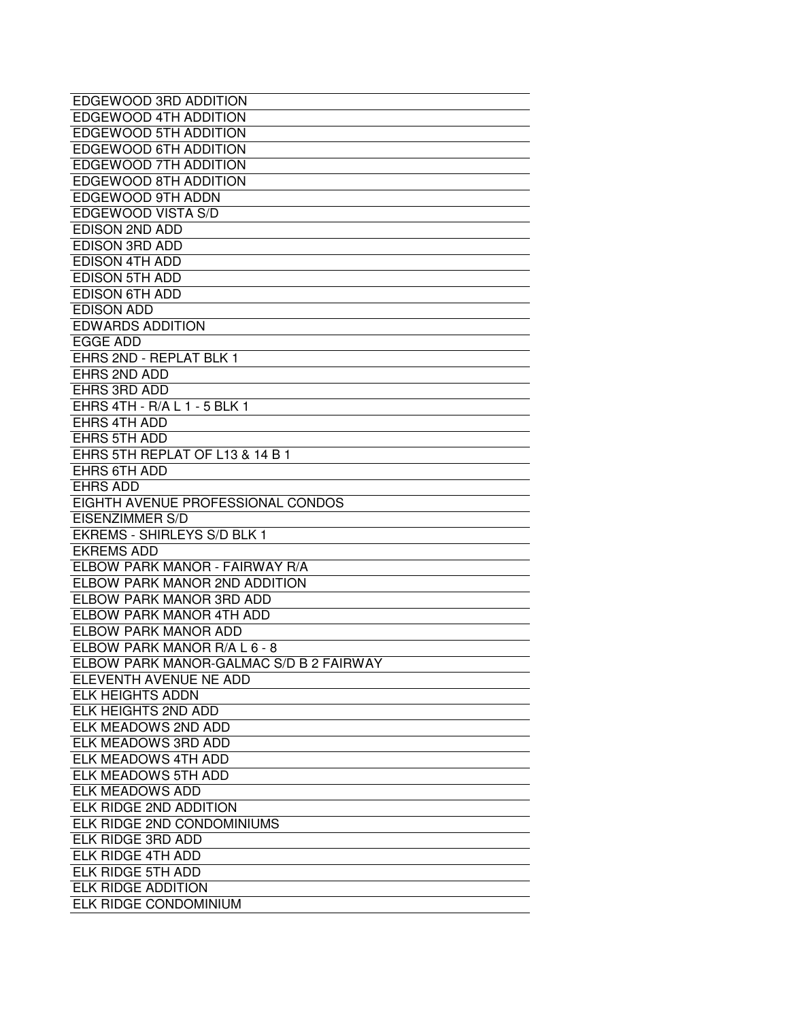| EDGEWOOD 3RD ADDITION                   |
|-----------------------------------------|
| <b>EDGEWOOD 4TH ADDITION</b>            |
| <b>EDGEWOOD 5TH ADDITION</b>            |
| <b>EDGEWOOD 6TH ADDITION</b>            |
| EDGEWOOD 7TH ADDITION                   |
| <b>EDGEWOOD 8TH ADDITION</b>            |
| EDGEWOOD 9TH ADDN                       |
| EDGEWOOD VISTA S/D                      |
| <b>EDISON 2ND ADD</b>                   |
| <b>EDISON 3RD ADD</b>                   |
| <b>EDISON 4TH ADD</b>                   |
| <b>EDISON 5TH ADD</b>                   |
| <b>EDISON 6TH ADD</b>                   |
| <b>EDISON ADD</b>                       |
| <b>EDWARDS ADDITION</b>                 |
| <b>EGGE ADD</b>                         |
| <b>EHRS 2ND - REPLAT BLK 1</b>          |
| EHRS 2ND ADD                            |
| EHRS 3RD ADD                            |
| EHRS 4TH - R/A L 1 - 5 BLK 1            |
| EHRS 4TH ADD                            |
| <b>EHRS 5TH ADD</b>                     |
| EHRS 5TH REPLAT OF L13 & 14 B 1         |
| EHRS 6TH ADD                            |
| <b>EHRS ADD</b>                         |
| EIGHTH AVENUE PROFESSIONAL CONDOS       |
| <b>EISENZIMMER S/D</b>                  |
| <b>EKREMS - SHIRLEYS S/D BLK 1</b>      |
| <b>EKREMS ADD</b>                       |
| ELBOW PARK MANOR - FAIRWAY R/A          |
| ELBOW PARK MANOR 2ND ADDITION           |
| ELBOW PARK MANOR 3RD ADD                |
| ELBOW PARK MANOR 4TH ADD                |
| ELBOW PARK MANOR ADD                    |
| ELBOW PARK MANOR R/A L 6 - 8            |
| ELBOW PARK MANOR-GALMAC S/D B 2 FAIRWAY |
| ELEVENTH AVENUE NE ADD                  |
| <b>ELK HEIGHTS ADDN</b>                 |
| ELK HEIGHTS 2ND ADD                     |
| ELK MEADOWS 2ND ADD                     |
| ELK MEADOWS 3RD ADD                     |
| ELK MEADOWS 4TH ADD                     |
| ELK MEADOWS 5TH ADD                     |
| <b>ELK MEADOWS ADD</b>                  |
| ELK RIDGE 2ND ADDITION                  |
| ELK RIDGE 2ND CONDOMINIUMS              |
| ELK RIDGE 3RD ADD                       |
| ELK RIDGE 4TH ADD                       |
| ELK RIDGE 5TH ADD                       |
| <b>ELK RIDGE ADDITION</b>               |
| ELK RIDGE CONDOMINIUM                   |
|                                         |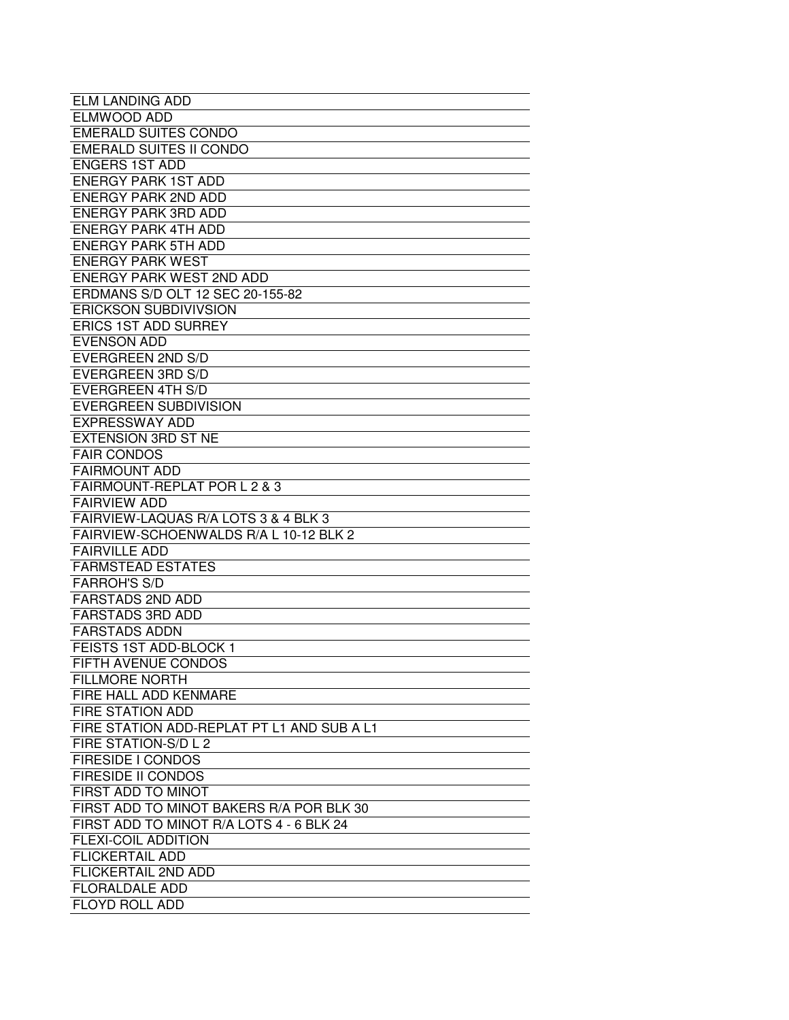| <b>ELM LANDING ADD</b>                     |
|--------------------------------------------|
| ELMWOOD ADD                                |
| <b>EMERALD SUITES CONDO</b>                |
| <b>EMERALD SUITES II CONDO</b>             |
| <b>ENGERS 1ST ADD</b>                      |
| <b>ENERGY PARK 1ST ADD</b>                 |
| <b>ENERGY PARK 2ND ADD</b>                 |
| <b>ENERGY PARK 3RD ADD</b>                 |
| <b>ENERGY PARK 4TH ADD</b>                 |
| <b>ENERGY PARK 5TH ADD</b>                 |
| <b>ENERGY PARK WEST</b>                    |
| <b>ENERGY PARK WEST 2ND ADD</b>            |
| ERDMANS S/D OLT 12 SEC 20-155-82           |
| <b>ERICKSON SUBDIVIVSION</b>               |
| <b>ERICS 1ST ADD SURREY</b>                |
| <b>EVENSON ADD</b>                         |
| <b>EVERGREEN 2ND S/D</b>                   |
| <b>EVERGREEN 3RD S/D</b>                   |
| <b>EVERGREEN 4TH S/D</b>                   |
| <b>EVERGREEN SUBDIVISION</b>               |
| <b>EXPRESSWAY ADD</b>                      |
| <b>EXTENSION 3RD ST NE</b>                 |
| <b>FAIR CONDOS</b>                         |
| <b>FAIRMOUNT ADD</b>                       |
| FAIRMOUNT-REPLAT POR L 2 & 3               |
| <b>FAIRVIEW ADD</b>                        |
| FAIRVIEW-LAQUAS R/A LOTS 3 & 4 BLK 3       |
| FAIRVIEW-SCHOENWALDS R/A L 10-12 BLK 2     |
| <b>FAIRVILLE ADD</b>                       |
| <b>FARMSTEAD ESTATES</b>                   |
| <b>FARROH'S S/D</b>                        |
| <b>FARSTADS 2ND ADD</b>                    |
| <b>FARSTADS 3RD ADD</b>                    |
| <b>FARSTADS ADDN</b>                       |
| FEISTS 1ST ADD-BLOCK 1                     |
| FIFTH AVENUE CONDOS                        |
| <b>FILLMORE NORTH</b>                      |
| FIRE HALL ADD KENMARE                      |
| <b>FIRE STATION ADD</b>                    |
| FIRE STATION ADD-REPLAT PT L1 AND SUB A L1 |
| FIRE STATION-S/D L 2                       |
| FIRESIDE I CONDOS                          |
| <b>FIRESIDE II CONDOS</b>                  |
| FIRST ADD TO MINOT                         |
| FIRST ADD TO MINOT BAKERS R/A POR BLK 30   |
| FIRST ADD TO MINOT R/A LOTS 4 - 6 BLK 24   |
| <b>FLEXI-COIL ADDITION</b>                 |
|                                            |
| <b>FLICKERTAIL ADD</b>                     |
| FLICKERTAIL 2ND ADD                        |
| <b>FLORALDALE ADD</b>                      |
| FLOYD ROLL ADD                             |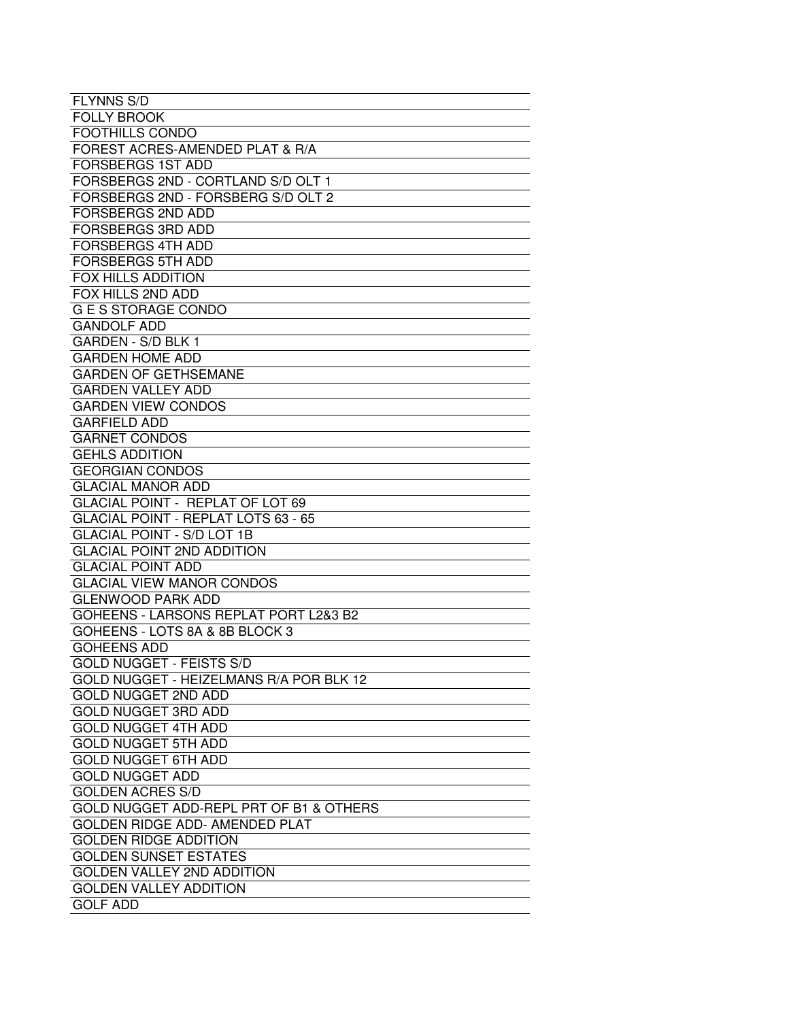| <b>FLYNNS S/D</b>                       |
|-----------------------------------------|
| <b>FOLLY BROOK</b>                      |
| <b>FOOTHILLS CONDO</b>                  |
| FOREST ACRES-AMENDED PLAT & R/A         |
| <b>FORSBERGS 1ST ADD</b>                |
| FORSBERGS 2ND - CORTLAND S/D OLT 1      |
| FORSBERGS 2ND - FORSBERG S/D OLT 2      |
| <b>FORSBERGS 2ND ADD</b>                |
| <b>FORSBERGS 3RD ADD</b>                |
| <b>FORSBERGS 4TH ADD</b>                |
| <b>FORSBERGS 5TH ADD</b>                |
| <b>FOX HILLS ADDITION</b>               |
| FOX HILLS 2ND ADD                       |
| G E S STORAGE CONDO                     |
| <b>GANDOLF ADD</b>                      |
| GARDEN - S/D BLK 1                      |
| <b>GARDEN HOME ADD</b>                  |
| <b>GARDEN OF GETHSEMANE</b>             |
| <b>GARDEN VALLEY ADD</b>                |
| <b>GARDEN VIEW CONDOS</b>               |
| <b>GARFIELD ADD</b>                     |
| <b>GARNET CONDOS</b>                    |
| <b>GEHLS ADDITION</b>                   |
| <b>GEORGIAN CONDOS</b>                  |
| <b>GLACIAL MANOR ADD</b>                |
| GLACIAL POINT - REPLAT OF LOT 69        |
| GLACIAL POINT - REPLAT LOTS 63 - 65     |
| <b>GLACIAL POINT - S/D LOT 1B</b>       |
| <b>GLACIAL POINT 2ND ADDITION</b>       |
| <b>GLACIAL POINT ADD</b>                |
| <b>GLACIAL VIEW MANOR CONDOS</b>        |
| <b>GLENWOOD PARK ADD</b>                |
| GOHEENS - LARSONS REPLAT PORT L2&3 B2   |
| GOHEENS - LOTS 8A & 8B BLOCK 3          |
| <b>GOHEENS ADD</b>                      |
| <b>GOLD NUGGET - FEISTS S/D</b>         |
| GOLD NUGGET - HEIZELMANS R/A POR BLK 12 |
| <b>GOLD NUGGET 2ND ADD</b>              |
| <b>GOLD NUGGET 3RD ADD</b>              |
| <b>GOLD NUGGET 4TH ADD</b>              |
| <b>GOLD NUGGET 5TH ADD</b>              |
| <b>GOLD NUGGET 6TH ADD</b>              |
| <b>GOLD NUGGET ADD</b>                  |
| <b>GOLDEN ACRES S/D</b>                 |
| GOLD NUGGET ADD-REPL PRT OF B1 & OTHERS |
| GOLDEN RIDGE ADD- AMENDED PLAT          |
| <b>GOLDEN RIDGE ADDITION</b>            |
| <b>GOLDEN SUNSET ESTATES</b>            |
| <b>GOLDEN VALLEY 2ND ADDITION</b>       |
| <b>GOLDEN VALLEY ADDITION</b>           |
| <b>GOLF ADD</b>                         |
|                                         |
|                                         |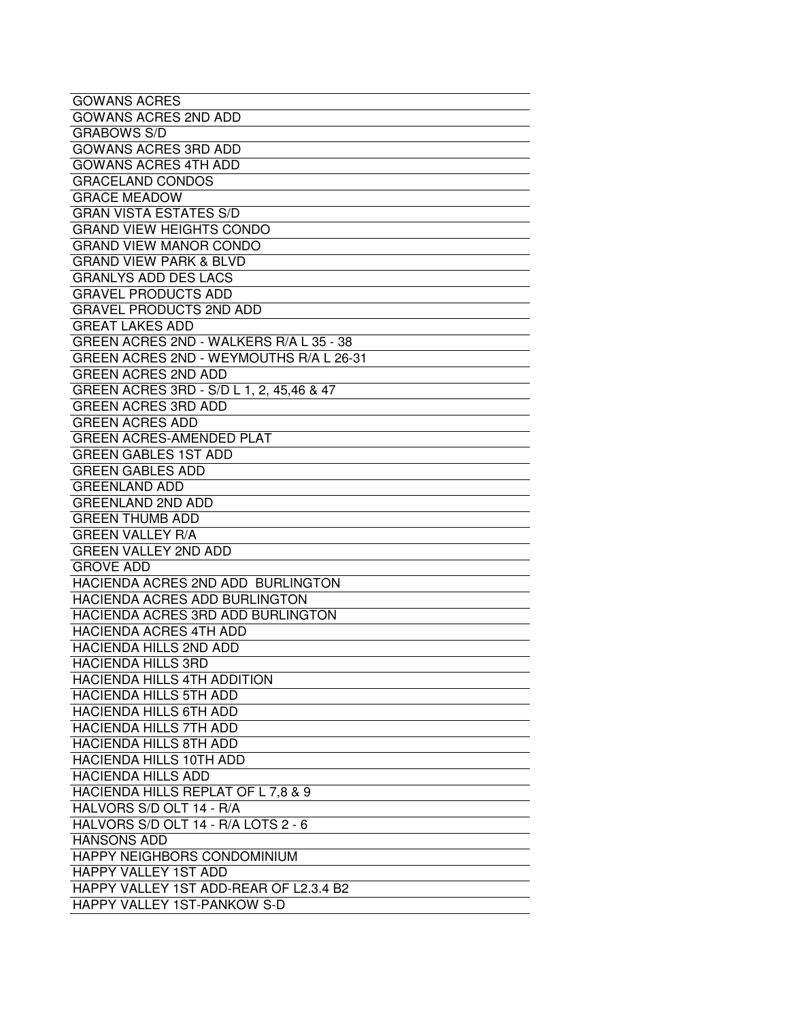| <b>GOWANS ACRES</b>                      |
|------------------------------------------|
| <b>GOWANS ACRES 2ND ADD</b>              |
| <b>GRABOWS S/D</b>                       |
| <b>GOWANS ACRES 3RD ADD</b>              |
| <b>GOWANS ACRES 4TH ADD</b>              |
| <b>GRACELAND CONDOS</b>                  |
| <b>GRACE MEADOW</b>                      |
| <b>GRAN VISTA ESTATES S/D</b>            |
| <b>GRAND VIEW HEIGHTS CONDO</b>          |
| <b>GRAND VIEW MANOR CONDO</b>            |
| <b>GRAND VIEW PARK &amp; BLVD</b>        |
| <b>GRANLYS ADD DES LACS</b>              |
| <b>GRAVEL PRODUCTS ADD</b>               |
| <b>GRAVEL PRODUCTS 2ND ADD</b>           |
| <b>GREAT LAKES ADD</b>                   |
| GREEN ACRES 2ND - WALKERS R/A L 35 - 38  |
| GREEN ACRES 2ND - WEYMOUTHS R/A L 26-31  |
| <b>GREEN ACRES 2ND ADD</b>               |
| GREEN ACRES 3RD - S/D L 1, 2, 45,46 & 47 |
| <b>GREEN ACRES 3RD ADD</b>               |
| <b>GREEN ACRES ADD</b>                   |
| <b>GREEN ACRES-AMENDED PLAT</b>          |
| <b>GREEN GABLES 1ST ADD</b>              |
| <b>GREEN GABLES ADD</b>                  |
| <b>GREENLAND ADD</b>                     |
| <b>GREENLAND 2ND ADD</b>                 |
| <b>GREEN THUMB ADD</b>                   |
| <b>GREEN VALLEY R/A</b>                  |
| <b>GREEN VALLEY 2ND ADD</b>              |
| <b>GROVE ADD</b>                         |
| HACIENDA ACRES 2ND ADD BURLINGTON        |
| <b>HACIENDA ACRES ADD BURLINGTON</b>     |
| HACIENDA ACRES 3RD ADD BURLINGTON        |
| <b>HACIENDA ACRES 4TH ADD</b>            |
| <b>HACIENDA HILLS 2ND ADD</b>            |
| <b>HACIENDA HILLS 3RD</b>                |
| HACIENDA HILLS 4TH ADDITION              |
| HACIENDA HILLS 5TH ADD                   |
| <b>HACIENDA HILLS 6TH ADD</b>            |
| HACIENDA HILLS 7TH ADD                   |
| HACIENDA HILLS 8TH ADD                   |
| <b>HACIENDA HILLS 10TH ADD</b>           |
| <b>HACIENDA HILLS ADD</b>                |
| HACIENDA HILLS REPLAT OF L 7,8 & 9       |
| HALVORS S/D OLT 14 - R/A                 |
| HALVORS S/D OLT 14 - R/A LOTS 2 - 6      |
| <b>HANSONS ADD</b>                       |
| HAPPY NEIGHBORS CONDOMINIUM              |
| HAPPY VALLEY 1ST ADD                     |
| HAPPY VALLEY 1ST ADD-REAR OF L2.3.4 B2   |
| HAPPY VALLEY 1ST-PANKOW S-D              |
|                                          |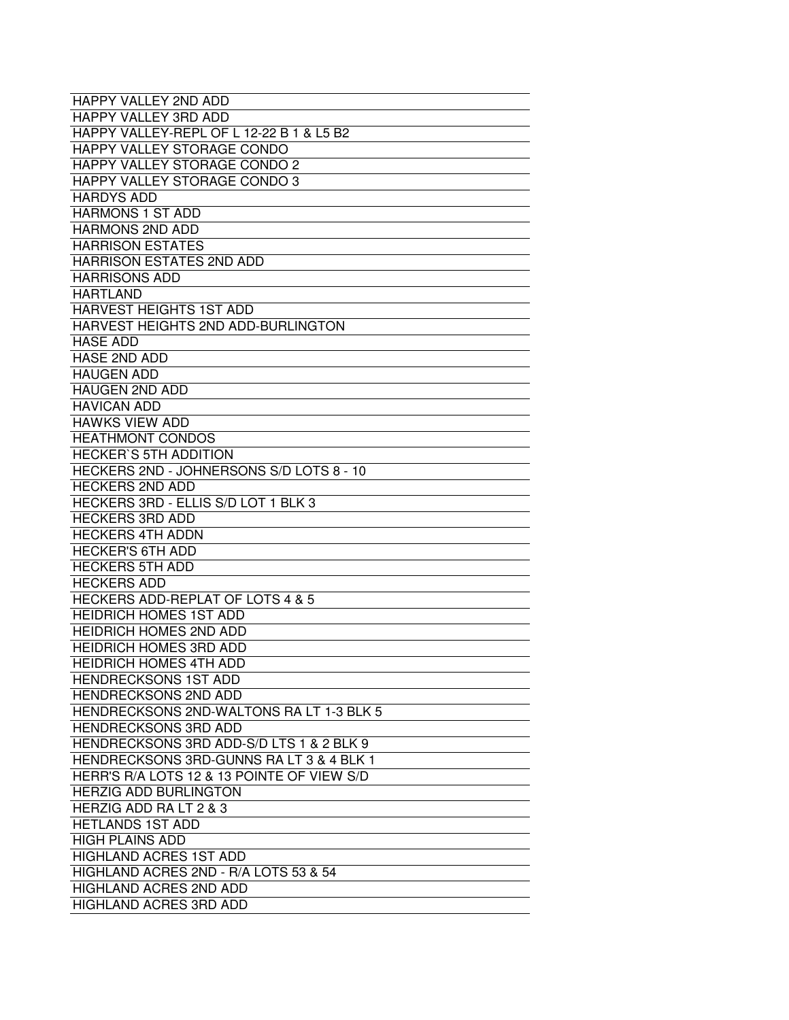| <b>HAPPY VALLEY 2ND ADD</b>                 |
|---------------------------------------------|
| <b>HAPPY VALLEY 3RD ADD</b>                 |
| HAPPY VALLEY-REPL OF L 12-22 B 1 & L5 B2    |
| HAPPY VALLEY STORAGE CONDO                  |
| <b>HAPPY VALLEY STORAGE CONDO 2</b>         |
| HAPPY VALLEY STORAGE CONDO 3                |
| <b>HARDYS ADD</b>                           |
| <b>HARMONS 1 ST ADD</b>                     |
| <b>HARMONS 2ND ADD</b>                      |
| <b>HARRISON ESTATES</b>                     |
| <b>HARRISON ESTATES 2ND ADD</b>             |
| <b>HARRISONS ADD</b>                        |
| <b>HARTLAND</b>                             |
| <b>HARVEST HEIGHTS 1ST ADD</b>              |
| HARVEST HEIGHTS 2ND ADD-BURLINGTON          |
| <b>HASE ADD</b>                             |
| <b>HASE 2ND ADD</b>                         |
| <b>HAUGEN ADD</b>                           |
| <b>HAUGEN 2ND ADD</b>                       |
| <b>HAVICAN ADD</b>                          |
| <b>HAWKS VIEW ADD</b>                       |
| <b>HEATHMONT CONDOS</b>                     |
| <b>HECKER'S 5TH ADDITION</b>                |
| HECKERS 2ND - JOHNERSONS S/D LOTS 8 - 10    |
| <b>HECKERS 2ND ADD</b>                      |
| HECKERS 3RD - ELLIS S/D LOT 1 BLK 3         |
| <b>HECKERS 3RD ADD</b>                      |
| <b>HECKERS 4TH ADDN</b>                     |
| <b>HECKER'S 6TH ADD</b>                     |
| <b>HECKERS 5TH ADD</b>                      |
| <b>HECKERS ADD</b>                          |
| <b>HECKERS ADD-REPLAT OF LOTS 4 &amp; 5</b> |
| <b>HEIDRICH HOMES 1ST ADD</b>               |
| <b>HEIDRICH HOMES 2ND ADD</b>               |
| <b>HEIDRICH HOMES 3RD ADD</b>               |
| HEIDRICH HOMES 4TH ADD                      |
| <b>HENDRECKSONS 1ST ADD</b>                 |
| <b>HENDRECKSONS 2ND ADD</b>                 |
| HENDRECKSONS 2ND-WALTONS RALT 1-3 BLK 5     |
| <b>HENDRECKSONS 3RD ADD</b>                 |
| HENDRECKSONS 3RD ADD-S/D LTS 1 & 2 BLK 9    |
| HENDRECKSONS 3RD-GUNNS RALT 3 & 4 BLK 1     |
| HERR'S R/A LOTS 12 & 13 POINTE OF VIEW S/D  |
| <b>HERZIG ADD BURLINGTON</b>                |
| HERZIG ADD RA LT 2 & 3                      |
| <b>HETLANDS 1ST ADD</b>                     |
| <b>HIGH PLAINS ADD</b>                      |
| <b>HIGHLAND ACRES 1ST ADD</b>               |
| HIGHLAND ACRES 2ND - R/A LOTS 53 & 54       |
| <b>HIGHLAND ACRES 2ND ADD</b>               |
| <b>HIGHLAND ACRES 3RD ADD</b>               |
|                                             |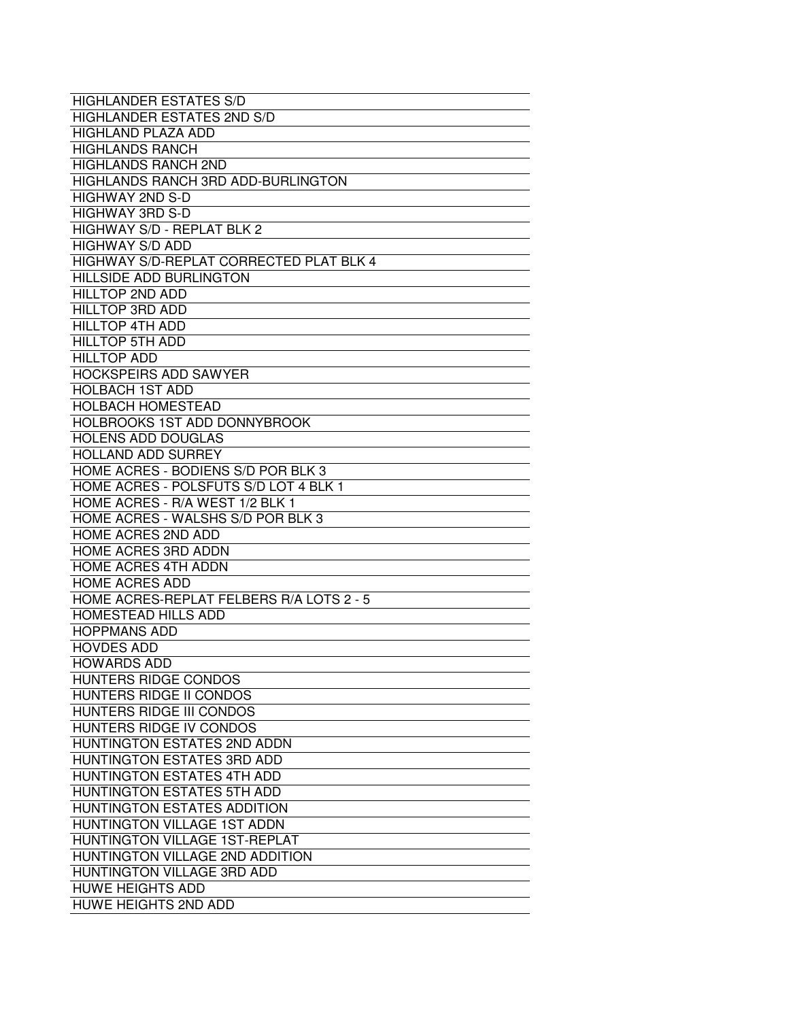| <b>HIGHLANDER ESTATES S/D</b>                  |
|------------------------------------------------|
| <b>HIGHLANDER ESTATES 2ND S/D</b>              |
| <b>HIGHLAND PLAZA ADD</b>                      |
| <b>HIGHLANDS RANCH</b>                         |
| <b>HIGHLANDS RANCH 2ND</b>                     |
| <b>HIGHLANDS RANCH 3RD ADD-BURLINGTON</b>      |
| <b>HIGHWAY 2ND S-D</b>                         |
| <b>HIGHWAY 3RD S-D</b>                         |
| HIGHWAY S/D - REPLAT BLK 2                     |
| <b>HIGHWAY S/D ADD</b>                         |
| <b>HIGHWAY S/D-REPLAT CORRECTED PLAT BLK 4</b> |
| <b>HILLSIDE ADD BURLINGTON</b>                 |
| <b>HILLTOP 2ND ADD</b>                         |
| <b>HILLTOP 3RD ADD</b>                         |
| <b>HILLTOP 4TH ADD</b>                         |
| <b>HILLTOP 5TH ADD</b>                         |
| <b>HILLTOP ADD</b>                             |
| <b>HOCKSPEIRS ADD SAWYER</b>                   |
| <b>HOLBACH 1ST ADD</b>                         |
| <b>HOLBACH HOMESTEAD</b>                       |
| <b>HOLBROOKS 1ST ADD DONNYBROOK</b>            |
| <b>HOLENS ADD DOUGLAS</b>                      |
| <b>HOLLAND ADD SURREY</b>                      |
| HOME ACRES - BODIENS S/D POR BLK 3             |
| HOME ACRES - POLSFUTS S/D LOT 4 BLK 1          |
| HOME ACRES - R/A WEST 1/2 BLK 1                |
| HOME ACRES - WALSHS S/D POR BLK 3              |
| <b>HOME ACRES 2ND ADD</b>                      |
| HOME ACRES 3RD ADDN                            |
| HOME ACRES 4TH ADDN                            |
| <b>HOME ACRES ADD</b>                          |
| HOME ACRES-REPLAT FELBERS R/A LOTS 2 - 5       |
| <b>HOMESTEAD HILLS ADD</b>                     |
| <b>HOPPMANS ADD</b>                            |
| <b>HOVDES ADD</b>                              |
| <b>HOWARDS ADD</b>                             |
| HUNTERS RIDGE CONDOS                           |
| HUNTERS RIDGE II CONDOS                        |
| <b>HUNTERS RIDGE III CONDOS</b>                |
| HUNTERS RIDGE IV CONDOS                        |
| HUNTINGTON ESTATES 2ND ADDN                    |
| HUNTINGTON ESTATES 3RD ADD                     |
| HUNTINGTON ESTATES 4TH ADD                     |
| HUNTINGTON ESTATES 5TH ADD                     |
| HUNTINGTON ESTATES ADDITION                    |
| HUNTINGTON VILLAGE 1ST ADDN                    |
| HUNTINGTON VILLAGE 1ST-REPLAT                  |
| HUNTINGTON VILLAGE 2ND ADDITION                |
| HUNTINGTON VILLAGE 3RD ADD                     |
| <b>HUWE HEIGHTS ADD</b>                        |
| HUWE HEIGHTS 2ND ADD                           |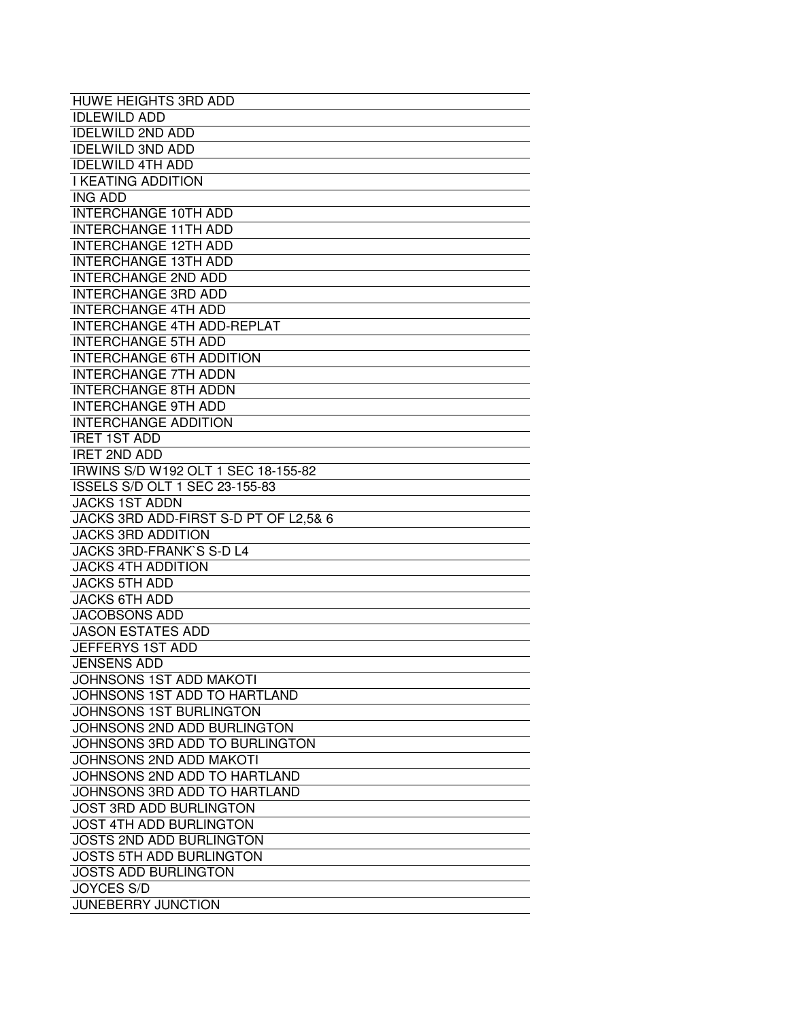| <b>HUWE HEIGHTS 3RD ADD</b>           |
|---------------------------------------|
| <b>IDLEWILD ADD</b>                   |
| <b>IDELWILD 2ND ADD</b>               |
| <b>IDELWILD 3ND ADD</b>               |
| <b>IDELWILD 4TH ADD</b>               |
| <b>I KEATING ADDITION</b>             |
| <b>ING ADD</b>                        |
| <b>INTERCHANGE 10TH ADD</b>           |
| <b>INTERCHANGE 11TH ADD</b>           |
| <b>INTERCHANGE 12TH ADD</b>           |
| <b>INTERCHANGE 13TH ADD</b>           |
| <b>INTERCHANGE 2ND ADD</b>            |
| <b>INTERCHANGE 3RD ADD</b>            |
| <b>INTERCHANGE 4TH ADD</b>            |
| <b>INTERCHANGE 4TH ADD-REPLAT</b>     |
| <b>INTERCHANGE 5TH ADD</b>            |
| <b>INTERCHANGE 6TH ADDITION</b>       |
| <b>INTERCHANGE 7TH ADDN</b>           |
| <b>INTERCHANGE 8TH ADDN</b>           |
| <b>INTERCHANGE 9TH ADD</b>            |
| <b>INTERCHANGE ADDITION</b>           |
| <b>IRET 1ST ADD</b>                   |
| <b>IRET 2ND ADD</b>                   |
| IRWINS S/D W192 OLT 1 SEC 18-155-82   |
| ISSELS S/D OLT 1 SEC 23-155-83        |
| <b>JACKS 1ST ADDN</b>                 |
| JACKS 3RD ADD-FIRST S-D PT OF L2,5& 6 |
| <b>JACKS 3RD ADDITION</b>             |
| JACKS 3RD-FRANK'S S-D L4              |
| <b>JACKS 4TH ADDITION</b>             |
| <b>JACKS 5TH ADD</b>                  |
| <b>JACKS 6TH ADD</b>                  |
| <b>JACOBSONS ADD</b>                  |
| <b>JASON ESTATES ADD</b>              |
| JEFFERYS 1ST ADD                      |
| <b>JENSENS ADD</b>                    |
| <b>JOHNSONS 1ST ADD MAKOTI</b>        |
| JOHNSONS 1ST ADD TO HARTLAND          |
| <b>JOHNSONS 1ST BURLINGTON</b>        |
| JOHNSONS 2ND ADD BURLINGTON           |
| JOHNSONS 3RD ADD TO BURLINGTON        |
| JOHNSONS 2ND ADD MAKOTI               |
| JOHNSONS 2ND ADD TO HARTLAND          |
| JOHNSONS 3RD ADD TO HARTLAND          |
| <b>JOST 3RD ADD BURLINGTON</b>        |
| <b>JOST 4TH ADD BURLINGTON</b>        |
| <b>JOSTS 2ND ADD BURLINGTON</b>       |
| <b>JOSTS 5TH ADD BURLINGTON</b>       |
| <b>JOSTS ADD BURLINGTON</b>           |
| <b>JOYCES S/D</b>                     |
| <b>JUNEBERRY JUNCTION</b>             |
|                                       |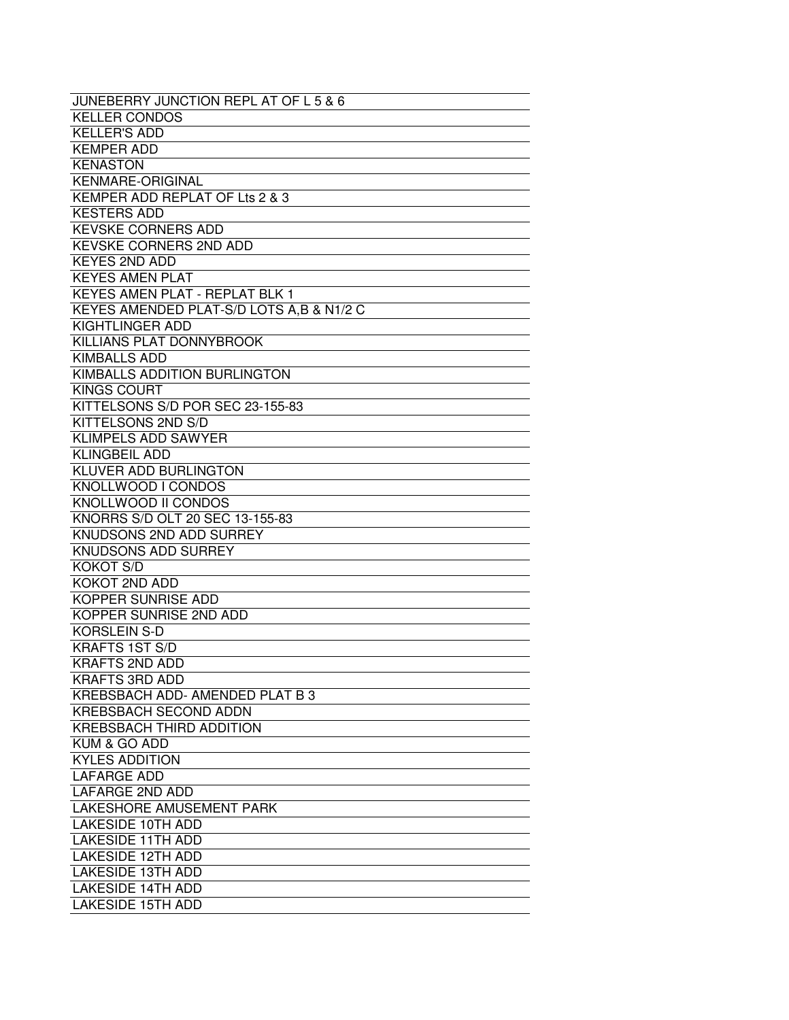| JUNEBERRY JUNCTION REPL AT OF L 5 & 6    |
|------------------------------------------|
| <b>KELLER CONDOS</b>                     |
| <b>KELLER'S ADD</b>                      |
| <b>KEMPER ADD</b>                        |
| <b>KENASTON</b>                          |
| <b>KENMARE-ORIGINAL</b>                  |
| KEMPER ADD REPLAT OF Lts 2 & 3           |
| <b>KESTERS ADD</b>                       |
| <b>KEVSKE CORNERS ADD</b>                |
| <b>KEVSKE CORNERS 2ND ADD</b>            |
| <b>KEYES 2ND ADD</b>                     |
| <b>KEYES AMEN PLAT</b>                   |
| <b>KEYES AMEN PLAT - REPLAT BLK 1</b>    |
| KEYES AMENDED PLAT-S/D LOTS A.B & N1/2 C |
| KIGHTLINGER ADD                          |
| KILLIANS PLAT DONNYBROOK                 |
| <b>KIMBALLS ADD</b>                      |
| KIMBALLS ADDITION BURLINGTON             |
| <b>KINGS COURT</b>                       |
| KITTELSONS S/D POR SEC 23-155-83         |
| <b>KITTELSONS 2ND S/D</b>                |
| <b>KLIMPELS ADD SAWYER</b>               |
| <b>KLINGBEIL ADD</b>                     |
| KLUVER ADD BURLINGTON                    |
| KNOLLWOOD I CONDOS                       |
| KNOLLWOOD II CONDOS                      |
| KNORRS S/D OLT 20 SEC 13-155-83          |
| KNUDSONS 2ND ADD SURREY                  |
| KNUDSONS ADD SURREY                      |
| <b>KOKOT S/D</b>                         |
| KOKOT 2ND ADD                            |
| <b>KOPPER SUNRISE ADD</b>                |
| <b>KOPPER SUNRISE 2ND ADD</b>            |
| <b>KORSLEIN S-D</b>                      |
| <b>KRAFTS 1ST S/D</b>                    |
| <b>KRAFTS 2ND ADD</b>                    |
| <b>KRAFTS 3RD ADD</b>                    |
| KREBSBACH ADD- AMENDED PLAT B 3          |
| <b>KREBSBACH SECOND ADDN</b>             |
| KREBSBACH THIRD ADDITION                 |
| KUM & GO ADD                             |
| <b>KYLES ADDITION</b>                    |
| <b>LAFARGE ADD</b>                       |
| <b>LAFARGE 2ND ADD</b>                   |
| LAKESHORE AMUSEMENT PARK                 |
| <b>LAKESIDE 10TH ADD</b>                 |
| <b>LAKESIDE 11TH ADD</b>                 |
| <b>LAKESIDE 12TH ADD</b>                 |
| <b>LAKESIDE 13TH ADD</b>                 |
| <b>LAKESIDE 14TH ADD</b>                 |
| <b>LAKESIDE 15TH ADD</b>                 |
|                                          |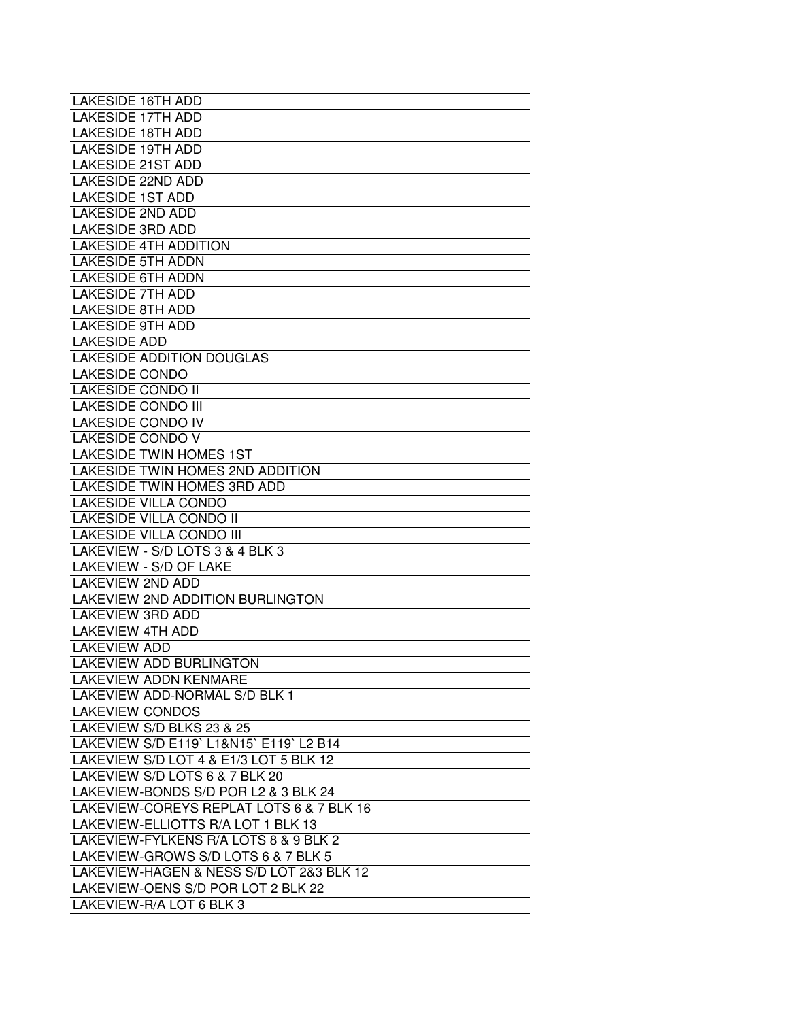| LAKESIDE 16TH ADD                        |
|------------------------------------------|
| <b>LAKESIDE 17TH ADD</b>                 |
| <b>LAKESIDE 18TH ADD</b>                 |
| <b>LAKESIDE 19TH ADD</b>                 |
| <b>LAKESIDE 21ST ADD</b>                 |
| <b>LAKESIDE 22ND ADD</b>                 |
| <b>LAKESIDE 1ST ADD</b>                  |
| <b>LAKESIDE 2ND ADD</b>                  |
| <b>LAKESIDE 3RD ADD</b>                  |
| <b>LAKESIDE 4TH ADDITION</b>             |
| <b>LAKESIDE 5TH ADDN</b>                 |
| <b>LAKESIDE 6TH ADDN</b>                 |
| <b>LAKESIDE 7TH ADD</b>                  |
| <b>LAKESIDE 8TH ADD</b>                  |
| <b>LAKESIDE 9TH ADD</b>                  |
| <b>LAKESIDE ADD</b>                      |
| <b>LAKESIDE ADDITION DOUGLAS</b>         |
| <b>LAKESIDE CONDO</b>                    |
| <b>LAKESIDE CONDO II</b>                 |
| <b>LAKESIDE CONDO III</b>                |
| <b>LAKESIDE CONDO IV</b>                 |
| <b>LAKESIDE CONDO V</b>                  |
| <b>LAKESIDE TWIN HOMES 1ST</b>           |
| LAKESIDE TWIN HOMES 2ND ADDITION         |
| LAKESIDE TWIN HOMES 3RD ADD              |
| <b>LAKESIDE VILLA CONDO</b>              |
| <b>LAKESIDE VILLA CONDO II</b>           |
| <b>LAKESIDE VILLA CONDO III</b>          |
| LAKEVIEW - S/D LOTS 3 & 4 BLK 3          |
| LAKEVIEW - S/D OF LAKE                   |
| <b>LAKEVIEW 2ND ADD</b>                  |
|                                          |
| <b>LAKEVIEW 2ND ADDITION BURLINGTON</b>  |
| <b>LAKEVIEW 3RD ADD</b>                  |
| <b>LAKEVIEW 4TH ADD</b>                  |
| <b>LAKEVIEW ADD</b>                      |
| <b>LAKEVIEW ADD BURLINGTON</b>           |
| <b>LAKEVIEW ADDN KENMARE</b>             |
| LAKEVIEW ADD-NORMAL S/D BLK 1            |
| <b>LAKEVIEW CONDOS</b>                   |
| LAKEVIEW S/D BLKS 23 & 25                |
| LAKEVIEW S/D E119' L1&N15' E119' L2 B14  |
| LAKEVIEW S/D LOT 4 & E1/3 LOT 5 BLK 12   |
| LAKEVIEW S/D LOTS 6 & 7 BLK 20           |
| LAKEVIEW-BONDS S/D POR L2 & 3 BLK 24     |
| LAKEVIEW-COREYS REPLAT LOTS 6 & 7 BLK 16 |
| LAKEVIEW-ELLIOTTS R/A LOT 1 BLK 13       |
| LAKEVIEW-FYLKENS R/A LOTS 8 & 9 BLK 2    |
| LAKEVIEW-GROWS S/D LOTS 6 & 7 BLK 5      |
| LAKEVIEW-HAGEN & NESS S/D LOT 2&3 BLK 12 |
| LAKEVIEW-OENS S/D POR LOT 2 BLK 22       |
| LAKEVIEW-R/A LOT 6 BLK 3                 |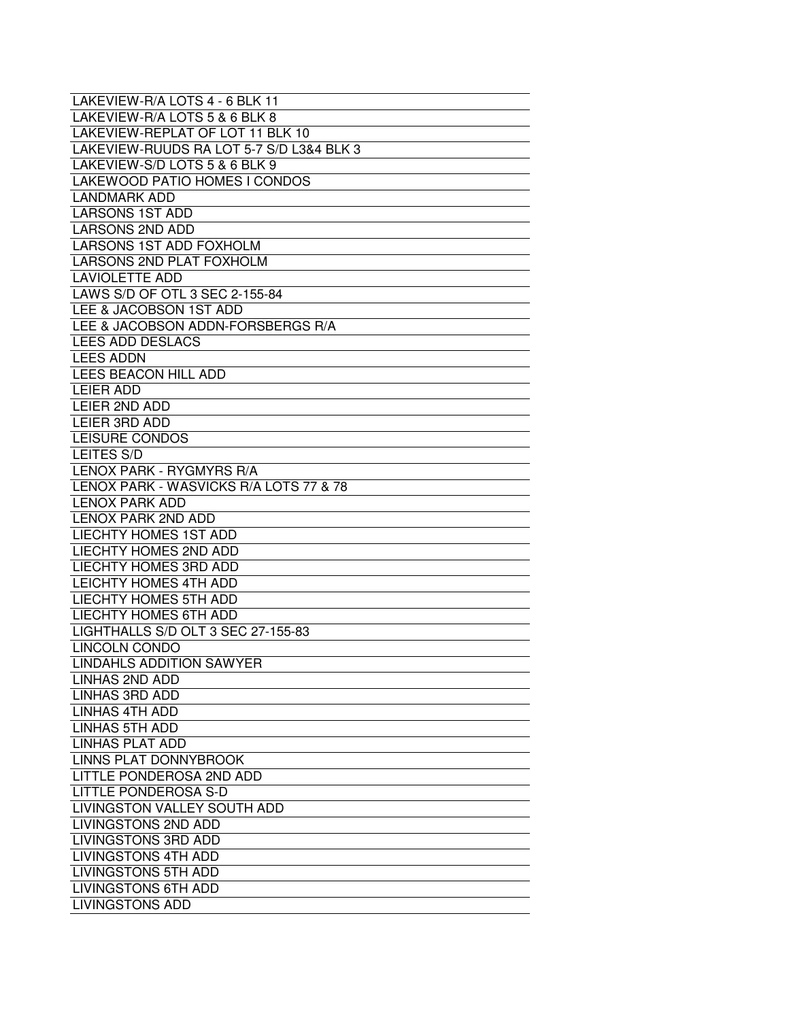| LAKEVIEW-R/A LOTS 4 - 6 BLK 11           |
|------------------------------------------|
| LAKEVIEW-R/A LOTS 5 & 6 BLK 8            |
| LAKEVIEW-REPLAT OF LOT 11 BLK 10         |
| LAKEVIEW-RUUDS RA LOT 5-7 S/D L3&4 BLK 3 |
| LAKEVIEW-S/D LOTS 5 & 6 BLK 9            |
| LAKEWOOD PATIO HOMES I CONDOS            |
| <b>LANDMARK ADD</b>                      |
| <b>LARSONS 1ST ADD</b>                   |
| <b>LARSONS 2ND ADD</b>                   |
| LARSONS 1ST ADD FOXHOLM                  |
| <b>LARSONS 2ND PLAT FOXHOLM</b>          |
| <b>LAVIOLETTE ADD</b>                    |
| LAWS S/D OF OTL 3 SEC 2-155-84           |
| LEE & JACOBSON 1ST ADD                   |
| LEE & JACOBSON ADDN-FORSBERGS R/A        |
| LEES ADD DESLACS                         |
| <b>LEES ADDN</b>                         |
| LEES BEACON HILL ADD                     |
| <b>LEIER ADD</b>                         |
| LEIER 2ND ADD                            |
| LEIER 3RD ADD                            |
| <b>LEISURE CONDOS</b>                    |
| LEITES S/D                               |
| LENOX PARK - RYGMYRS R/A                 |
| LENOX PARK - WASVICKS R/A LOTS 77 & 78   |
| <b>LENOX PARK ADD</b>                    |
| LENOX PARK 2ND ADD                       |
| <b>LIECHTY HOMES 1ST ADD</b>             |
| <b>LIECHTY HOMES 2ND ADD</b>             |
| <b>LIECHTY HOMES 3RD ADD</b>             |
| <b>LEICHTY HOMES 4TH ADD</b>             |
| LIECHTY HOMES 5TH ADD                    |
| <b>LIECHTY HOMES 6TH ADD</b>             |
| LIGHTHALLS S/D OLT 3 SEC 27-155-83       |
| LINCOLN CONDO                            |
| LINDAHLS ADDITION SAWYER                 |
| LINHAS 2ND ADD                           |
| <b>LINHAS 3RD ADD</b>                    |
| LINHAS 4TH ADD                           |
| <b>LINHAS 5TH ADD</b>                    |
| LINHAS PLAT ADD                          |
| <b>LINNS PLAT DONNYBROOK</b>             |
| LITTLE PONDEROSA 2ND ADD                 |
| <b>LITTLE PONDEROSA S-D</b>              |
| LIVINGSTON VALLEY SOUTH ADD              |
| <b>LIVINGSTONS 2ND ADD</b>               |
| LIVINGSTONS 3RD ADD                      |
| <b>LIVINGSTONS 4TH ADD</b>               |
| <b>LIVINGSTONS 5TH ADD</b>               |
| <b>LIVINGSTONS 6TH ADD</b>               |
| <b>LIVINGSTONS ADD</b>                   |
|                                          |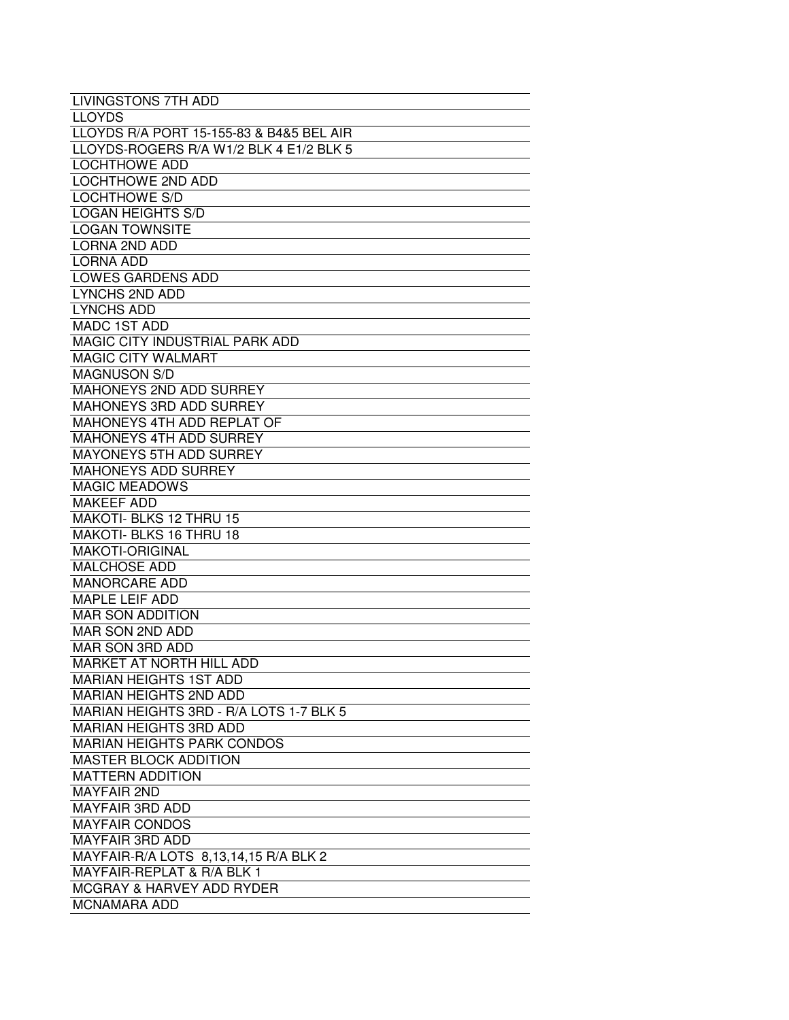| <b>LIVINGSTONS 7TH ADD</b>               |
|------------------------------------------|
| <b>LLOYDS</b>                            |
| LLOYDS R/A PORT 15-155-83 & B4&5 BEL AIR |
| LLOYDS-ROGERS R/A W1/2 BLK 4 E1/2 BLK 5  |
| <b>LOCHTHOWE ADD</b>                     |
| <b>LOCHTHOWE 2ND ADD</b>                 |
| <b>LOCHTHOWE S/D</b>                     |
| <b>LOGAN HEIGHTS S/D</b>                 |
| <b>LOGAN TOWNSITE</b>                    |
| <b>LORNA 2ND ADD</b>                     |
| <b>LORNA ADD</b>                         |
| <b>LOWES GARDENS ADD</b>                 |
| <b>LYNCHS 2ND ADD</b>                    |
| <b>LYNCHS ADD</b>                        |
| <b>MADC 1ST ADD</b>                      |
| <b>MAGIC CITY INDUSTRIAL PARK ADD</b>    |
| <b>MAGIC CITY WALMART</b>                |
| <b>MAGNUSON S/D</b>                      |
| MAHONEYS 2ND ADD SURREY                  |
| <b>MAHONEYS 3RD ADD SURREY</b>           |
| <b>MAHONEYS 4TH ADD REPLAT OF</b>        |
| <b>MAHONEYS 4TH ADD SURREY</b>           |
| MAYONEYS 5TH ADD SURREY                  |
| <b>MAHONEYS ADD SURREY</b>               |
| <b>MAGIC MEADOWS</b>                     |
| <b>MAKEEF ADD</b>                        |
| MAKOTI- BLKS 12 THRU 15                  |
| MAKOTI- BLKS 16 THRU 18                  |
| <b>MAKOTI-ORIGINAL</b>                   |
| <b>MALCHOSE ADD</b>                      |
| <b>MANORCARE ADD</b>                     |
| <b>MAPLE LEIF ADD</b>                    |
| <b>MAR SON ADDITION</b>                  |
| MAR SON 2ND ADD                          |
| MAR SON 3RD ADD                          |
| <b>MARKET AT NORTH HILL ADD</b>          |
| <b>MARIAN HEIGHTS 1ST ADD</b>            |
| <b>MARIAN HEIGHTS 2ND ADD</b>            |
| MARIAN HEIGHTS 3RD - R/A LOTS 1-7 BLK 5  |
| <b>MARIAN HEIGHTS 3RD ADD</b>            |
| <b>MARIAN HEIGHTS PARK CONDOS</b>        |
| <b>MASTER BLOCK ADDITION</b>             |
| <b>MATTERN ADDITION</b>                  |
| <b>MAYFAIR 2ND</b>                       |
| <b>MAYFAIR 3RD ADD</b>                   |
| <b>MAYFAIR CONDOS</b>                    |
|                                          |
| <b>MAYFAIR 3RD ADD</b>                   |
| MAYFAIR-R/A LOTS 8,13,14,15 R/A BLK 2    |
| MAYFAIR-REPLAT & R/A BLK 1               |
| <b>MCGRAY &amp; HARVEY ADD RYDER</b>     |
| <b>MCNAMARA ADD</b>                      |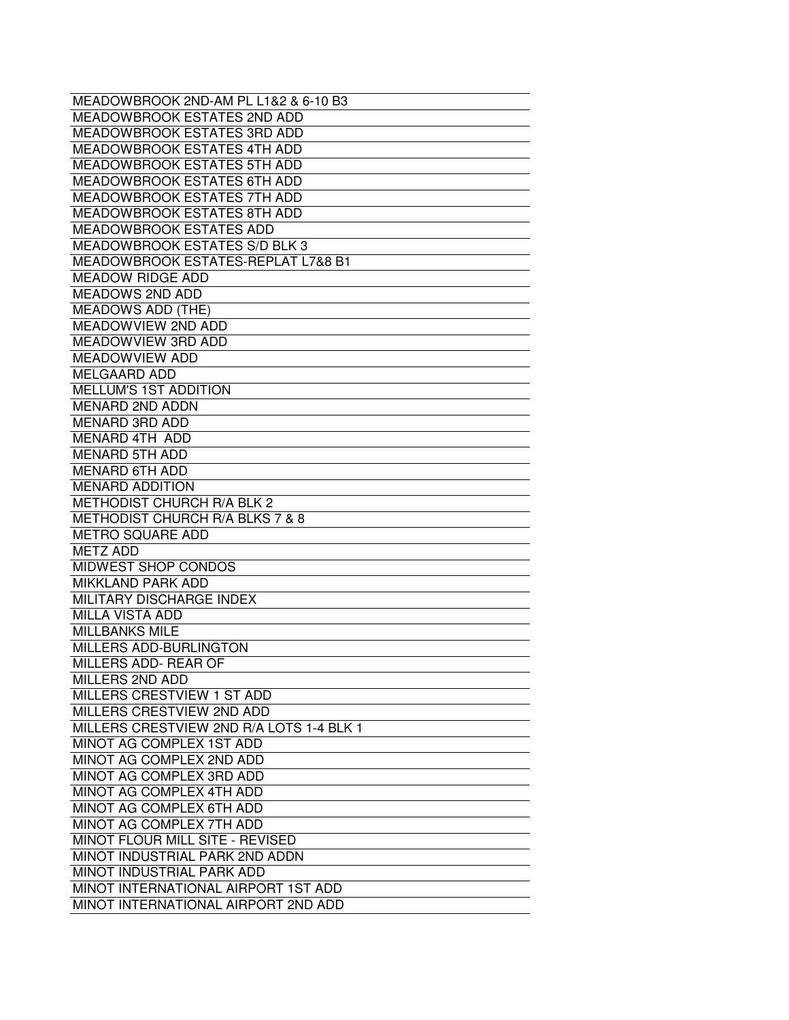| MEADOWBROOK 2ND-AM PL L1&2 & 6-10 B3     |
|------------------------------------------|
| <b>MEADOWBROOK ESTATES 2ND ADD</b>       |
| <b>MEADOWBROOK ESTATES 3RD ADD</b>       |
| <b>MEADOWBROOK ESTATES 4TH ADD</b>       |
| <b>MEADOWBROOK ESTATES 5TH ADD</b>       |
| <b>MEADOWBROOK ESTATES 6TH ADD</b>       |
| <b>MEADOWBROOK ESTATES 7TH ADD</b>       |
| MEADOWBROOK ESTATES 8TH ADD              |
| <b>MEADOWBROOK ESTATES ADD</b>           |
| <b>MEADOWBROOK ESTATES S/D BLK 3</b>     |
| MEADOWBROOK ESTATES-REPLAT L7&8 B1       |
| <b>MEADOW RIDGE ADD</b>                  |
| <b>MEADOWS 2ND ADD</b>                   |
| <b>MEADOWS ADD (THE)</b>                 |
| <b>MEADOWVIEW 2ND ADD</b>                |
| MEADOWVIEW 3RD ADD                       |
| <b>MEADOWVIEW ADD</b>                    |
| <b>MELGAARD ADD</b>                      |
| <b>MELLUM'S 1ST ADDITION</b>             |
| <b>MENARD 2ND ADDN</b>                   |
| <b>MENARD 3RD ADD</b>                    |
| MENARD 4TH ADD                           |
| <b>MENARD 5TH ADD</b>                    |
| <b>MENARD 6TH ADD</b>                    |
| <b>MENARD ADDITION</b>                   |
| <b>METHODIST CHURCH R/A BLK 2</b>        |
| METHODIST CHURCH R/A BLKS 7 & 8          |
| <b>METRO SQUARE ADD</b>                  |
| <b>METZ ADD</b>                          |
| MIDWEST SHOP CONDOS                      |
| <b>MIKKLAND PARK ADD</b>                 |
| MILITARY DISCHARGE INDEX                 |
| <b>MILLA VISTA ADD</b>                   |
| <b>MILLBANKS MILE</b>                    |
| MILLERS ADD-BURLINGTON                   |
| MILLERS ADD- REAR OF                     |
| MILLERS 2ND ADD                          |
| MILLERS CRESTVIEW 1 ST ADD               |
| MILLERS CRESTVIEW 2ND ADD                |
| MILLERS CRESTVIEW 2ND R/A LOTS 1-4 BLK 1 |
| MINOT AG COMPLEX 1ST ADD                 |
|                                          |
| MINOT AG COMPLEX 2ND ADD                 |
| MINOT AG COMPLEX 3RD ADD                 |
| MINOT AG COMPLEX 4TH ADD                 |
| MINOT AG COMPLEX 6TH ADD                 |
| MINOT AG COMPLEX 7TH ADD                 |
| <b>MINOT FLOUR MILL SITE - REVISED</b>   |
| MINOT INDUSTRIAL PARK 2ND ADDN           |
| MINOT INDUSTRIAL PARK ADD                |
| MINOT INTERNATIONAL AIRPORT 1ST ADD      |
| MINOT INTERNATIONAL AIRPORT 2ND ADD      |
|                                          |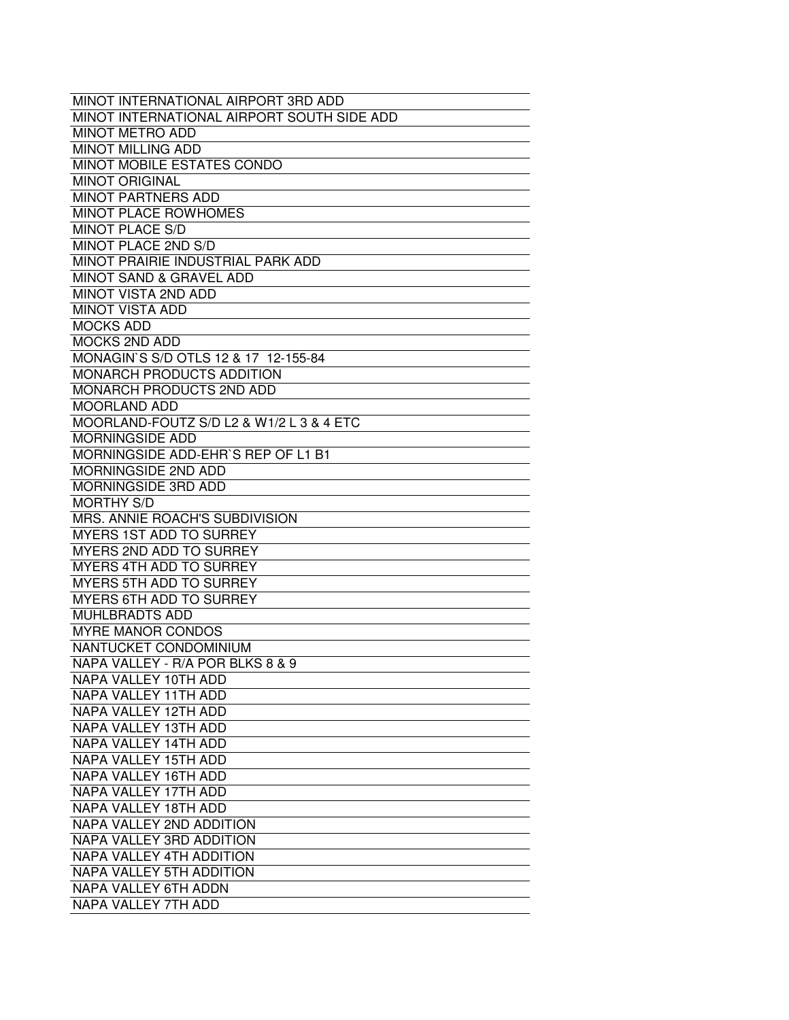| MINOT INTERNATIONAL AIRPORT 3RD ADD        |
|--------------------------------------------|
| MINOT INTERNATIONAL AIRPORT SOUTH SIDE ADD |
| <b>MINOT METRO ADD</b>                     |
| <b>MINOT MILLING ADD</b>                   |
| MINOT MOBILE ESTATES CONDO                 |
| <b>MINOT ORIGINAL</b>                      |
| <b>MINOT PARTNERS ADD</b>                  |
| <b>MINOT PLACE ROWHOMES</b>                |
| <b>MINOT PLACE S/D</b>                     |
| <b>MINOT PLACE 2ND S/D</b>                 |
| MINOT PRAIRIE INDUSTRIAL PARK ADD          |
| <b>MINOT SAND &amp; GRAVEL ADD</b>         |
| MINOT VISTA 2ND ADD                        |
| <b>MINOT VISTA ADD</b>                     |
| <b>MOCKS ADD</b>                           |
| <b>MOCKS 2ND ADD</b>                       |
| MONAGIN'S S/D OTLS 12 & 17 12-155-84       |
| <b>MONARCH PRODUCTS ADDITION</b>           |
| MONARCH PRODUCTS 2ND ADD                   |
| <b>MOORLAND ADD</b>                        |
| MOORLAND-FOUTZ S/D L2 & W1/2 L 3 & 4 ETC   |
| <b>MORNINGSIDE ADD</b>                     |
| MORNINGSIDE ADD-EHR'S REP OF L1 B1         |
|                                            |
| <b>MORNINGSIDE 2ND ADD</b>                 |
| MORNINGSIDE 3RD ADD                        |
| <b>MORTHY S/D</b>                          |
| MRS. ANNIE ROACH'S SUBDIVISION             |
| <b>MYERS 1ST ADD TO SURREY</b>             |
| MYERS 2ND ADD TO SURREY                    |
| MYERS 4TH ADD TO SURREY                    |
| MYERS 5TH ADD TO SURREY                    |
| <b>MYERS 6TH ADD TO SURREY</b>             |
| MUHLBRADTS ADD                             |
| <b>MYRE MANOR CONDOS</b>                   |
| NANTUCKET CONDOMINIUM                      |
| NAPA VALLEY - R/A POR BLKS 8 & 9           |
| NAPA VALLEY 10TH ADD                       |
| NAPA VALLEY 11TH ADD                       |
| NAPA VALLEY 12TH ADD                       |
| NAPA VALLEY 13TH ADD                       |
| NAPA VALLEY 14TH ADD                       |
| NAPA VALLEY 15TH ADD                       |
| NAPA VALLEY 16TH ADD                       |
| NAPA VALLEY 17TH ADD                       |
| NAPA VALLEY 18TH ADD                       |
| NAPA VALLEY 2ND ADDITION                   |
| NAPA VALLEY 3RD ADDITION                   |
| NAPA VALLEY 4TH ADDITION                   |
| NAPA VALLEY 5TH ADDITION                   |
| NAPA VALLEY 6TH ADDN                       |
|                                            |
| NAPA VALLEY 7TH ADD                        |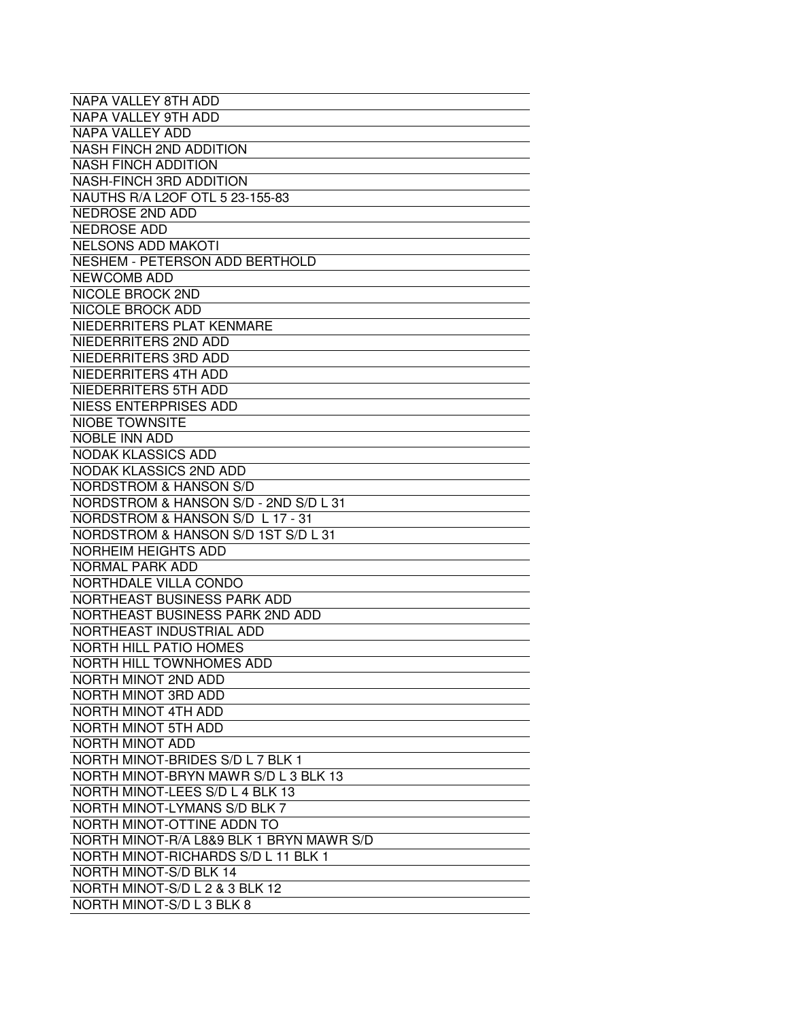| NAPA VALLEY 8TH ADD                      |
|------------------------------------------|
| NAPA VALLEY 9TH ADD                      |
| <b>NAPA VALLEY ADD</b>                   |
| <b>NASH FINCH 2ND ADDITION</b>           |
| <b>NASH FINCH ADDITION</b>               |
| <b>NASH-FINCH 3RD ADDITION</b>           |
| NAUTHS R/A L2OF OTL 5 23-155-83          |
| <b>NEDROSE 2ND ADD</b>                   |
| <b>NEDROSE ADD</b>                       |
| <b>NELSONS ADD MAKOTI</b>                |
| <b>NESHEM - PETERSON ADD BERTHOLD</b>    |
| <b>NEWCOMB ADD</b>                       |
| NICOLE BROCK 2ND                         |
| NICOLE BROCK ADD                         |
| NIEDERRITERS PLAT KENMARE                |
| NIEDERRITERS 2ND ADD                     |
| NIEDERRITERS 3RD ADD                     |
| NIEDERRITERS 4TH ADD                     |
| NIEDERRITERS 5TH ADD                     |
| <b>NIESS ENTERPRISES ADD</b>             |
| <b>NIOBE TOWNSITE</b>                    |
| NOBLE INN ADD                            |
| <b>NODAK KLASSICS ADD</b>                |
| <b>NODAK KLASSICS 2ND ADD</b>            |
| <b>NORDSTROM &amp; HANSON S/D</b>        |
| NORDSTROM & HANSON S/D - 2ND S/D L 31    |
| NORDSTROM & HANSON S/D L 17 - 31         |
| NORDSTROM & HANSON S/D 1ST S/D L 31      |
| <b>NORHEIM HEIGHTS ADD</b>               |
| <b>NORMAL PARK ADD</b>                   |
| NORTHDALE VILLA CONDO                    |
| NORTHEAST BUSINESS PARK ADD              |
| NORTHEAST BUSINESS PARK 2ND ADD          |
| NORTHEAST INDUSTRIAL ADD                 |
| <b>NORTH HILL PATIO HOMES</b>            |
| NORTH HILL TOWNHOMES ADD                 |
| NORTH MINOT 2ND ADD                      |
| NORTH MINOT 3RD ADD                      |
| NORTH MINOT 4TH ADD                      |
| NORTH MINOT 5TH ADD                      |
| NORTH MINOT ADD                          |
| NORTH MINOT-BRIDES S/D L 7 BLK 1         |
| NORTH MINOT-BRYN MAWR S/D L 3 BLK 13     |
| NORTH MINOT-LEES S/D L 4 BLK 13          |
| NORTH MINOT-LYMANS S/D BLK 7             |
| NORTH MINOT-OTTINE ADDN TO               |
| NORTH MINOT-R/A L8&9 BLK 1 BRYN MAWR S/D |
| NORTH MINOT-RICHARDS S/D L 11 BLK 1      |
| <b>NORTH MINOT-S/D BLK 14</b>            |
| NORTH MINOT-S/D L 2 & 3 BLK 12           |
| NORTH MINOT-S/D L 3 BLK 8                |
|                                          |
|                                          |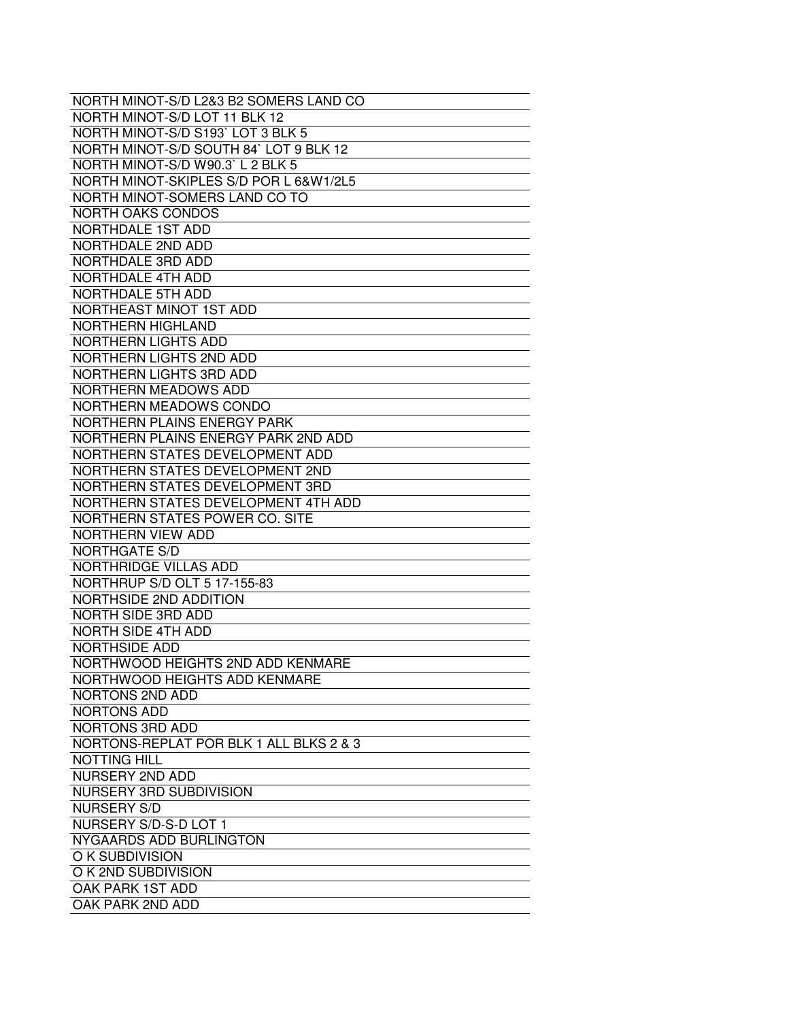| NORTH MINOT-S/D L2&3 B2 SOMERS LAND CO  |
|-----------------------------------------|
| NORTH MINOT-S/D LOT 11 BLK 12           |
| NORTH MINOT-S/D S193' LOT 3 BLK 5       |
| NORTH MINOT-S/D SOUTH 84' LOT 9 BLK 12  |
| NORTH MINOT-S/D W90.3' L 2 BLK 5        |
| NORTH MINOT-SKIPLES S/D POR L 6&W1/2L5  |
| NORTH MINOT-SOMERS LAND CO TO           |
| <b>NORTH OAKS CONDOS</b>                |
| NORTHDALE 1ST ADD                       |
| NORTHDALE 2ND ADD                       |
| NORTHDALE 3RD ADD                       |
| NORTHDALE 4TH ADD                       |
| NORTHDALE 5TH ADD                       |
| NORTHEAST MINOT 1ST ADD                 |
| <b>NORTHERN HIGHLAND</b>                |
| NORTHERN LIGHTS ADD                     |
| NORTHERN LIGHTS 2ND ADD                 |
| NORTHERN LIGHTS 3RD ADD                 |
| <b>NORTHERN MEADOWS ADD</b>             |
| NORTHERN MEADOWS CONDO                  |
| NORTHERN PLAINS ENERGY PARK             |
| NORTHERN PLAINS ENERGY PARK 2ND ADD     |
| NORTHERN STATES DEVELOPMENT ADD         |
| NORTHERN STATES DEVELOPMENT 2ND         |
| NORTHERN STATES DEVELOPMENT 3RD         |
| NORTHERN STATES DEVELOPMENT 4TH ADD     |
| NORTHERN STATES POWER CO. SITE          |
| NORTHERN VIEW ADD                       |
| <b>NORTHGATE S/D</b>                    |
| <b>NORTHRIDGE VILLAS ADD</b>            |
| NORTHRUP S/D OLT 5 17-155-83            |
| NORTHSIDE 2ND ADDITION                  |
| <b>NORTH SIDE 3RD ADD</b>               |
| <b>NORTH SIDE 4TH ADD</b>               |
| <b>NORTHSIDE ADD</b>                    |
| NORTHWOOD HEIGHTS 2ND ADD KENMARE       |
| NORTHWOOD HEIGHTS ADD KENMARE           |
| NORTONS 2ND ADD                         |
|                                         |
| NORTONS ADD                             |
| <b>NORTONS 3RD ADD</b>                  |
| NORTONS-REPLAT POR BLK 1 ALL BLKS 2 & 3 |
| <b>NOTTING HILL</b>                     |
| NURSERY 2ND ADD                         |
| NURSERY 3RD SUBDIVISION                 |
| <b>NURSERY S/D</b>                      |
| NURSERY S/D-S-D LOT 1                   |
| NYGAARDS ADD BURLINGTON                 |
| O K SUBDIVISION                         |
| O K 2ND SUBDIVISION                     |
| OAK PARK 1ST ADD                        |
| OAK PARK 2ND ADD                        |
|                                         |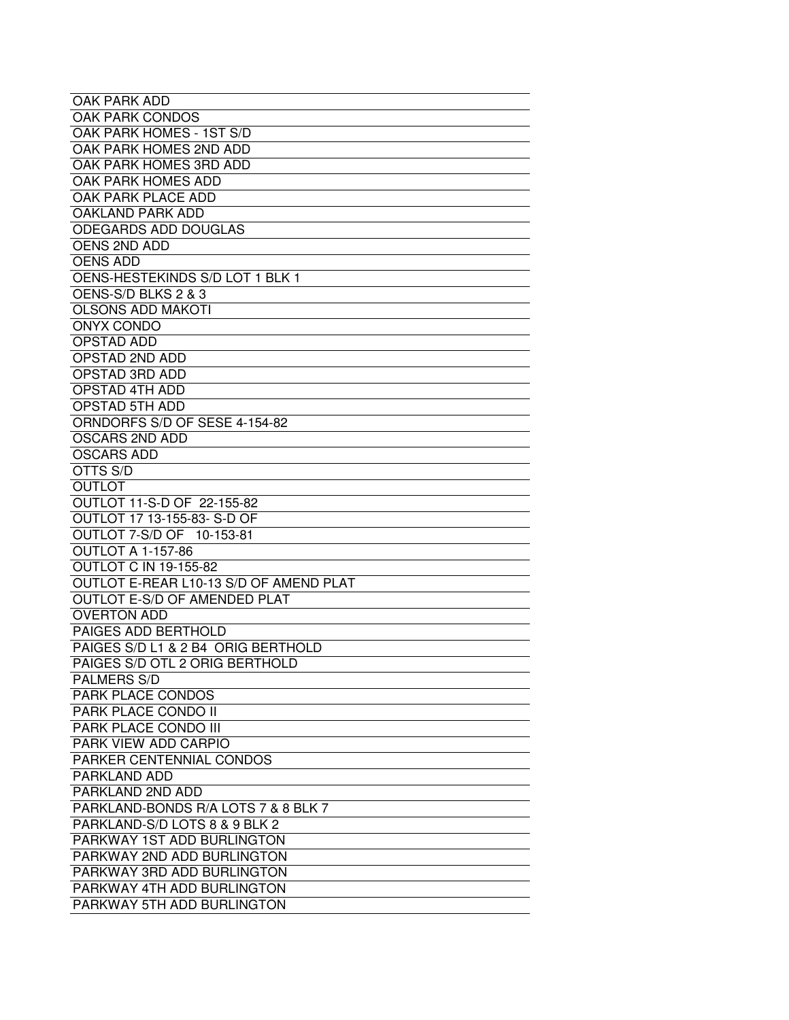| OAK PARK ADD                           |
|----------------------------------------|
| OAK PARK CONDOS                        |
| OAK PARK HOMES - 1ST S/D               |
| OAK PARK HOMES 2ND ADD                 |
| OAK PARK HOMES 3RD ADD                 |
| OAK PARK HOMES ADD                     |
| OAK PARK PLACE ADD                     |
| <b>OAKLAND PARK ADD</b>                |
| <b>ODEGARDS ADD DOUGLAS</b>            |
| <b>OENS 2ND ADD</b>                    |
| <b>OENS ADD</b>                        |
| OENS-HESTEKINDS S/D LOT 1 BLK 1        |
| OENS-S/D BLKS 2 & 3                    |
| <b>OLSONS ADD MAKOTI</b>               |
|                                        |
| ONYX CONDO                             |
| OPSTAD ADD                             |
| <b>OPSTAD 2ND ADD</b>                  |
| <b>OPSTAD 3RD ADD</b>                  |
| <b>OPSTAD 4TH ADD</b>                  |
| <b>OPSTAD 5TH ADD</b>                  |
| ORNDORFS S/D OF SESE 4-154-82          |
| <b>OSCARS 2ND ADD</b>                  |
| <b>OSCARS ADD</b>                      |
| OTTS S/D                               |
| <b>OUTLOT</b>                          |
| OUTLOT 11-S-D OF 22-155-82             |
| OUTLOT 17 13-155-83- S-D OF            |
| OUTLOT 7-S/D OF 10-153-81              |
| OUTLOT A 1-157-86                      |
| <b>OUTLOT C IN 19-155-82</b>           |
| OUTLOT E-REAR L10-13 S/D OF AMEND PLAT |
| OUTLOT E-S/D OF AMENDED PLAT           |
| <b>OVERTON ADD</b>                     |
| PAIGES ADD BERTHOLD                    |
| PAIGES S/D L1 & 2 B4 ORIG BERTHOLD     |
| PAIGES S/D OTL 2 ORIG BERTHOLD         |
| <b>PALMERS S/D</b>                     |
| PARK PLACE CONDOS                      |
| PARK PLACE CONDO II                    |
| PARK PLACE CONDO III                   |
| PARK VIEW ADD CARPIO                   |
| PARKER CENTENNIAL CONDOS               |
| <b>PARKLAND ADD</b>                    |
| PARKLAND 2ND ADD                       |
| PARKLAND-BONDS R/A LOTS 7 & 8 BLK 7    |
| PARKLAND-S/D LOTS 8 & 9 BLK 2          |
| PARKWAY 1ST ADD BURLINGTON             |
| PARKWAY 2ND ADD BURLINGTON             |
|                                        |
| PARKWAY 3RD ADD BURLINGTON             |
| PARKWAY 4TH ADD BURLINGTON             |
| PARKWAY 5TH ADD BURLINGTON             |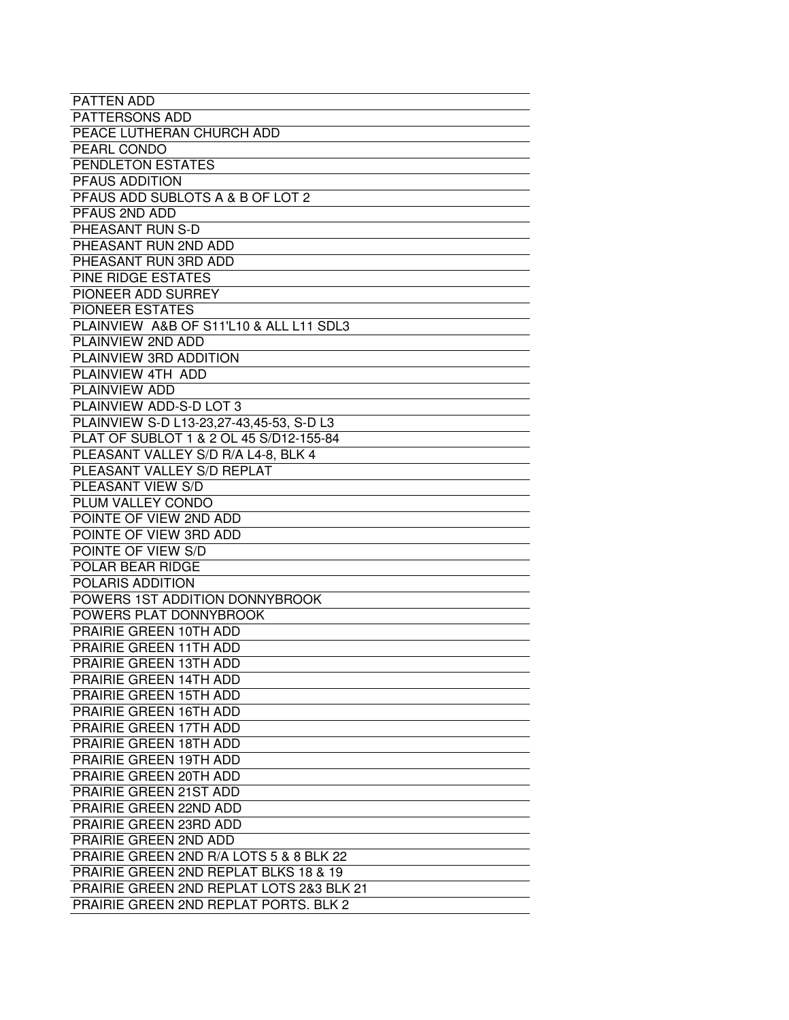| <b>PATTEN ADD</b>                            |
|----------------------------------------------|
| <b>PATTERSONS ADD</b>                        |
| PEACE LUTHERAN CHURCH ADD                    |
| PEARL CONDO                                  |
| PENDLETON ESTATES                            |
| PFAUS ADDITION                               |
| PFAUS ADD SUBLOTS A & B OF LOT 2             |
| PFAUS 2ND ADD                                |
| PHEASANT RUN S-D                             |
|                                              |
| PHEASANT RUN 2ND ADD                         |
| PHEASANT RUN 3RD ADD                         |
| PINE RIDGE ESTATES                           |
| PIONEER ADD SURREY                           |
| <b>PIONEER ESTATES</b>                       |
| PLAINVIEW A&B OF S11'L10 & ALL L11 SDL3      |
| PLAINVIEW 2ND ADD                            |
| PLAINVIEW 3RD ADDITION                       |
| PLAINVIEW 4TH ADD                            |
| <b>PLAINVIEW ADD</b>                         |
| PLAINVIEW ADD-S-D LOT 3                      |
| PLAINVIEW S-D L13-23,27-43,45-53, S-D L3     |
| PLAT OF SUBLOT 1 & 2 OL 45 S/D12-155-84      |
| PLEASANT VALLEY S/D R/A L4-8, BLK 4          |
| PLEASANT VALLEY S/D REPLAT                   |
| PLEASANT VIEW S/D                            |
| PLUM VALLEY CONDO                            |
| POINTE OF VIEW 2ND ADD                       |
| POINTE OF VIEW 3RD ADD                       |
| POINTE OF VIEW S/D                           |
| POLAR BEAR RIDGE                             |
| POLARIS ADDITION                             |
| POWERS 1ST ADDITION DONNYBROOK               |
| POWERS PLAT DONNYBROOK                       |
| PRAIRIE GREEN 10TH ADD                       |
| PRAIRIE GREEN 11TH ADD                       |
| PRAIRIE GREEN 13TH ADD                       |
| PRAIRIE GREEN 14TH ADD                       |
| <b>PRAIRIE GREEN 15TH ADD</b>                |
| <b>PRAIRIE GREEN 16TH ADD</b>                |
| PRAIRIE GREEN 17TH ADD                       |
| PRAIRIE GREEN 18TH ADD                       |
| PRAIRIE GREEN 19TH ADD                       |
| PRAIRIE GREEN 20TH ADD                       |
| PRAIRIE GREEN 21ST ADD                       |
| PRAIRIE GREEN 22ND ADD                       |
| PRAIRIE GREEN 23RD ADD                       |
| <b>PRAIRIE GREEN 2ND ADD</b>                 |
| PRAIRIE GREEN 2ND R/A LOTS 5 & 8 BLK 22      |
| PRAIRIE GREEN 2ND REPLAT BLKS 18 & 19        |
| PRAIRIE GREEN 2ND REPLAT LOTS 2&3 BLK 21     |
| <b>PRAIRIE GREEN 2ND REPLAT PORTS. BLK 2</b> |
|                                              |
|                                              |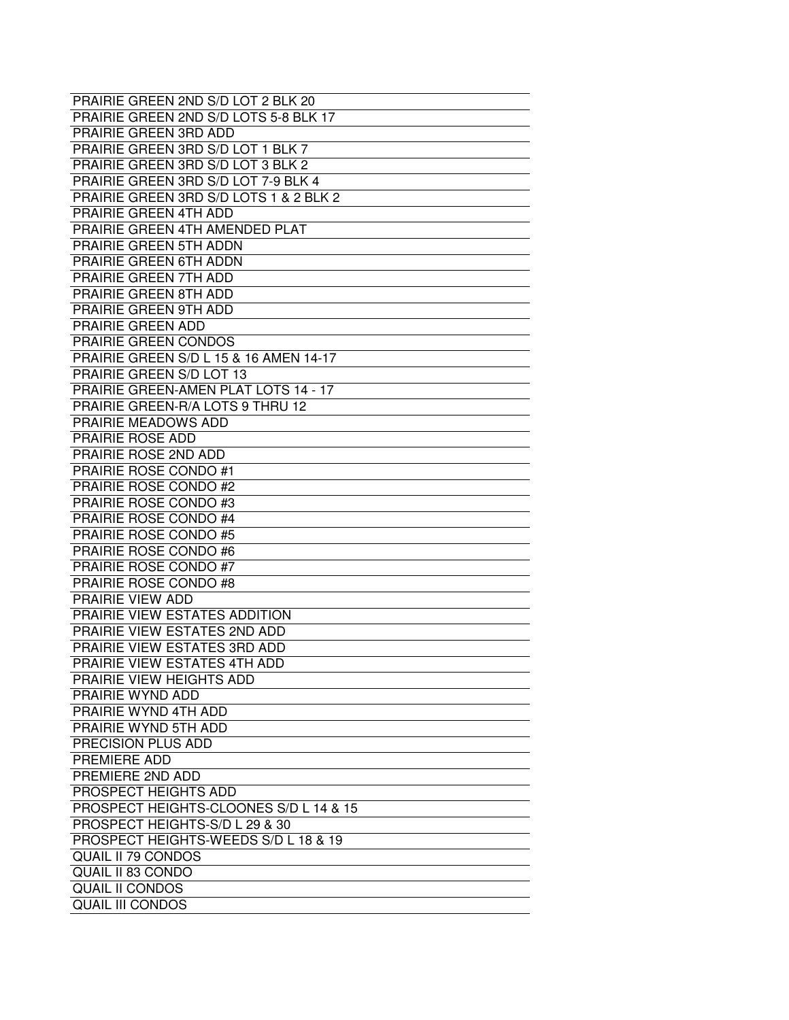| PRAIRIE GREEN 2ND S/D LOT 2 BLK 20          |
|---------------------------------------------|
| PRAIRIE GREEN 2ND S/D LOTS 5-8 BLK 17       |
| PRAIRIE GREEN 3RD ADD                       |
| PRAIRIE GREEN 3RD S/D LOT 1 BLK 7           |
| PRAIRIE GREEN 3RD S/D LOT 3 BLK 2           |
| PRAIRIE GREEN 3RD S/D LOT 7-9 BLK 4         |
| PRAIRIE GREEN 3RD S/D LOTS 1 & 2 BLK 2      |
| <b>PRAIRIE GREEN 4TH ADD</b>                |
| <b>PRAIRIE GREEN 4TH AMENDED PLAT</b>       |
| PRAIRIE GREEN 5TH ADDN                      |
| PRAIRIE GREEN 6TH ADDN                      |
| PRAIRIE GREEN 7TH ADD                       |
| PRAIRIE GREEN 8TH ADD                       |
| <b>PRAIRIE GREEN 9TH ADD</b>                |
| <b>PRAIRIE GREEN ADD</b>                    |
| PRAIRIE GREEN CONDOS                        |
| PRAIRIE GREEN S/D L 15 & 16 AMEN 14-17      |
| <b>PRAIRIE GREEN S/D LOT 13</b>             |
| <b>PRAIRIE GREEN-AMEN PLAT LOTS 14 - 17</b> |
| PRAIRIE GREEN-R/A LOTS 9 THRU 12            |
| PRAIRIE MEADOWS ADD                         |
| PRAIRIE ROSE ADD                            |
| PRAIRIE ROSE 2ND ADD                        |
| <b>PRAIRIE ROSE CONDO #1</b>                |
| PRAIRIE ROSE CONDO #2                       |
| PRAIRIE ROSE CONDO #3                       |
| <b>PRAIRIE ROSE CONDO #4</b>                |
| <b>PRAIRIE ROSE CONDO #5</b>                |
| PRAIRIE ROSE CONDO #6                       |
| PRAIRIE ROSE CONDO #7                       |
| PRAIRIE ROSE CONDO #8                       |
| PRAIRIE VIEW ADD                            |
| PRAIRIE VIEW ESTATES ADDITION               |
| PRAIRIE VIEW ESTATES 2ND ADD                |
| PRAIRIE VIEW ESTATES 3RD ADD                |
| PRAIRIE VIEW ESTATES 4TH ADD                |
| PRAIRIE VIEW HEIGHTS ADD                    |
| PRAIRIE WYND ADD                            |
| PRAIRIE WYND 4TH ADD                        |
| <b>PRAIRIE WYND 5TH ADD</b>                 |
| PRECISION PLUS ADD                          |
| PREMIERE ADD                                |
| PREMIERE 2ND ADD                            |
| PROSPECT HEIGHTS ADD                        |
| PROSPECT HEIGHTS-CLOONES S/D L 14 & 15      |
|                                             |
| PROSPECT HEIGHTS-S/D L 29 & 30              |
| PROSPECT HEIGHTS-WEEDS S/D L 18 & 19        |
| <b>QUAIL II 79 CONDOS</b>                   |
| <b>QUAIL II 83 CONDO</b>                    |
| <b>QUAIL II CONDOS</b>                      |
| <b>QUAIL III CONDOS</b>                     |
|                                             |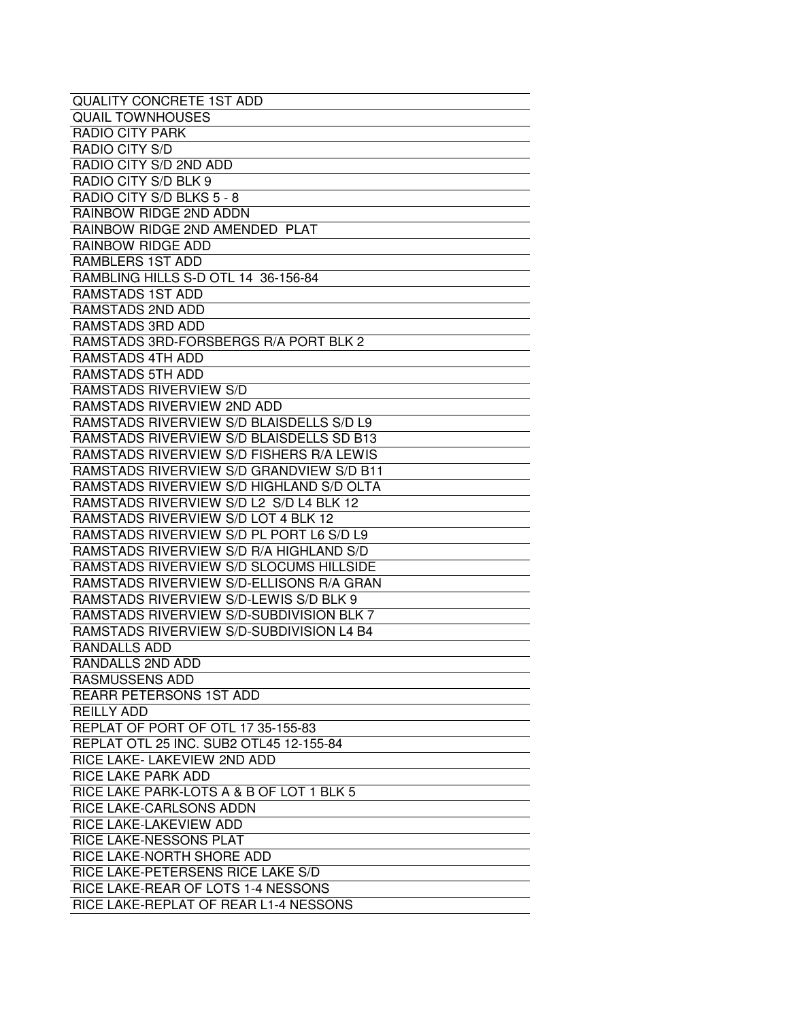| <b>QUALITY CONCRETE 1ST ADD</b>          |
|------------------------------------------|
| <b>QUAIL TOWNHOUSES</b>                  |
| RADIO CITY PARK                          |
| RADIO CITY S/D                           |
| RADIO CITY S/D 2ND ADD                   |
| RADIO CITY S/D BLK 9                     |
| RADIO CITY S/D BLKS 5 - 8                |
| RAINBOW RIDGE 2ND ADDN                   |
| RAINBOW RIDGE 2ND AMENDED PLAT           |
| RAINBOW RIDGE ADD                        |
| RAMBLERS 1ST ADD                         |
| RAMBLING HILLS S-D OTL 14 36-156-84      |
| RAMSTADS 1ST ADD                         |
| RAMSTADS 2ND ADD                         |
| RAMSTADS 3RD ADD                         |
| RAMSTADS 3RD-FORSBERGS R/A PORT BLK 2    |
| RAMSTADS 4TH ADD                         |
| <b>RAMSTADS 5TH ADD</b>                  |
| <b>RAMSTADS RIVERVIEW S/D</b>            |
| RAMSTADS RIVERVIEW 2ND ADD               |
| RAMSTADS RIVERVIEW S/D BLAISDELLS S/D L9 |
| RAMSTADS RIVERVIEW S/D BLAISDELLS SD B13 |
| RAMSTADS RIVERVIEW S/D FISHERS R/A LEWIS |
| RAMSTADS RIVERVIEW S/D GRANDVIEW S/D B11 |
| RAMSTADS RIVERVIEW S/D HIGHLAND S/D OLTA |
| RAMSTADS RIVERVIEW S/D L2 S/D L4 BLK 12  |
| RAMSTADS RIVERVIEW S/D LOT 4 BLK 12      |
| RAMSTADS RIVERVIEW S/D PL PORT L6 S/D L9 |
| RAMSTADS RIVERVIEW S/D R/A HIGHLAND S/D  |
| RAMSTADS RIVERVIEW S/D SLOCUMS HILLSIDE  |
| RAMSTADS RIVERVIEW S/D-ELLISONS R/A GRAN |
| RAMSTADS RIVERVIEW S/D-LEWIS S/D BLK 9   |
| RAMSTADS RIVERVIEW S/D-SUBDIVISION BLK 7 |
| RAMSTADS RIVERVIEW S/D-SUBDIVISION L4 B4 |
| <b>RANDALLS ADD</b>                      |
| RANDALLS 2ND ADD                         |
| RASMUSSENS ADD                           |
| <b>REARR PETERSONS 1ST ADD</b>           |
| <b>REILLY ADD</b>                        |
| REPLAT OF PORT OF OTL 17 35-155-83       |
| REPLAT OTL 25 INC, SUB2 OTL45 12-155-84  |
| RICE LAKE- LAKEVIEW 2ND ADD              |
| <b>RICE LAKE PARK ADD</b>                |
| RICE LAKE PARK-LOTS A & B OF LOT 1 BLK 5 |
| RICE LAKE-CARLSONS ADDN                  |
| RICE LAKE-LAKEVIEW ADD                   |
| RICE LAKE-NESSONS PLAT                   |
| RICE LAKE-NORTH SHORE ADD                |
| RICE LAKE-PETERSENS RICE LAKE S/D        |
| RICE LAKE-REAR OF LOTS 1-4 NESSONS       |
| RICE LAKE-REPLAT OF REAR L1-4 NESSONS    |
|                                          |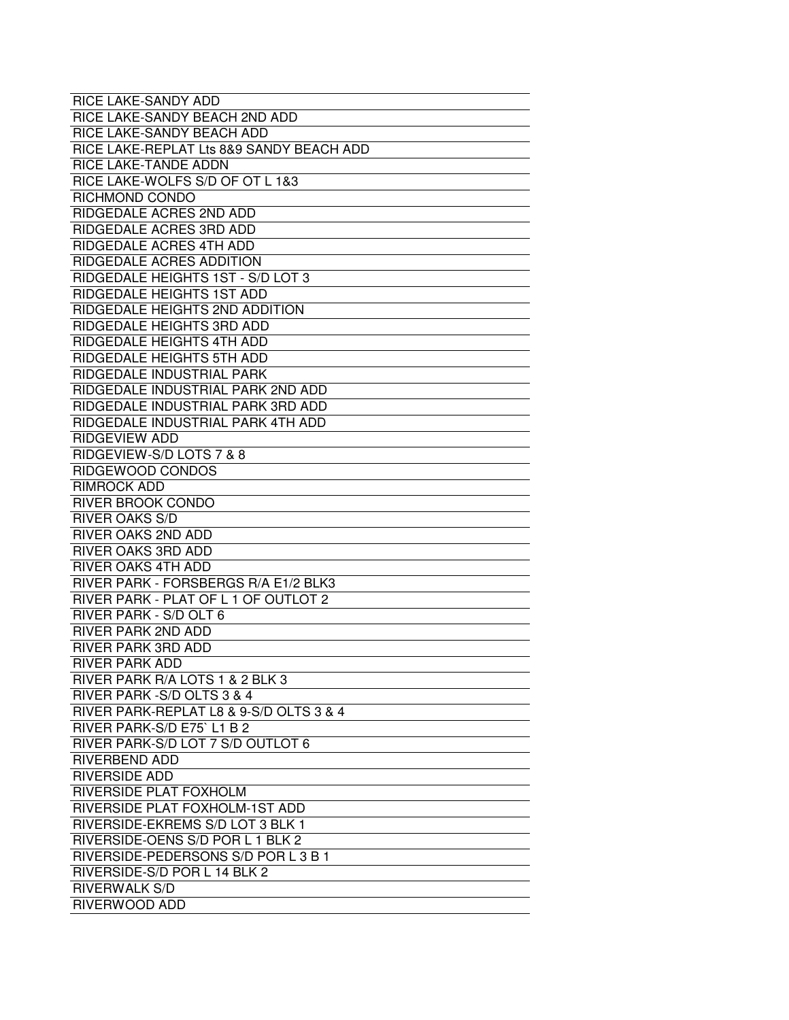| RICE LAKE-SANDY ADD                      |
|------------------------------------------|
| RICE LAKE-SANDY BEACH 2ND ADD            |
| RICE LAKE-SANDY BEACH ADD                |
| RICE LAKE-REPLAT Lts 8&9 SANDY BEACH ADD |
| <b>RICE LAKE-TANDE ADDN</b>              |
| RICE LAKE-WOLFS S/D OF OT L 1&3          |
| RICHMOND CONDO                           |
| <b>RIDGEDALE ACRES 2ND ADD</b>           |
| <b>RIDGEDALE ACRES 3RD ADD</b>           |
| RIDGEDALE ACRES 4TH ADD                  |
| RIDGEDALE ACRES ADDITION                 |
| RIDGEDALE HEIGHTS 1ST - S/D LOT 3        |
| RIDGEDALE HEIGHTS 1ST ADD                |
| RIDGEDALE HEIGHTS 2ND ADDITION           |
|                                          |
| RIDGEDALE HEIGHTS 3RD ADD                |
| RIDGEDALE HEIGHTS 4TH ADD                |
| RIDGEDALE HEIGHTS 5TH ADD                |
| RIDGEDALE INDUSTRIAL PARK                |
| RIDGEDALE INDUSTRIAL PARK 2ND ADD        |
| RIDGEDALE INDUSTRIAL PARK 3RD ADD        |
| RIDGEDALE INDUSTRIAL PARK 4TH ADD        |
| <b>RIDGEVIEW ADD</b>                     |
| RIDGEVIEW-S/D LOTS 7 & 8                 |
| RIDGEWOOD CONDOS                         |
| <b>RIMROCK ADD</b>                       |
| RIVER BROOK CONDO                        |
| <b>RIVER OAKS S/D</b>                    |
| <b>RIVER OAKS 2ND ADD</b>                |
| RIVER OAKS 3RD ADD                       |
| <b>RIVER OAKS 4TH ADD</b>                |
| RIVER PARK - FORSBERGS R/A E1/2 BLK3     |
| RIVER PARK - PLAT OF L 1 OF OUTLOT 2     |
| RIVER PARK - S/D OLT 6                   |
| <b>RIVER PARK 2ND ADD</b>                |
| <b>RIVER PARK 3RD ADD</b>                |
|                                          |
| <b>RIVER PARK ADD</b>                    |
| RIVER PARK R/A LOTS 1 & 2 BLK 3          |
| RIVER PARK - S/D OLTS 3 & 4              |
| RIVER PARK-REPLAT L8 & 9-S/D OLTS 3 & 4  |
| RIVER PARK-S/D E75' L1 B 2               |
| RIVER PARK-S/D LOT 7 S/D OUTLOT 6        |
| <b>RIVERBEND ADD</b>                     |
| <b>RIVERSIDE ADD</b>                     |
| RIVERSIDE PLAT FOXHOLM                   |
| RIVERSIDE PLAT FOXHOLM-1ST ADD           |
| RIVERSIDE-EKREMS S/D LOT 3 BLK 1         |
| RIVERSIDE-OENS S/D POR L 1 BLK 2         |
| RIVERSIDE-PEDERSONS S/D POR L 3 B 1      |
| RIVERSIDE-S/D POR L 14 BLK 2             |
| <b>RIVERWALK S/D</b>                     |
| RIVERWOOD ADD                            |
|                                          |
|                                          |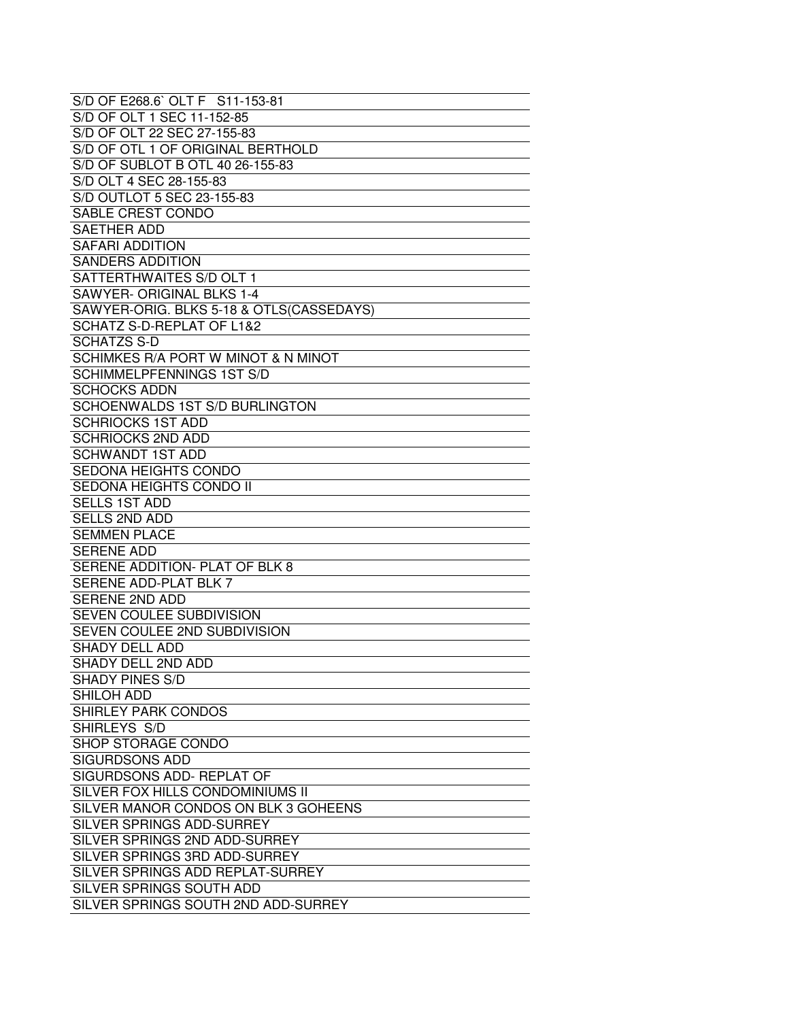| S/D OF E268.6' OLT F S11-153-81          |
|------------------------------------------|
| S/D OF OLT 1 SEC 11-152-85               |
| S/D OF OLT 22 SEC 27-155-83              |
| S/D OF OTL 1 OF ORIGINAL BERTHOLD        |
| S/D OF SUBLOT B OTL 40 26-155-83         |
| S/D OLT 4 SEC 28-155-83                  |
| S/D OUTLOT 5 SEC 23-155-83               |
| SABLE CREST CONDO                        |
| <b>SAETHER ADD</b>                       |
| <b>SAFARI ADDITION</b>                   |
| <b>SANDERS ADDITION</b>                  |
| SATTERTHWAITES S/D OLT 1                 |
| SAWYER- ORIGINAL BLKS 1-4                |
| SAWYER-ORIG. BLKS 5-18 & OTLS(CASSEDAYS) |
| SCHATZ S-D-REPLAT OF L1&2                |
| <b>SCHATZS S-D</b>                       |
| SCHIMKES R/A PORT W MINOT & N MINOT      |
| <b>SCHIMMELPFENNINGS 1ST S/D</b>         |
| <b>SCHOCKS ADDN</b>                      |
| SCHOENWALDS 1ST S/D BURLINGTON           |
| <b>SCHRIOCKS 1ST ADD</b>                 |
| <b>SCHRIOCKS 2ND ADD</b>                 |
| <b>SCHWANDT 1ST ADD</b>                  |
| SEDONA HEIGHTS CONDO                     |
| SEDONA HEIGHTS CONDO II                  |
| <b>SELLS 1ST ADD</b>                     |
| <b>SELLS 2ND ADD</b>                     |
| <b>SEMMEN PLACE</b>                      |
| <b>SERENE ADD</b>                        |
| SERENE ADDITION- PLAT OF BLK 8           |
| <b>SERENE ADD-PLAT BLK 7</b>             |
| <b>SERENE 2ND ADD</b>                    |
| SEVEN COULEE SUBDIVISION                 |
| SEVEN COULEE 2ND SUBDIVISION             |
| <b>SHADY DELL ADD</b>                    |
| SHADY DELL 2ND ADD                       |
| <b>SHADY PINES S/D</b>                   |
| <b>SHILOH ADD</b>                        |
| <b>SHIRLEY PARK CONDOS</b>               |
| SHIRLEYS S/D                             |
| SHOP STORAGE CONDO                       |
| <b>SIGURDSONS ADD</b>                    |
| SIGURDSONS ADD-REPLAT OF                 |
| SILVER FOX HILLS CONDOMINIUMS II         |
| SILVER MANOR CONDOS ON BLK 3 GOHEENS     |
| SILVER SPRINGS ADD-SURREY                |
| SILVER SPRINGS 2ND ADD-SURREY            |
| SILVER SPRINGS 3RD ADD-SURREY            |
| SILVER SPRINGS ADD REPLAT-SURREY         |
| SILVER SPRINGS SOUTH ADD                 |
| SILVER SPRINGS SOUTH 2ND ADD-SURREY      |
|                                          |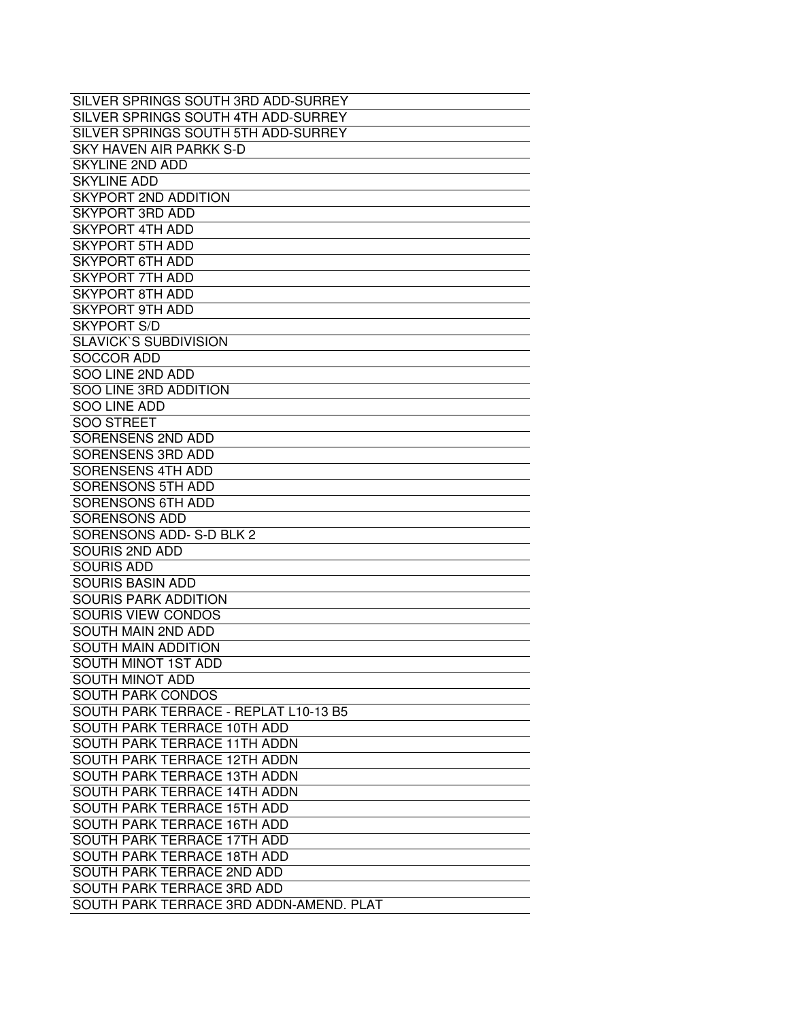| SILVER SPRINGS SOUTH 3RD ADD-SURREY     |
|-----------------------------------------|
| SILVER SPRINGS SOUTH 4TH ADD-SURREY     |
| SILVER SPRINGS SOUTH 5TH ADD-SURREY     |
| SKY HAVEN AIR PARKK S-D                 |
| <b>SKYLINE 2ND ADD</b>                  |
| <b>SKYLINE ADD</b>                      |
| SKYPORT 2ND ADDITION                    |
| <b>SKYPORT 3RD ADD</b>                  |
| <b>SKYPORT 4TH ADD</b>                  |
| <b>SKYPORT 5TH ADD</b>                  |
| <b>SKYPORT 6TH ADD</b>                  |
| <b>SKYPORT 7TH ADD</b>                  |
| <b>SKYPORT 8TH ADD</b>                  |
| <b>SKYPORT 9TH ADD</b>                  |
|                                         |
| <b>SKYPORT S/D</b>                      |
| <b>SLAVICK'S SUBDIVISION</b>            |
| <b>SOCCOR ADD</b>                       |
| SOO LINE 2ND ADD                        |
| SOO LINE 3RD ADDITION                   |
| SOO LINE ADD                            |
| <b>SOO STREET</b>                       |
| SORENSENS 2ND ADD                       |
| <b>SORENSENS 3RD ADD</b>                |
| SORENSENS 4TH ADD                       |
| <b>SORENSONS 5TH ADD</b>                |
| SORENSONS 6TH ADD                       |
| <b>SORENSONS ADD</b>                    |
| SORENSONS ADD-S-D BLK 2                 |
| SOURIS 2ND ADD                          |
| <b>SOURIS ADD</b>                       |
| <b>SOURIS BASIN ADD</b>                 |
| <b>SOURIS PARK ADDITION</b>             |
| SOURIS VIEW CONDOS                      |
| SOUTH MAIN 2ND ADD                      |
| <b>SOUTH MAIN ADDITION</b>              |
| <b>SOUTH MINOT 1ST ADD</b>              |
| <b>SOUTH MINOT ADD</b>                  |
| <b>SOUTH PARK CONDOS</b>                |
| SOUTH PARK TERRACE - REPLAT L10-13 B5   |
| SOUTH PARK TERRACE 10TH ADD             |
| SOUTH PARK TERRACE 11TH ADDN            |
| SOUTH PARK TERRACE 12TH ADDN            |
| SOUTH PARK TERRACE 13TH ADDN            |
| SOUTH PARK TERRACE 14TH ADDN            |
| SOUTH PARK TERRACE 15TH ADD             |
| SOUTH PARK TERRACE 16TH ADD             |
| SOUTH PARK TERRACE 17TH ADD             |
| SOUTH PARK TERRACE 18TH ADD             |
| SOUTH PARK TERRACE 2ND ADD              |
| SOUTH PARK TERRACE 3RD ADD              |
| SOUTH PARK TERRACE 3RD ADDN-AMEND. PLAT |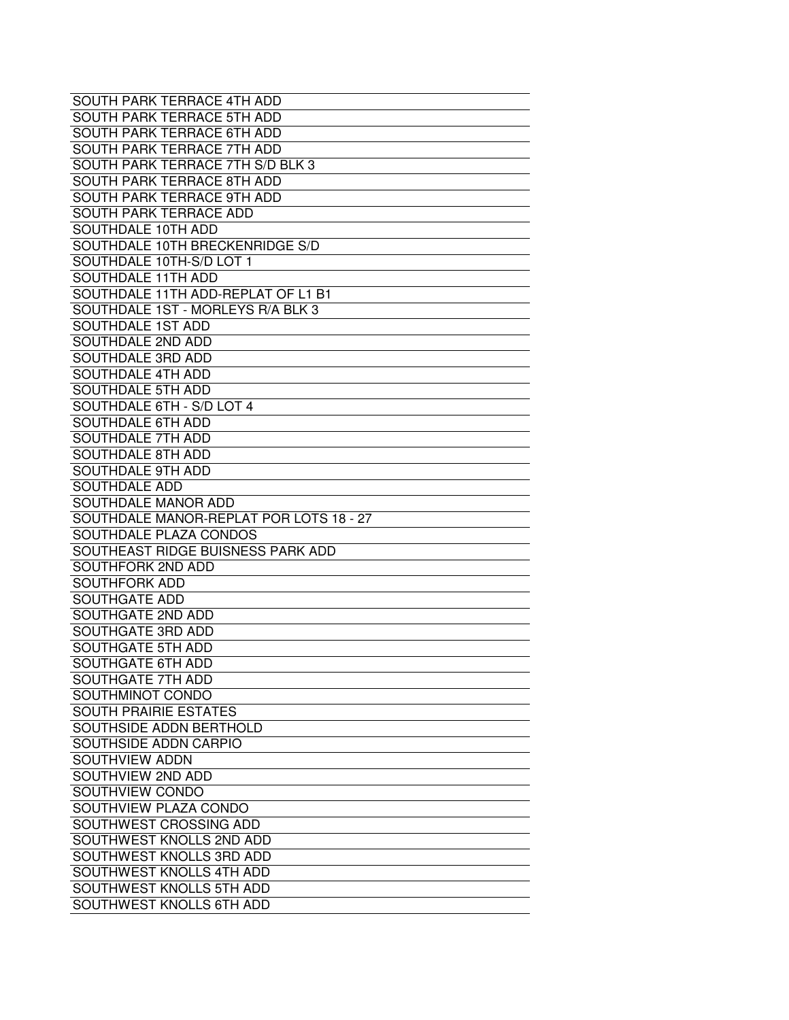| SOUTH PARK TERRACE 4TH ADD              |
|-----------------------------------------|
| SOUTH PARK TERRACE 5TH ADD              |
| SOUTH PARK TERRACE 6TH ADD              |
| SOUTH PARK TERRACE 7TH ADD              |
| SOUTH PARK TERRACE 7TH S/D BLK 3        |
| SOUTH PARK TERRACE 8TH ADD              |
| SOUTH PARK TERRACE 9TH ADD              |
| SOUTH PARK TERRACE ADD                  |
| SOUTHDALE 10TH ADD                      |
| SOUTHDALE 10TH BRECKENRIDGE S/D         |
| SOUTHDALE 10TH-S/D LOT 1                |
| SOUTHDALE 11TH ADD                      |
| SOUTHDALE 11TH ADD-REPLAT OF L1 B1      |
| SOUTHDALE 1ST - MORLEYS R/A BLK 3       |
| SOUTHDALE 1ST ADD                       |
| SOUTHDALE 2ND ADD                       |
| SOUTHDALE 3RD ADD                       |
| SOUTHDALE 4TH ADD                       |
| SOUTHDALE 5TH ADD                       |
| SOUTHDALE 6TH - S/D LOT 4               |
| <b>SOUTHDALE 6TH ADD</b>                |
| <b>SOUTHDALE 7TH ADD</b>                |
| SOUTHDALE 8TH ADD                       |
| SOUTHDALE 9TH ADD                       |
| <b>SOUTHDALE ADD</b>                    |
| SOUTHDALE MANOR ADD                     |
| SOUTHDALE MANOR-REPLAT POR LOTS 18 - 27 |
| SOUTHDALE PLAZA CONDOS                  |
| SOUTHEAST RIDGE BUISNESS PARK ADD       |
| SOUTHFORK 2ND ADD                       |
| <b>SOUTHFORK ADD</b>                    |
| <b>SOUTHGATE ADD</b>                    |
| SOUTHGATE 2ND ADD                       |
| SOUTHGATE 3RD ADD                       |
| SOUTHGATE 5TH ADD                       |
| <b>SOUTHGATE 6TH ADD</b>                |
| SOUTHGATE 7TH ADD                       |
| SOUTHMINOT CONDO                        |
| <b>SOUTH PRAIRIE ESTATES</b>            |
| SOUTHSIDE ADDN BERTHOLD                 |
| SOUTHSIDE ADDN CARPIO                   |
| SOUTHVIEW ADDN                          |
| SOUTHVIEW 2ND ADD                       |
| SOUTHVIEW CONDO                         |
| SOUTHVIEW PLAZA CONDO                   |
| SOUTHWEST CROSSING ADD                  |
| SOUTHWEST KNOLLS 2ND ADD                |
| SOUTHWEST KNOLLS 3RD ADD                |
| <b>SOUTHWEST KNOLLS 4TH ADD</b>         |
| SOUTHWEST KNOLLS 5TH ADD                |
|                                         |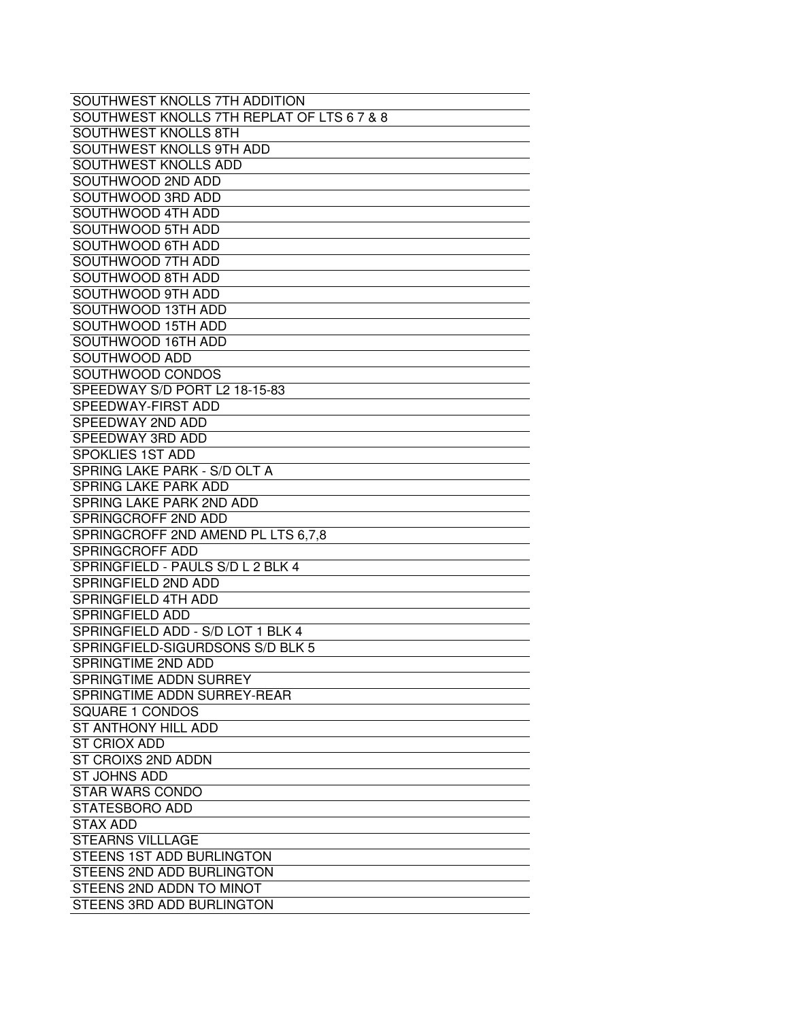| SOUTHWEST KNOLLS 7TH ADDITION              |
|--------------------------------------------|
| SOUTHWEST KNOLLS 7TH REPLAT OF LTS 6 7 & 8 |
| <b>SOUTHWEST KNOLLS 8TH</b>                |
| SOUTHWEST KNOLLS 9TH ADD                   |
| SOUTHWEST KNOLLS ADD                       |
| SOUTHWOOD 2ND ADD                          |
| SOUTHWOOD 3RD ADD                          |
| SOUTHWOOD 4TH ADD                          |
| SOUTHWOOD 5TH ADD                          |
| SOUTHWOOD 6TH ADD                          |
| SOUTHWOOD 7TH ADD                          |
| SOUTHWOOD 8TH ADD                          |
| SOUTHWOOD 9TH ADD                          |
| SOUTHWOOD 13TH ADD                         |
| SOUTHWOOD 15TH ADD                         |
| SOUTHWOOD 16TH ADD                         |
| SOUTHWOOD ADD                              |
| SOUTHWOOD CONDOS                           |
| SPEEDWAY S/D PORT L2 18-15-83              |
| SPEEDWAY-FIRST ADD                         |
| SPEEDWAY 2ND ADD                           |
| SPEEDWAY 3RD ADD                           |
| SPOKLIES 1ST ADD                           |
| SPRING LAKE PARK - S/D OLT A               |
| <b>SPRING LAKE PARK ADD</b>                |
| SPRING LAKE PARK 2ND ADD                   |
| SPRINGCROFF 2ND ADD                        |
| SPRINGCROFF 2ND AMEND PL LTS 6,7,8         |
| SPRINGCROFF ADD                            |
| SPRINGFIELD - PAULS S/D L 2 BLK 4          |
| SPRINGFIELD 2ND ADD                        |
| SPRINGFIELD 4TH ADD                        |
| SPRINGFIELD ADD                            |
| SPRINGFIELD ADD - S/D LOT 1 BLK 4          |
| SPRINGFIELD-SIGURDSONS S/D BLK 5           |
| <b>SPRINGTIME 2ND ADD</b>                  |
| SPRINGTIME ADDN SURREY                     |
| SPRINGTIME ADDN SURREY-REAR                |
| SQUARE 1 CONDOS                            |
| ST ANTHONY HILL ADD                        |
| <b>ST CRIOX ADD</b>                        |
| ST CROIXS 2ND ADDN                         |
| <b>ST JOHNS ADD</b>                        |
| <b>STAR WARS CONDO</b>                     |
| STATESBORO ADD                             |
| <b>STAX ADD</b>                            |
| <b>STEARNS VILLLAGE</b>                    |
| STEENS 1ST ADD BURLINGTON                  |
| STEENS 2ND ADD BURLINGTON                  |
| STEENS 2ND ADDN TO MINOT                   |
| STEENS 3RD ADD BURLINGTON                  |
|                                            |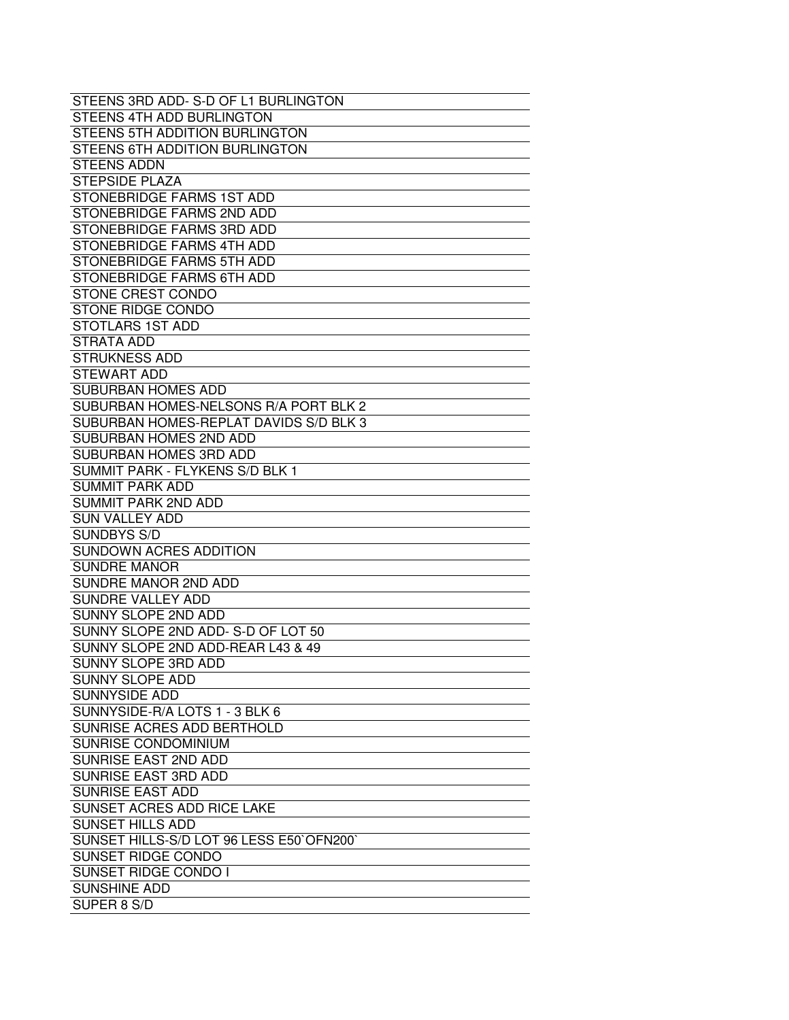| STEENS 3RD ADD-S-D OF L1 BURLINGTON      |
|------------------------------------------|
| STEENS 4TH ADD BURLINGTON                |
| STEENS 5TH ADDITION BURLINGTON           |
| STEENS 6TH ADDITION BURLINGTON           |
| <b>STEENS ADDN</b>                       |
| <b>STEPSIDE PLAZA</b>                    |
| STONEBRIDGE FARMS 1ST ADD                |
| STONEBRIDGE FARMS 2ND ADD                |
| STONEBRIDGE FARMS 3RD ADD                |
| STONEBRIDGE FARMS 4TH ADD                |
| STONEBRIDGE FARMS 5TH ADD                |
| STONEBRIDGE FARMS 6TH ADD                |
| STONE CREST CONDO                        |
| <b>STONE RIDGE CONDO</b>                 |
| STOTLARS 1ST ADD                         |
| STRATA ADD                               |
| <b>STRUKNESS ADD</b>                     |
| <b>STEWART ADD</b>                       |
|                                          |
| <b>SUBURBAN HOMES ADD</b>                |
| SUBURBAN HOMES-NELSONS R/A PORT BLK 2    |
| SUBURBAN HOMES-REPLAT DAVIDS S/D BLK 3   |
| SUBURBAN HOMES 2ND ADD                   |
| SUBURBAN HOMES 3RD ADD                   |
| SUMMIT PARK - FLYKENS S/D BLK 1          |
| SUMMIT PARK ADD                          |
| <b>SUMMIT PARK 2ND ADD</b>               |
| <b>SUN VALLEY ADD</b>                    |
| <b>SUNDBYS S/D</b>                       |
| SUNDOWN ACRES ADDITION                   |
| <b>SUNDRE MANOR</b>                      |
| SUNDRE MANOR 2ND ADD                     |
| SUNDRE VALLEY ADD                        |
| <b>SUNNY SLOPE 2ND ADD</b>               |
| SUNNY SLOPE 2ND ADD-S-D OF LOT 50        |
| SUNNY SLOPE 2ND ADD-REAR L43 & 49        |
| SUNNY SLOPE 3RD ADD                      |
| <b>SUNNY SLOPE ADD</b>                   |
| <b>SUNNYSIDE ADD</b>                     |
| SUNNYSIDE-R/A LOTS 1 - 3 BLK 6           |
| SUNRISE ACRES ADD BERTHOLD               |
| SUNRISE CONDOMINIUM                      |
| SUNRISE EAST 2ND ADD                     |
| SUNRISE EAST 3RD ADD                     |
| <b>SUNRISE EAST ADD</b>                  |
| SUNSET ACRES ADD RICE LAKE               |
| <b>SUNSET HILLS ADD</b>                  |
| SUNSET HILLS-S/D LOT 96 LESS E50`OFN200` |
| SUNSET RIDGE CONDO                       |
| <b>SUNSET RIDGE CONDO I</b>              |
| <b>SUNSHINE ADD</b>                      |
| SUPER 8 S/D                              |
|                                          |
|                                          |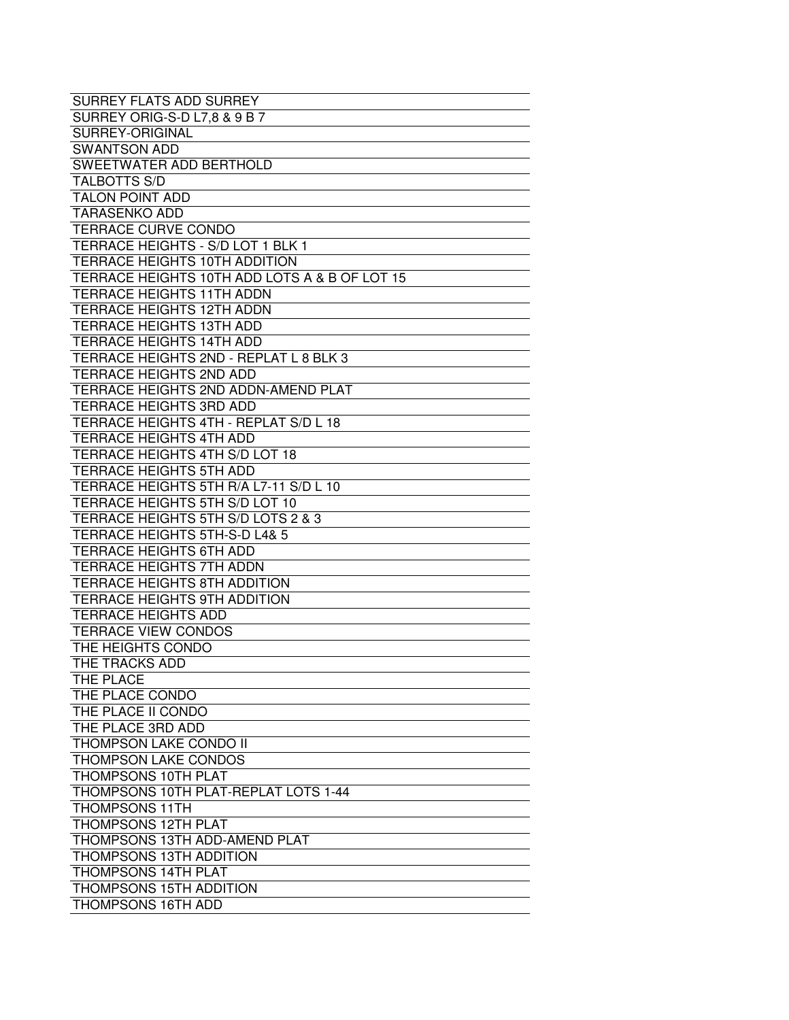| SURREY FLATS ADD SURREY                       |
|-----------------------------------------------|
| SURREY ORIG-S-D L7,8 & 9 B 7                  |
| SURREY-ORIGINAL                               |
| <b>SWANTSON ADD</b>                           |
| SWEETWATER ADD BERTHOLD                       |
| <b>TALBOTTS S/D</b>                           |
| <b>TALON POINT ADD</b>                        |
| <b>TARASENKO ADD</b>                          |
| TERRACE CURVE CONDO                           |
| <b>TERRACE HEIGHTS - S/D LOT 1 BLK 1</b>      |
| <b>TERRACE HEIGHTS 10TH ADDITION</b>          |
| TERRACE HEIGHTS 10TH ADD LOTS A & B OF LOT 15 |
| <b>TERRACE HEIGHTS 11TH ADDN</b>              |
| <b>TERRACE HEIGHTS 12TH ADDN</b>              |
| <b>TERRACE HEIGHTS 13TH ADD</b>               |
| <b>TERRACE HEIGHTS 14TH ADD</b>               |
| TERRACE HEIGHTS 2ND - REPLAT L 8 BLK 3        |
| TERRACE HEIGHTS 2ND ADD                       |
| TERRACE HEIGHTS 2ND ADDN-AMEND PLAT           |
| TERRACE HEIGHTS 3RD ADD                       |
| TERRACE HEIGHTS 4TH - REPLAT S/D L 18         |
| TERRACE HEIGHTS 4TH ADD                       |
| TERRACE HEIGHTS 4TH S/D LOT 18                |
| TERRACE HEIGHTS 5TH ADD                       |
| TERRACE HEIGHTS 5TH R/A L7-11 S/D L 10        |
| TERRACE HEIGHTS 5TH S/D LOT 10                |
| TERRACE HEIGHTS 5TH S/D LOTS 2 & 3            |
| <b>TERRACE HEIGHTS 5TH-S-D L4&amp; 5</b>      |
| <b>TERRACE HEIGHTS 6TH ADD</b>                |
| TERRACE HEIGHTS 7TH ADDN                      |
| TERRACE HEIGHTS 8TH ADDITION                  |
| TERRACE HEIGHTS 9TH ADDITION                  |
| <b>TERRACE HEIGHTS ADD</b>                    |
| <b>TERRACE VIEW CONDOS</b>                    |
| THE HEIGHTS CONDO                             |
| THE TRACKS ADD                                |
| THE PLACE                                     |
| THE PLACE CONDO                               |
| THE PLACE II CONDO                            |
| THE PLACE 3RD ADD                             |
| THOMPSON LAKE CONDO II                        |
| THOMPSON LAKE CONDOS                          |
| THOMPSONS 10TH PLAT                           |
| THOMPSONS 10TH PLAT-REPLAT LOTS 1-44          |
| <b>THOMPSONS 11TH</b>                         |
| <b>THOMPSONS 12TH PLAT</b>                    |
| THOMPSONS 13TH ADD-AMEND PLAT                 |
| <b>THOMPSONS 13TH ADDITION</b>                |
| <b>THOMPSONS 14TH PLAT</b>                    |
| THOMPSONS 15TH ADDITION                       |
| <b>THOMPSONS 16TH ADD</b>                     |
|                                               |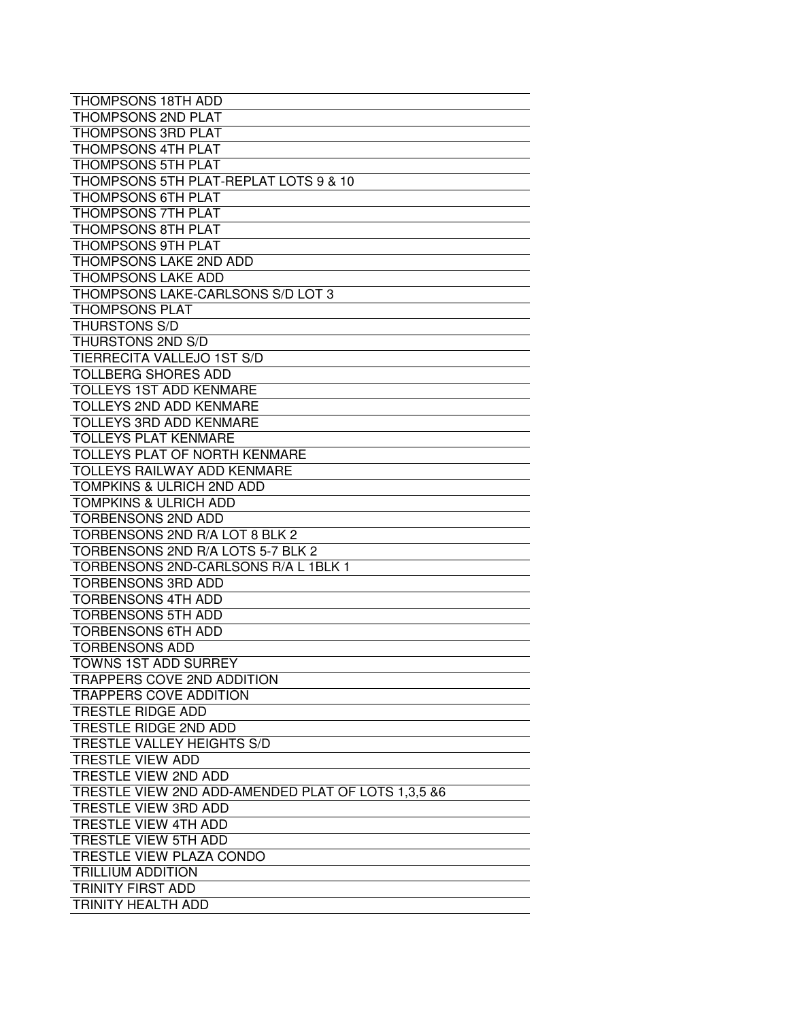| <b>THOMPSONS 18TH ADD</b>                                     |
|---------------------------------------------------------------|
| <b>THOMPSONS 2ND PLAT</b>                                     |
| THOMPSONS 3RD PLAT                                            |
| <b>THOMPSONS 4TH PLAT</b>                                     |
| <b>THOMPSONS 5TH PLAT</b>                                     |
| THOMPSONS 5TH PLAT-REPLAT LOTS 9 & 10                         |
| THOMPSONS 6TH PLAT                                            |
| THOMPSONS 7TH PLAT                                            |
| <b>THOMPSONS 8TH PLAT</b>                                     |
| <b>THOMPSONS 9TH PLAT</b>                                     |
| THOMPSONS LAKE 2ND ADD                                        |
| <b>THOMPSONS LAKE ADD</b>                                     |
| THOMPSONS LAKE-CARLSONS S/D LOT 3                             |
| <b>THOMPSONS PLAT</b>                                         |
| <b>THURSTONS S/D</b>                                          |
| THURSTONS 2ND S/D                                             |
| <b>TIERRECITA VALLEJO 1ST S/D</b>                             |
| <b>TOLLBERG SHORES ADD</b>                                    |
| <b>TOLLEYS 1ST ADD KENMARE</b>                                |
| TOLLEYS 2ND ADD KENMARE                                       |
| <b>TOLLEYS 3RD ADD KENMARE</b>                                |
| <b>TOLLEYS PLAT KENMARE</b>                                   |
| TOLLEYS PLAT OF NORTH KENMARE                                 |
| <b>TOLLEYS RAILWAY ADD KENMARE</b>                            |
| TOMPKINS & ULRICH 2ND ADD                                     |
|                                                               |
| <b>TOMPKINS &amp; ULRICH ADD</b><br><b>TORBENSONS 2ND ADD</b> |
| TORBENSONS 2ND R/A LOT 8 BLK 2                                |
| TORBENSONS 2ND R/A LOTS 5-7 BLK 2                             |
| TORBENSONS 2ND-CARLSONS R/A L 1BLK 1                          |
| <b>TORBENSONS 3RD ADD</b>                                     |
| <b>TORBENSONS 4TH ADD</b>                                     |
| <b>TORBENSONS 5TH ADD</b>                                     |
| <b>TORBENSONS 6TH ADD</b>                                     |
| <b>TORBENSONS ADD</b>                                         |
| <b>TOWNS 1ST ADD SURREY</b>                                   |
| TRAPPERS COVE 2ND ADDITION                                    |
| <b>TRAPPERS COVE ADDITION</b>                                 |
| <b>TRESTLE RIDGE ADD</b>                                      |
| TRESTLE RIDGE 2ND ADD                                         |
| TRESTLE VALLEY HEIGHTS S/D                                    |
| <b>TRESTLE VIEW ADD</b>                                       |
| TRESTLE VIEW 2ND ADD                                          |
| TRESTLE VIEW 2ND ADD-AMENDED PLAT OF LOTS 1.3.5 &6            |
| TRESTLE VIEW 3RD ADD                                          |
| <b>TRESTLE VIEW 4TH ADD</b>                                   |
| TRESTLE VIEW 5TH ADD                                          |
| TRESTLE VIEW PLAZA CONDO                                      |
| <b>TRILLIUM ADDITION</b>                                      |
| TRINITY FIRST ADD                                             |
| TRINITY HEALTH ADD                                            |
|                                                               |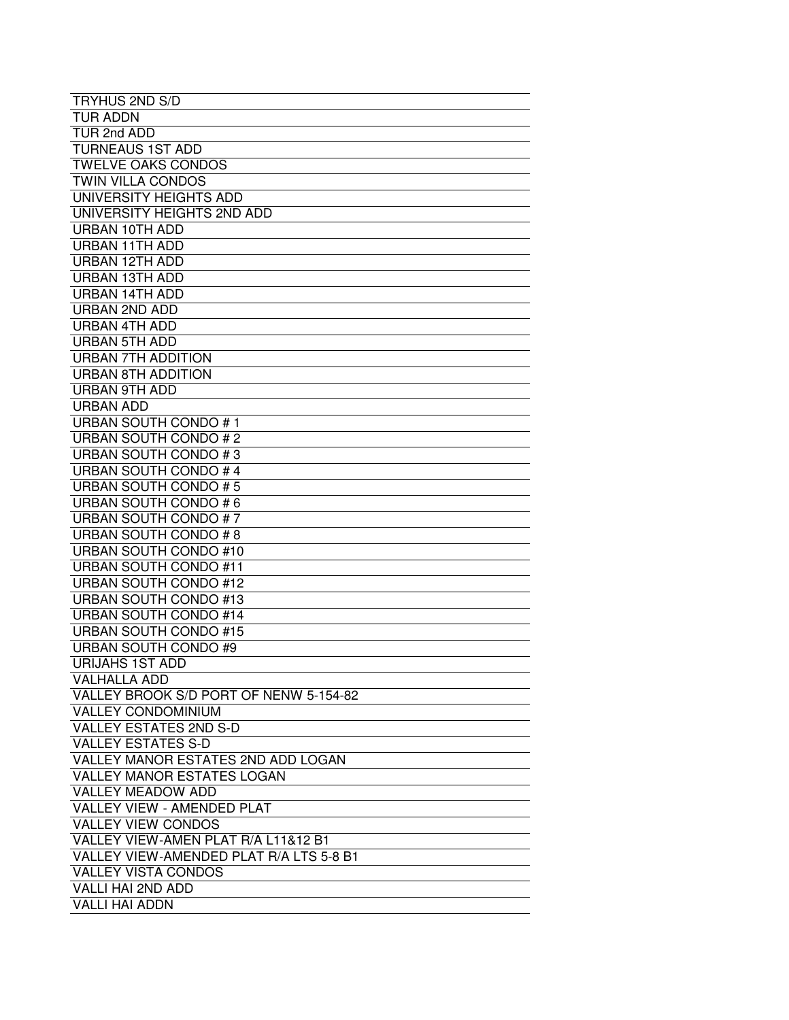| <b>TRYHUS 2ND S/D</b>                   |
|-----------------------------------------|
| TUR ADDN                                |
| TUR 2nd ADD                             |
| <b>TURNEAUS 1ST ADD</b>                 |
| <b>TWELVE OAKS CONDOS</b>               |
| <b>TWIN VILLA CONDOS</b>                |
|                                         |
| UNIVERSITY HEIGHTS ADD                  |
| UNIVERSITY HEIGHTS 2ND ADD              |
| URBAN 10TH ADD                          |
| URBAN 11TH ADD                          |
| URBAN 12TH ADD                          |
| <b>URBAN 13TH ADD</b>                   |
| URBAN 14TH ADD                          |
| URBAN 2ND ADD                           |
| <b>URBAN 4TH ADD</b>                    |
| <b>URBAN 5TH ADD</b>                    |
| <b>URBAN 7TH ADDITION</b>               |
| URBAN 8TH ADDITION                      |
| <b>URBAN 9TH ADD</b>                    |
| <b>URBAN ADD</b>                        |
| <b>URBAN SOUTH CONDO #1</b>             |
| <b>URBAN SOUTH CONDO #2</b>             |
| URBAN SOUTH CONDO #3                    |
| <b>URBAN SOUTH CONDO #4</b>             |
| URBAN SOUTH CONDO #5                    |
| URBAN SOUTH CONDO #6                    |
| <b>URBAN SOUTH CONDO #7</b>             |
| URBAN SOUTH CONDO #8                    |
| URBAN SOUTH CONDO #10                   |
| <b>URBAN SOUTH CONDO #11</b>            |
| <b>URBAN SOUTH CONDO #12</b>            |
| <b>URBAN SOUTH CONDO #13</b>            |
| <b>URBAN SOUTH CONDO #14</b>            |
| <b>URBAN SOUTH CONDO #15</b>            |
| <b>URBAN SOUTH CONDO #9</b>             |
| <b>URIJAHS 1ST ADD</b>                  |
| <b>VALHALLA ADD</b>                     |
| VALLEY BROOK S/D PORT OF NENW 5-154-82  |
| <b>VALLEY CONDOMINIUM</b>               |
| <b>VALLEY ESTATES 2ND S-D</b>           |
| <b>VALLEY ESTATES S-D</b>               |
| VALLEY MANOR ESTATES 2ND ADD LOGAN      |
| <b>VALLEY MANOR ESTATES LOGAN</b>       |
| <b>VALLEY MEADOW ADD</b>                |
| VALLEY VIEW - AMENDED PLAT              |
| <b>VALLEY VIEW CONDOS</b>               |
| VALLEY VIEW-AMEN PLAT R/A L11&12 B1     |
| VALLEY VIEW-AMENDED PLAT R/A LTS 5-8 B1 |
|                                         |
| <b>VALLEY VISTA CONDOS</b>              |
| VALLI HAI 2ND ADD                       |
| <b>VALLI HAI ADDN</b>                   |
|                                         |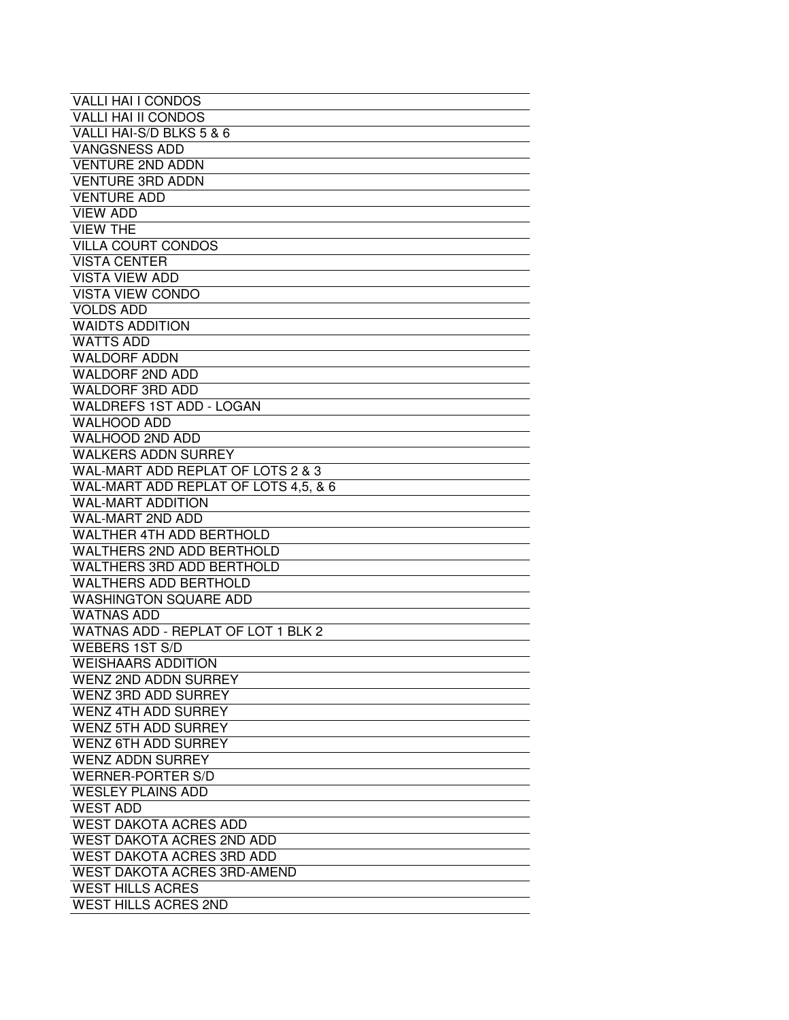| <b>VALLI HAI I CONDOS</b>            |
|--------------------------------------|
| <b>VALLI HAI II CONDOS</b>           |
| VALLI HAI-S/D BLKS 5 & 6             |
| <b>VANGSNESS ADD</b>                 |
| <b>VENTURE 2ND ADDN</b>              |
| <b>VENTURE 3RD ADDN</b>              |
| <b>VENTURE ADD</b>                   |
| <b>VIEW ADD</b>                      |
| <b>VIEW THE</b>                      |
| <b>VILLA COURT CONDOS</b>            |
| <b>VISTA CENTER</b>                  |
| <b>VISTA VIEW ADD</b>                |
| <b>VISTA VIEW CONDO</b>              |
| <b>VOLDS ADD</b>                     |
| <b>WAIDTS ADDITION</b>               |
| <b>WATTS ADD</b>                     |
| <b>WALDORF ADDN</b>                  |
| <b>WALDORF 2ND ADD</b>               |
| <b>WALDORF 3RD ADD</b>               |
| <b>WALDREFS 1ST ADD - LOGAN</b>      |
| <b>WALHOOD ADD</b>                   |
| <b>WALHOOD 2ND ADD</b>               |
| <b>WALKERS ADDN SURREY</b>           |
| WAL-MART ADD REPLAT OF LOTS 2 & 3    |
| WAL-MART ADD REPLAT OF LOTS 4,5, & 6 |
| <b>WAL-MART ADDITION</b>             |
| <b>WAL-MART 2ND ADD</b>              |
| <b>WALTHER 4TH ADD BERTHOLD</b>      |
| <b>WALTHERS 2ND ADD BERTHOLD</b>     |
| <b>WALTHERS 3RD ADD BERTHOLD</b>     |
| <b>WALTHERS ADD BERTHOLD</b>         |
| <b>WASHINGTON SQUARE ADD</b>         |
| <b>WATNAS ADD</b>                    |
| WATNAS ADD - REPLAT OF LOT 1 BLK 2   |
| <b>WEBERS 1ST S/D</b>                |
| <b>WEISHAARS ADDITION</b>            |
| <b>WENZ 2ND ADDN SURREY</b>          |
| <b>WENZ 3RD ADD SURREY</b>           |
| <b>WENZ 4TH ADD SURREY</b>           |
| <b>WENZ 5TH ADD SURREY</b>           |
| <b>WENZ 6TH ADD SURREY</b>           |
| <b>WENZ ADDN SURREY</b>              |
| <b>WERNER-PORTER S/D</b>             |
| <b>WESLEY PLAINS ADD</b>             |
| <b>WEST ADD</b>                      |
| <b>WEST DAKOTA ACRES ADD</b>         |
| WEST DAKOTA ACRES 2ND ADD            |
| <b>WEST DAKOTA ACRES 3RD ADD</b>     |
| WEST DAKOTA ACRES 3RD-AMEND          |
| <b>WEST HILLS ACRES</b>              |
| <b>WEST HILLS ACRES 2ND</b>          |
|                                      |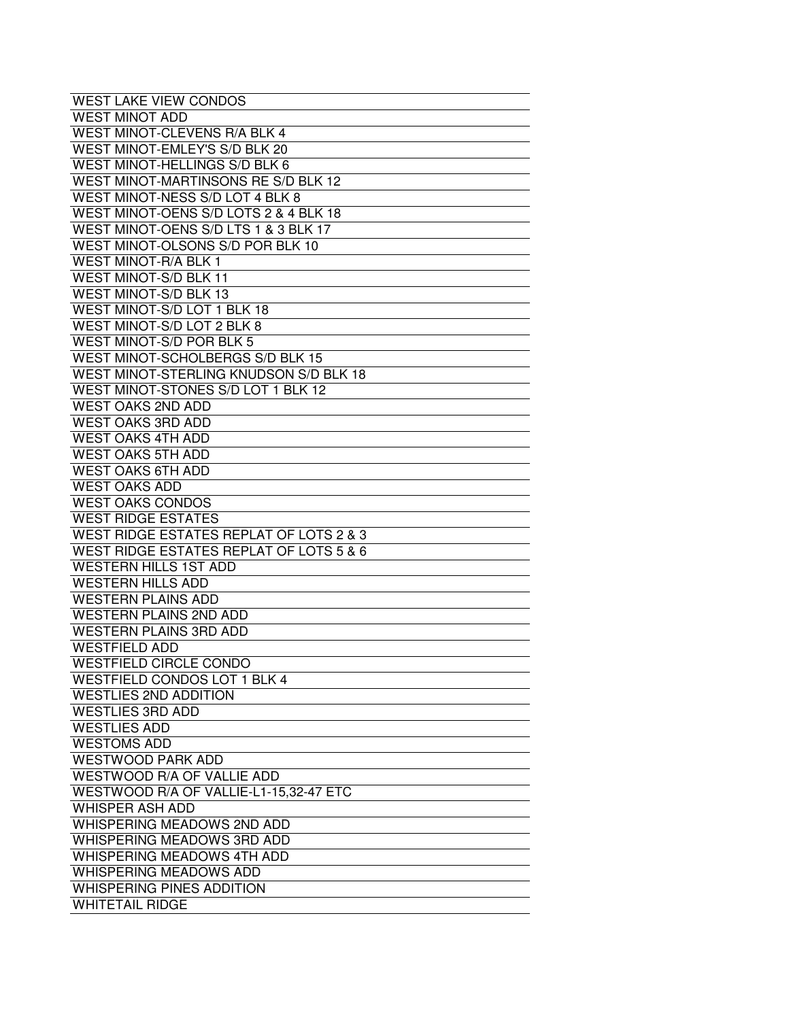| WEST LAKE VIEW CONDOS                   |
|-----------------------------------------|
| <b>WEST MINOT ADD</b>                   |
| WEST MINOT-CLEVENS R/A BLK 4            |
| WEST MINOT-EMLEY'S S/D BLK 20           |
| WEST MINOT-HELLINGS S/D BLK 6           |
| WEST MINOT-MARTINSONS RE S/D BLK 12     |
| WEST MINOT-NESS S/D LOT 4 BLK 8         |
| WEST MINOT-OENS S/D LOTS 2 & 4 BLK 18   |
| WEST MINOT-OENS S/D LTS 1 & 3 BLK 17    |
| WEST MINOT-OLSONS S/D POR BLK 10        |
| <b>WEST MINOT-R/A BLK 1</b>             |
| WEST MINOT-S/D BLK 11                   |
| <b>WEST MINOT-S/D BLK 13</b>            |
| WEST MINOT-S/D LOT 1 BLK 18             |
| WEST MINOT-S/D LOT 2 BLK 8              |
| WEST MINOT-S/D POR BLK 5                |
| WEST MINOT-SCHOLBERGS S/D BLK 15        |
| WEST MINOT-STERLING KNUDSON S/D BLK 18  |
|                                         |
| WEST MINOT-STONES S/D LOT 1 BLK 12      |
| <b>WEST OAKS 2ND ADD</b>                |
| <b>WEST OAKS 3RD ADD</b>                |
| <b>WEST OAKS 4TH ADD</b>                |
| <b>WEST OAKS 5TH ADD</b>                |
| <b>WEST OAKS 6TH ADD</b>                |
| <b>WEST OAKS ADD</b>                    |
| <b>WEST OAKS CONDOS</b>                 |
| <b>WEST RIDGE ESTATES</b>               |
| WEST RIDGE ESTATES REPLAT OF LOTS 2 & 3 |
| WEST RIDGE ESTATES REPLAT OF LOTS 5 & 6 |
| <b>WESTERN HILLS 1ST ADD</b>            |
| <b>WESTERN HILLS ADD</b>                |
| <b>WESTERN PLAINS ADD</b>               |
| <b>WESTERN PLAINS 2ND ADD</b>           |
| <b>WESTERN PLAINS 3RD ADD</b>           |
| <b>WESTFIELD ADD</b>                    |
| <b>WESTFIELD CIRCLE CONDO</b>           |
| WESTFIELD CONDOS LOT 1 BLK 4            |
| <b>WESTLIES 2ND ADDITION</b>            |
| <b>WESTLIES 3RD ADD</b>                 |
| <b>WESTLIES ADD</b>                     |
| <b>WESTOMS ADD</b>                      |
| <b>WESTWOOD PARK ADD</b>                |
| WESTWOOD R/A OF VALLIE ADD              |
| WESTWOOD R/A OF VALLIE-L1-15,32-47 ETC  |
| <b>WHISPER ASH ADD</b>                  |
| WHISPERING MEADOWS 2ND ADD              |
| WHISPERING MEADOWS 3RD ADD              |
| WHISPERING MEADOWS 4TH ADD              |
| WHISPERING MEADOWS ADD                  |
| <b>WHISPERING PINES ADDITION</b>        |
| <b>WHITETAIL RIDGE</b>                  |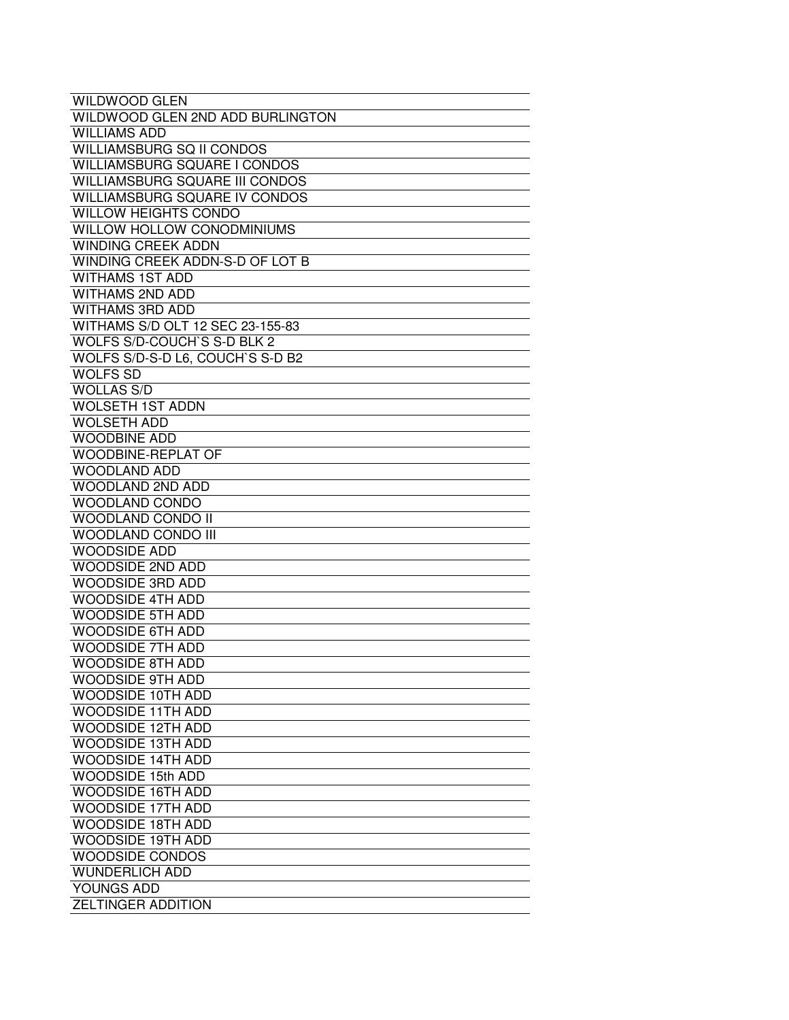| <b>WILDWOOD GLEN</b>                |
|-------------------------------------|
| WILDWOOD GLEN 2ND ADD BURLINGTON    |
| <b>WILLIAMS ADD</b>                 |
| <b>WILLIAMSBURG SQ II CONDOS</b>    |
| <b>WILLIAMSBURG SQUARE I CONDOS</b> |
| WILLIAMSBURG SQUARE III CONDOS      |
| WILLIAMSBURG SQUARE IV CONDOS       |
| <b>WILLOW HEIGHTS CONDO</b>         |
| <b>WILLOW HOLLOW CONODMINIUMS</b>   |
| <b>WINDING CREEK ADDN</b>           |
| WINDING CREEK ADDN-S-D OF LOT B     |
| <b>WITHAMS 1ST ADD</b>              |
| <b>WITHAMS 2ND ADD</b>              |
| <b>WITHAMS 3RD ADD</b>              |
| WITHAMS S/D OLT 12 SEC 23-155-83    |
| WOLFS S/D-COUCH'S S-D BLK 2         |
| WOLFS S/D-S-D L6, COUCH'S S-D B2    |
| <b>WOLFS SD</b>                     |
| <b>WOLLAS S/D</b>                   |
| <b>WOLSETH 1ST ADDN</b>             |
| <b>WOLSETH ADD</b>                  |
| <b>WOODBINE ADD</b>                 |
| WOODBINE-REPLAT OF                  |
| <b>WOODLAND ADD</b>                 |
| <b>WOODLAND 2ND ADD</b>             |
| <b>WOODLAND CONDO</b>               |
| <b>WOODLAND CONDO II</b>            |
| <b>WOODLAND CONDO III</b>           |
| <b>WOODSIDE ADD</b>                 |
| <b>WOODSIDE 2ND ADD</b>             |
| <b>WOODSIDE 3RD ADD</b>             |
| <b>WOODSIDE 4TH ADD</b>             |
| <b>WOODSIDE 5TH ADD</b>             |
| <b>WOODSIDE 6TH ADD</b>             |
| <b>WOODSIDE 7TH ADD</b>             |
| <b>WOODSIDE 8TH ADD</b>             |
| <b>WOODSIDE 9TH ADD</b>             |
| <b>WOODSIDE 10TH ADD</b>            |
| <b>WOODSIDE 11TH ADD</b>            |
| <b>WOODSIDE 12TH ADD</b>            |
| <b>WOODSIDE 13TH ADD</b>            |
| <b>WOODSIDE 14TH ADD</b>            |
| <b>WOODSIDE 15th ADD</b>            |
| WOODSIDE 16TH ADD                   |
| <b>WOODSIDE 17TH ADD</b>            |
| <b>WOODSIDE 18TH ADD</b>            |
| WOODSIDE 19TH ADD                   |
| <b>WOODSIDE CONDOS</b>              |
| <b>WUNDERLICH ADD</b>               |
| YOUNGS ADD                          |
| <b>ZELTINGER ADDITION</b>           |
|                                     |